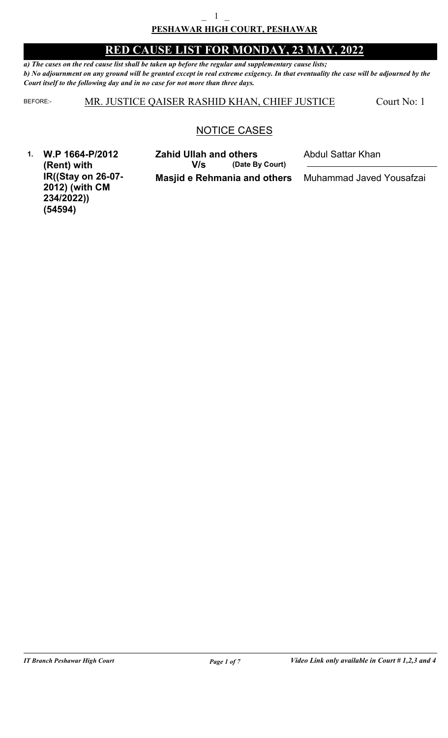*a) The cases on the red cause list shall be taken up before the regular and supplementary cause lists; b) No adjournment on any ground will be granted except in real extreme exigency. In that eventuality the case will be adjourned by the Court itself to the following day and in no case for not more than three days.*

BEFORE: MR. JUSTICE QAISER RASHID KHAN, CHIEF JUSTICE

Court No: 1

### NOTICE CASES

**1. W.P 1664-P/2012 (Rent) with IR((Stay on 26-07- 2012) (with CM 234/2022)) (54594)**

**Masjid e Rehmania and others (Date By Court) Zahid Ullah and others** Abdul Sattar Khan **V/s**

Muhammad Javed Yousafzai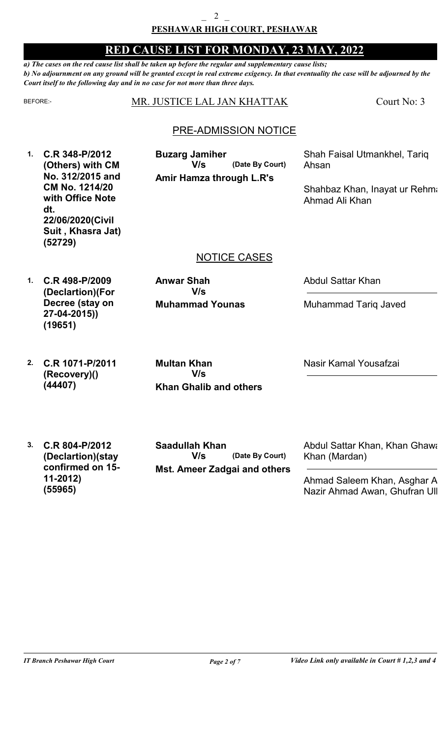*a) The cases on the red cause list shall be taken up before the regular and supplementary cause lists; b) No adjournment on any ground will be granted except in real extreme exigency. In that eventuality the case will be adjourned by the Court itself to the following day and in no case for not more than three days.*

| <b>BEFORE:-</b> |                                                                                                                                                         | MR. JUSTICE LAL JAN KHATTAK                                                 | Court No: 3                                                                              |
|-----------------|---------------------------------------------------------------------------------------------------------------------------------------------------------|-----------------------------------------------------------------------------|------------------------------------------------------------------------------------------|
|                 |                                                                                                                                                         | <b>PRE-ADMISSION NOTICE</b>                                                 |                                                                                          |
| $\mathbf{1}$ .  | C.R 348-P/2012<br>(Others) with CM<br>No. 312/2015 and<br>CM No. 1214/20<br>with Office Note<br>dt.<br>22/06/2020(Civil<br>Suit, Khasra Jat)<br>(52729) | <b>Buzarg Jamiher</b><br>V/s<br>(Date By Court)<br>Amir Hamza through L.R's | Shah Faisal Utmankhel, Tariq<br>Ahsan<br>Shahbaz Khan, Inayat ur Rehma<br>Ahmad Ali Khan |
|                 |                                                                                                                                                         | <b>NOTICE CASES</b>                                                         |                                                                                          |
| $\mathbf{1}$ .  | C.R 498-P/2009<br>(Declartion)(For<br>Decree (stay on<br>27-04-2015))<br>(19651)                                                                        | <b>Anwar Shah</b><br>V/s<br><b>Muhammad Younas</b>                          | <b>Abdul Sattar Khan</b><br><b>Muhammad Tariq Javed</b>                                  |
| 2.              | C.R 1071-P/2011<br>(Recovery)()<br>(44407)                                                                                                              | <b>Multan Khan</b><br>V/s<br><b>Khan Ghalib and others</b>                  | Nasir Kamal Yousafzai                                                                    |
| 3.              | C.R 804-P/2012<br>(Declartion)(stay                                                                                                                     | <b>Saadullah Khan</b><br>(Date By Court)<br>V/s                             | Abdul Sattar Khan, Khan Ghawa<br>Khan (Mardan)                                           |

**confirmed on 15-**

**11-2012)**

**(55965)**

**Mst. Ameer Zadgai and others**

Ahmad Saleem Khan, Asghar A Nazir Ahmad Awan, Ghufran Ull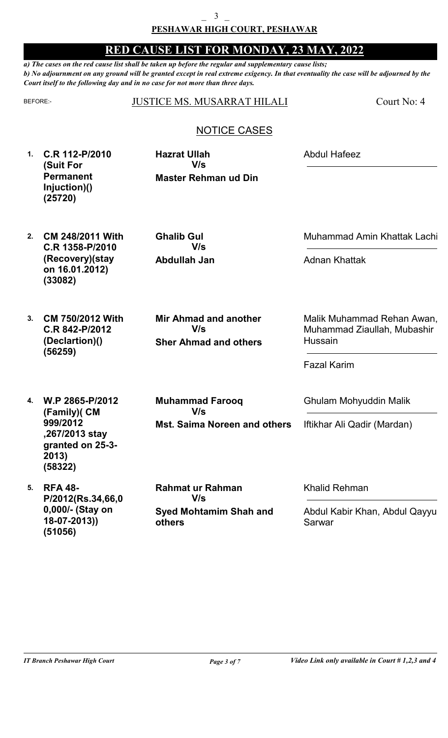*a) The cases on the red cause list shall be taken up before the regular and supplementary cause lists; b) No adjournment on any ground will be granted except in real extreme exigency. In that eventuality the case will be adjourned by the Court itself to the following day and in no case for not more than three days.*

#### BEFORE: JUSTICE MS. MUSARRAT HILALI

Court No: 4

### NOTICE CASES

**1. C.R 112-P/2010 (Suit For Permanent Injuction)() (25720)**

**Master Rehman ud Din Hazrat Ullah V/s**

Abdul Hafeez

**2. CM 248/2011 With C.R 1358-P/2010 (Recovery)(stay on 16.01.2012) (33082)**

**Abdullah Jan Ghalib Gul V/s**

Muhammad Amin Khattak Lachi

Adnan Khattak

**3. CM 750/2012 With C.R 842-P/2012 (Declartion)() (56259)**

**Sher Ahmad and others Mir Ahmad and another V/s**

Malik Muhammad Rehan Awan, Muhammad Ziaullah, Mubashir Hussain

Fazal Karim

**4. W.P 2865-P/2012 (Family)( CM 999/2012 ,267/2013 stay granted on 25-3- 2013) (58322)**

**5. RFA 48- P/2012(Rs.34,66,0 0,000/- (Stay on 18-07-2013)) (51056)**

**Muhammad Farooq V/s**

**Mst. Saima Noreen and others**

**Syed Mohtamim Shah and others Rahmat ur Rahman V/s**

Ghulam Mohyuddin Malik

Iftikhar Ali Qadir (Mardan)

Khalid Rehman

Abdul Kabir Khan, Abdul Qayyum Sarwar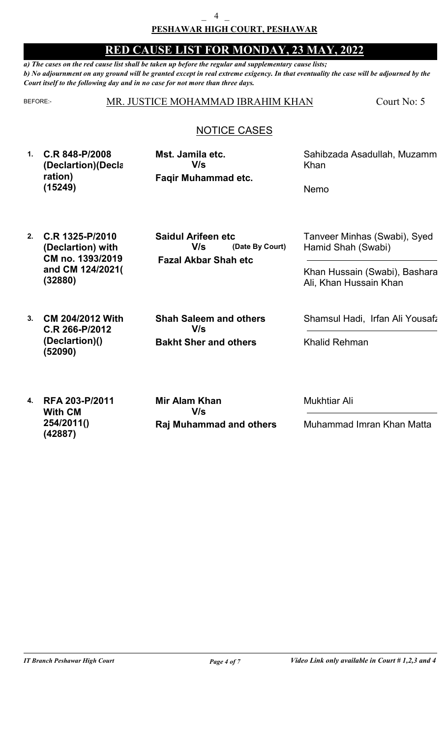*a) The cases on the red cause list shall be taken up before the regular and supplementary cause lists; b) No adjournment on any ground will be granted except in real extreme exigency. In that eventuality the case will be adjourned by the Court itself to the following day and in no case for not more than three days.*

#### BEFORE: MR. JUSTICE MOHAMMAD IBRAHIM KHAN

Court No: 5

### NOTICE CASES

**1. C.R 848-P/2008 (Declartion)(Decla ration) (15249)**

**Faqir Muhammad etc. Mst. Jamila etc. V/s**

Sahibzada Asadullah, Muzamm Khan

Nemo

**2. C.R 1325-P/2010 (Declartion) with CM no. 1393/2019 and CM 124/2021() (32880)**

 **Fazal Akbar Shah etc (Date By Court) Saidul Arifeen etc V/s**

Tanveer Minhas (Swabi), Syed Hamid Shah (Swabi)

Khan Hussain (Swabi), Bashara Ali, Khan Hussain Khan

**3. CM 204/2012 With C.R 266-P/2012 (Declartion)() Bakht Sher and others Shah Saleem and others V/s (52090)**

Shamsul Hadi, Irfan Ali Yousafz

Khalid Rehman

**4. RFA 203-P/2011 With CM 254/2011() (42887)**

**Raj Muhammad and others Mir Alam Khan V/s**

Mukhtiar Ali

Muhammad Imran Khan Matta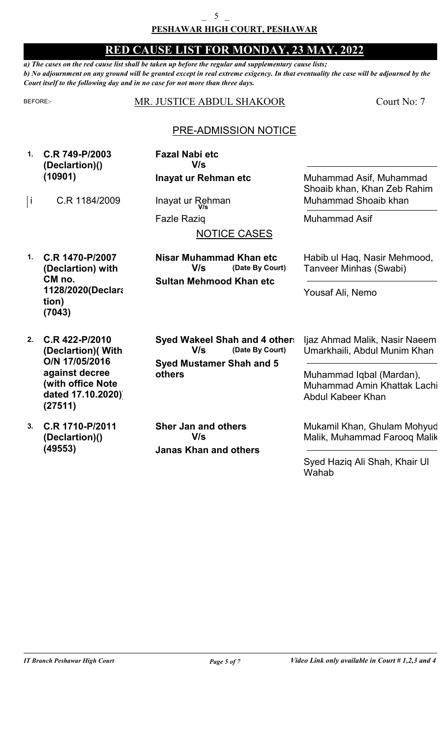*a) The cases on the red cause list shall be taken up before the regular and supplementary cause lists; b) No adjournment on any ground will be granted except in real extreme exigency. In that eventuality the case will be adjourned by the Court itself to the following day and in no case for not more than three days.*

| BEFORE:-            |                                                                                                                               | MR. JUSTICE ABDUL SHAKOOR                                                                            | Court No: 7                                                                                                                                   |
|---------------------|-------------------------------------------------------------------------------------------------------------------------------|------------------------------------------------------------------------------------------------------|-----------------------------------------------------------------------------------------------------------------------------------------------|
|                     |                                                                                                                               | <b>PRE-ADMISSION NOTICE</b>                                                                          |                                                                                                                                               |
| $\mathbf{1}$ .<br>İ | C.R 749-P/2003<br>(Declartion)()<br>(10901)<br>C.R 1184/2009                                                                  | <b>Fazal Nabi etc</b><br>V/s<br>Inayat ur Rehman etc<br>Inayat ur Rehman                             | Muhammad Asif, Muhammad<br>Shoaib khan, Khan Zeb Rahim<br>Muhammad Shoaib khan                                                                |
|                     |                                                                                                                               | <b>Fazle Razig</b><br><b>NOTICE CASES</b>                                                            | <b>Muhammad Asif</b>                                                                                                                          |
| $\mathbf 1$ .       | C.R 1470-P/2007<br>(Declartion) with<br>CM no.<br>1128/2020(Declara<br>tion)<br>(7043)                                        | Nisar Muhammad Khan etc<br>(Date By Court)<br>V/s<br><b>Sultan Mehmood Khan etc</b>                  | Habib ul Haq, Nasir Mehmood,<br>Tanveer Minhas (Swabi)<br>Yousaf Ali, Nemo                                                                    |
| 2.                  | C.R 422-P/2010<br>(Declartion) (With<br>O/N 17/05/2016<br>against decree<br>(with office Note<br>dated 17.10.2020)<br>(27511) | Syed Wakeel Shah and 4 other.<br>(Date By Court)<br>V/s<br><b>Syed Mustamer Shah and 5</b><br>others | Ijaz Ahmad Malik, Nasir Naeem<br>Umarkhaili, Abdul Munim Khan<br>Muhammad Iqbal (Mardan),<br>Muhammad Amin Khattak Lachi<br>Abdul Kabeer Khan |
| 3.                  | C.R 1710-P/2011<br>(Declartion)()<br>(49553)                                                                                  | <b>Sher Jan and others</b><br>V/s<br><b>Janas Khan and others</b>                                    | Mukamil Khan, Ghulam Mohyud<br>Malik, Muhammad Farooq Malik<br>Syed Haziq Ali Shah, Khair UI<br>Wahab                                         |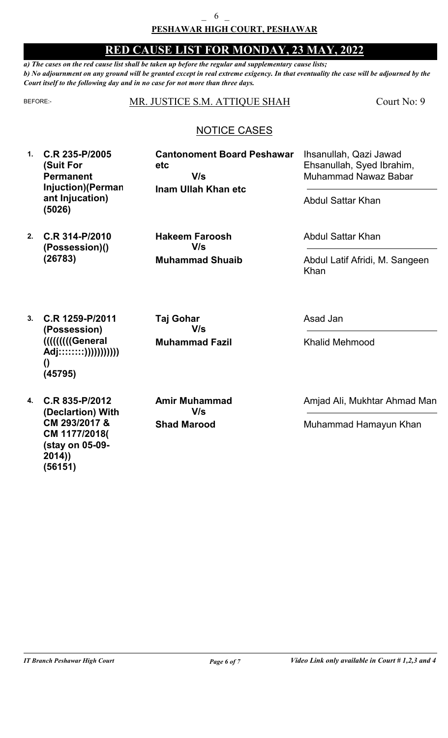*a) The cases on the red cause list shall be taken up before the regular and supplementary cause lists; b) No adjournment on any ground will be granted except in real extreme exigency. In that eventuality the case will be adjourned by the Court itself to the following day and in no case for not more than three days.*

#### BEFORE: MR. JUSTICE S.M. ATTIQUE SHAH

Court No: 9

### NOTICE CASES

**Cantonoment Board Peshawar**

**1. C.R 235-P/2005 (Suit For Permanent Injuction)(Perman ant Injucation) (5026)**

**Inam Ullah Khan etc etc V/s**

Abdul Sattar Khan

Ihsanullah, Qazi Jawad Ehsanullah, Syed Ibrahim, Muhammad Nawaz Babar

**2. C.R 314-P/2010 (Possession)() (26783)**

**Muhammad Shuaib Hakeem Faroosh V/s**

Abdul Sattar Khan

Abdul Latif Afridi, M. Sangeen Khan

**3. C.R 1259-P/2011 (Possession) (((((((((General Adj::::::::))))))))))) () (45795)**

**4. C.R 835-P/2012 (Declartion) With CM 293/2017 & CM 1177/2018( (stay on 05-09- 2014)) (56151)**

**Shad Marood Amir Muhammad V/s**

**Muhammad Fazil**

**V/s**

**Taj Gohar**

Asad Jan

Khalid Mehmood

Amjad Ali, Mukhtar Ahmad Man

Muhammad Hamayun Khan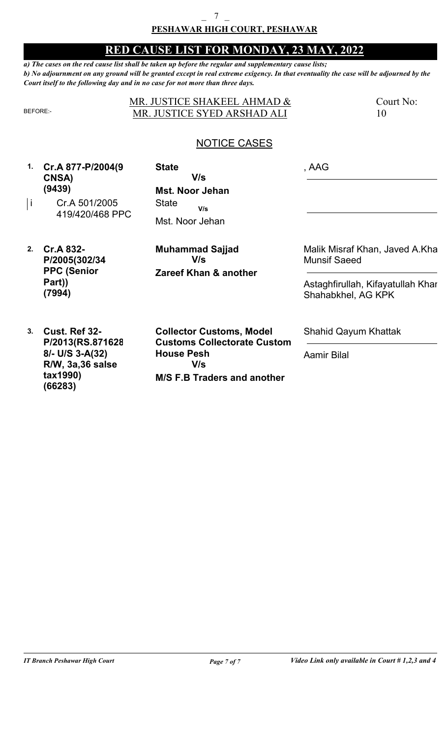#### **PESHAWAR HIGH COURT, PESHAWAR**  $\overline{7}$

### **RED CAUSE LIST FOR MONDAY, 23 MAY, 2022**

*a) The cases on the red cause list shall be taken up before the regular and supplementary cause lists; b) No adjournment on any ground will be granted except in real extreme exigency. In that eventuality the case will be adjourned by the Court itself to the following day and in no case for not more than three days.*

| R۶<br>− | ═ | ہے |  |
|---------|---|----|--|

#### MR. JUSTICE SHAKEEL AHMAD & MR. JUSTICE SYED ARSHAD ALI

Court No: 10

### NOTICE CASES

**1. Cr.A 877-P/2004(9 CNSA) (9439)**

**Mst. Noor Jehan** Cr.A 501/2005 i State 419/420/468 PPC Mst. Noor Jehan **State V/s V/s**

**2. Cr.A 832- P/2005(302/34 PPC (Senior Part)) (7994)**

**Zareef Khan & another Muhammad Sajjad V/s**

, AAG

Malik Misraf Khan, Javed A.Kha Munsif Saeed

Astaghfirullah, Kifayatullah Khan Shahabkhel, AG KPK

**3. Cust. Ref 32- P/2013(RS.871628 8/- U/S 3-A(32) R/W, 3a,36 salse tax1990) (66283)**

**M/S F.B Traders and another Collector Customs, Model Customs Collectorate Custom House Pesh V/s**

Shahid Qayum Khattak

Aamir Bilal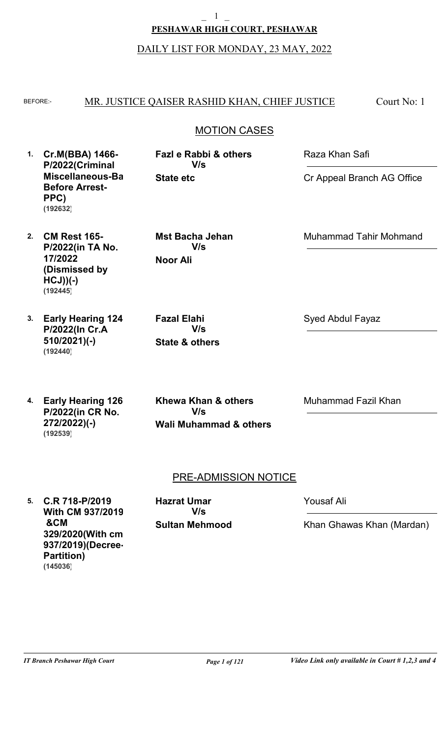**PESHAWAR HIGH COURT, PESHAWAR**  $\mathbf 1$ 

DAILY LIST FOR MONDAY, 23 MAY, 2022

#### BEFORE: MR. JUSTICE QAISER RASHID KHAN, CHIEF JUSTICE Court No: 1

### MOTION CASES

**1. Cr.M(BBA) 1466- P/2022(Criminal Miscellaneous-Bail Before Arrest-PPC) (192632)**

**State etc Fazl e Rabbi & others V/s**

Raza Khan Safi

Cr Appeal Branch AG Office

Muhammad Tahir Mohmand

**2. CM Rest 165- P/2022(in TA No. 17/2022 (Dismissed by HCJ))(-) (192445)**

**Noor Ali Mst Bacha Jehan V/s**

**State & others**

**V/s**

**Fazal Elahi**

**3. Early Hearing 124- P/2022(In Cr.A 510/2021)(-) (192440)**

**4. Early Hearing 126- P/2022(in CR No. 272/2022)(-) (192539)**

**Wali Muhammad & others Khewa Khan & others V/s**

Syed Abdul Fayaz

Muhammad Fazil Khan

### PRE-ADMISSION NOTICE

**5. C.R 718-P/2019 With CM 937/2019 &CM 329/2020(With cm 937/2019)(Decree-Partition) (145036)**

**Sultan Mehmood Hazrat Umar V/s**

Yousaf Ali

Khan Ghawas Khan (Mardan)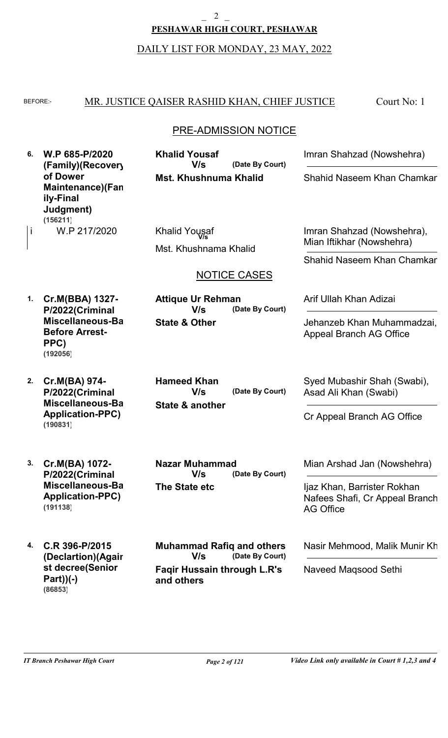$\overline{2}$ 

**PESHAWAR HIGH COURT, PESHAWAR**

DAILY LIST FOR MONDAY, 23 MAY, 2022

#### BEFORE: MR. JUSTICE QAISER RASHID KHAN, CHIEF JUSTICE Court No: 1

### PRE-ADMISSION NOTICE

**6. W.P 685-P/2020 (Family)(Recovery of Dower Maintenance)(Fam ily-Final Judgment)** W.P 217/2020 **(156211)**

**Mst. Khushnuma Khalid (Date By Court) Khalid Yousaf V/s**

Mst. Khushnama Khalid i W.P 217/2020 Khalid Yousaf

**State & Other**

**Attique Ur Rehman**

**V/s**

**The State etc**

**Nazar Muhammad**

**V/s**

**V/s**

**and others**

#### NOTICE CASES

**(Date By Court)**

**(Date By Court)**

**(Date By Court)**

**1. Cr.M(BBA) 1327- P/2022(Criminal Miscellaneous-Bail Before Arrest-PPC) (192056)**

**2. Cr.M(BA) 974- P/2022(Criminal Miscellaneous-Bail Application-PPC) (190831)**

**3. Cr.M(BA) 1072- P/2022(Criminal Miscellaneous-Bail Application-PPC) (191138)**

**4. C.R 396-P/2015 (Declartion)(Again st decree(Senior Part))(-) (86853)**

**State & another (Date By Court) Hameed Khan V/s**

Syed Mubashir Shah (Swabi), Asad Ali Khan (Swabi)

Jehanzeb Khan Muhammadzai.

Arif Ullah Khan Adizai

Appeal Branch AG Office

Imran Shahzad (Nowshehra)

Shahid Naseem Khan Chamkar

**V/s** Imran Shahzad (Nowshehra), Mian Iftikhar (Nowshehra)

Shahid Naseem Khan Chamkar

Cr Appeal Branch AG Office

Mian Arshad Jan (Nowshehra)

Ijaz Khan, Barrister Rokhan Nafees Shafi, Cr Appeal Branch AG Office

Nasir Mehmood, Malik Munir Kh

Naveed Maqsood Sethi

**Faqir Hussain through L.R's**

**Muhammad Rafiq and others**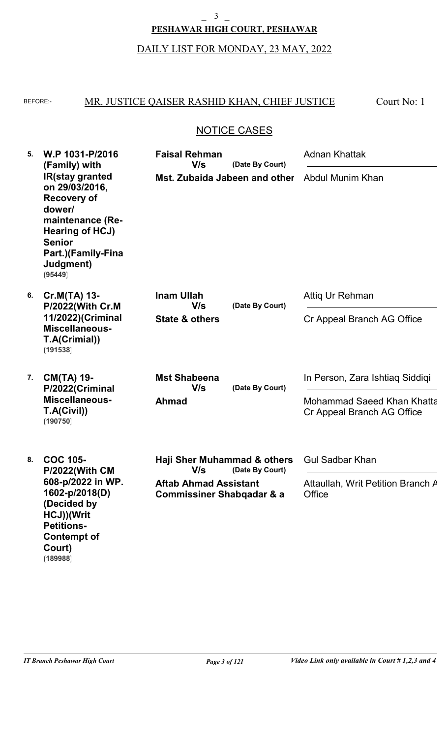#### $\overline{\mathbf{3}}$

### **PESHAWAR HIGH COURT, PESHAWAR**

### DAILY LIST FOR MONDAY, 23 MAY, 2022

#### BEFORE: MR. JUSTICE QAISER RASHID KHAN, CHIEF JUSTICE Court No: 1

### NOTICE CASES

| 5. | W.P 1031-P/2016<br>(Family) with                                                                                                                                                      | <b>Faisal Rehman</b><br>V/s                                          | (Date By Court)        | <b>Adnan Khattak</b>                                     |
|----|---------------------------------------------------------------------------------------------------------------------------------------------------------------------------------------|----------------------------------------------------------------------|------------------------|----------------------------------------------------------|
|    | <b>IR(stay granted</b><br>on 29/03/2016,<br><b>Recovery of</b><br>dower/<br>maintenance (Re-<br><b>Hearing of HCJ)</b><br><b>Senior</b><br>Part.)(Family-Fina<br>Judgment)<br>(95449) | Mst. Zubaida Jabeen and other                                        |                        | Abdul Munim Khan                                         |
| 6. | Cr.M(TA) 13-<br>P/2022(With Cr.M                                                                                                                                                      | <b>Inam Ullah</b><br>V/s                                             | (Date By Court)        | Attig Ur Rehman                                          |
|    | 11/2022)(Criminal<br><b>Miscellaneous-</b><br>T.A(Crimial))<br>(191538)                                                                                                               | <b>State &amp; others</b>                                            |                        | Cr Appeal Branch AG Office                               |
| 7. | <b>CM(TA) 19-</b><br>P/2022(Criminal                                                                                                                                                  | <b>Mst Shabeena</b><br>V/s                                           | (Date By Court)        | In Person, Zara Ishtiag Siddigi                          |
|    | <b>Miscellaneous-</b><br>T.A(Civil))<br>(190750)                                                                                                                                      | <b>Ahmad</b>                                                         |                        | Mohammad Saeed Khan Khatta<br>Cr Appeal Branch AG Office |
| 8. | <b>COC 105-</b><br><b>P/2022(With CM</b><br>608-p/2022 in WP.<br>1602-p/2018(D)<br>(Decided by<br>HCJ))(Writ<br><b>Petitions-</b><br><b>Contempt of</b><br>Court)                     | Haji Sher Muhammad & others<br>V/s<br>(Date By Court)                | <b>Gul Sadbar Khan</b> |                                                          |
|    |                                                                                                                                                                                       | <b>Aftab Ahmad Assistant</b><br><b>Commissiner Shabqadar &amp; a</b> |                        | Attaullah, Writ Petition Branch A<br>Office              |

**(189988)**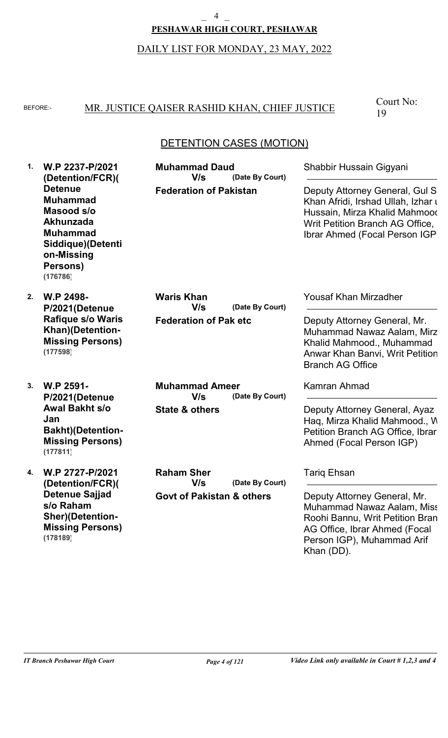#### $\overline{4}$

**PESHAWAR HIGH COURT, PESHAWAR**

### DAILY LIST FOR MONDAY, 23 MAY, 2022

### BEFORE: MR. JUSTICE QAISER RASHID KHAN, CHIEF JUSTICE

Court No: 19

### DETENTION CASES (MOTION)

| 1. | W.P 2237-P/2021<br>(Detention/FCR)(<br><b>Detenue</b><br><b>Muhammad</b><br>Masood s/o<br><b>Akhunzada</b><br><b>Muhammad</b><br>Siddique)(Detenti<br>on-Missing<br>Persons)<br>(176786) | <b>Muhammad Daud</b><br>V/s<br>(Date By Court)<br><b>Federation of Pakistan</b>     | Shabbir Hussain Gigyani<br>Deputy Attorney General, Gul S<br>Khan Afridi, Irshad Ullah, Izhar u<br>Hussain, Mirza Khalid Mahmood<br>Writ Petition Branch AG Office,<br>Ibrar Ahmed (Focal Person IGP) |
|----|------------------------------------------------------------------------------------------------------------------------------------------------------------------------------------------|-------------------------------------------------------------------------------------|-------------------------------------------------------------------------------------------------------------------------------------------------------------------------------------------------------|
| 2. | W.P 2498-<br>P/2021(Detenue<br><b>Rafique s/o Waris</b><br>Khan)(Detention-<br><b>Missing Persons)</b><br>(177598)                                                                       | <b>Waris Khan</b><br>V/s<br>(Date By Court)<br><b>Federation of Pak etc</b>         | <b>Yousaf Khan Mirzadher</b><br>Deputy Attorney General, Mr.<br>Muhammad Nawaz Aalam, Mirz<br>Khalid Mahmood., Muhammad<br>Anwar Khan Banvi, Writ Petition<br><b>Branch AG Office</b>                 |
| 3. | W.P 2591-<br>P/2021(Detenue<br><b>Awal Bakht s/o</b><br>Jan<br><b>Bakht)</b> (Detention-<br><b>Missing Persons)</b><br>(177811)                                                          | <b>Muhammad Ameer</b><br>V/s<br>(Date By Court)<br><b>State &amp; others</b>        | <b>Kamran Ahmad</b><br>Deputy Attorney General, Ayaz<br>Haq, Mirza Khalid Mahmood., W<br>Petition Branch AG Office, Ibrar<br>Ahmed (Focal Person IGP)                                                 |
| 4. | W.P 2727-P/2021<br>(Detention/FCR)(<br><b>Detenue Sajjad</b><br>s/o Raham<br><b>Sher)(Detention-</b><br><b>Missing Persons)</b>                                                          | <b>Raham Sher</b><br>V/s<br>(Date By Court)<br><b>Govt of Pakistan &amp; others</b> | <b>Tarig Ehsan</b><br>Deputy Attorney General, Mr.<br>Muhammad Nawaz Aalam, Miss<br>Roohi Bannu, Writ Petition Bran<br>AG Office, Ibrar Ahmed (Focal                                                  |

**(178189)**

Person IGP), Muhammad Arif

Khan (DD).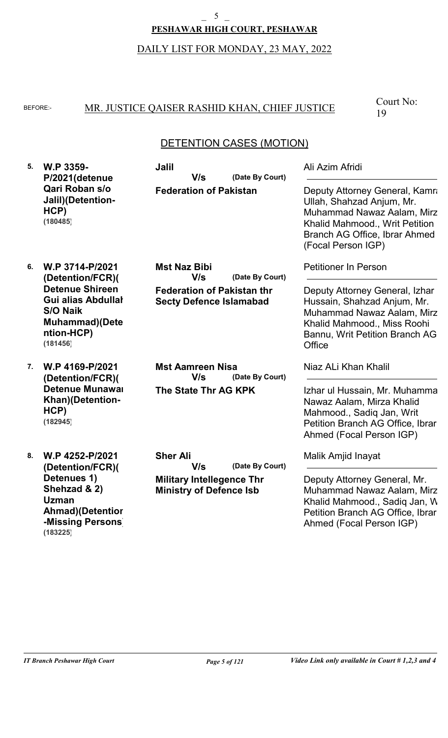#### $\mathfrak{S}$

#### **PESHAWAR HIGH COURT, PESHAWAR**

### DAILY LIST FOR MONDAY, 23 MAY, 2022

### BEFORE: MR. JUSTICE QAISER RASHID KHAN, CHIEF JUSTICE

Court No: 19

### DETENTION CASES (MOTION)

| 5. | W.P 3359-<br>P/2021(detenue<br>Qari Roban s/o<br>Jalil)(Detention-<br>HCP)<br>(180485)                                                                            | <b>Jalil</b><br>V/s<br>(Date By Court)<br><b>Federation of Pakistan</b>                                              | Ali Azim Afridi<br>Deputy Attorney General, Kamra<br>Ullah, Shahzad Anjum, Mr.<br>Muhammad Nawaz Aalam, Mirz<br>Khalid Mahmood., Writ Petition<br>Branch AG Office, Ibrar Ahmed<br>(Focal Person IGP) |
|----|-------------------------------------------------------------------------------------------------------------------------------------------------------------------|----------------------------------------------------------------------------------------------------------------------|-------------------------------------------------------------------------------------------------------------------------------------------------------------------------------------------------------|
| 6. | W.P 3714-P/2021<br>(Detention/FCR)(<br><b>Detenue Shireen</b><br><b>Gui alias Abdullal</b><br><b>S/O Naik</b><br><b>Muhammad</b> )(Dete<br>ntion-HCP)<br>(181456) | <b>Mst Naz Bibi</b><br>V/s<br>(Date By Court)<br><b>Federation of Pakistan thr</b><br><b>Secty Defence Islamabad</b> | <b>Petitioner In Person</b><br>Deputy Attorney General, Izhar<br>Hussain, Shahzad Anjum, Mr.<br>Muhammad Nawaz Aalam, Mirz<br>Khalid Mahmood., Miss Roohi<br>Bannu, Writ Petition Branch AG<br>Office |
| 7. | W.P 4169-P/2021<br>(Detention/FCR)(<br><b>Detenue Munawar</b><br>Khan)(Detention-<br>HCP)<br>(182945)                                                             | <b>Mst Aamreen Nisa</b><br>V/s<br>(Date By Court)<br>The State Thr AG KPK                                            | Niaz ALi Khan Khalil<br>Izhar ul Hussain, Mr. Muhamma<br>Nawaz Aalam, Mirza Khalid<br>Mahmood., Sadiq Jan, Writ<br>Petition Branch AG Office, Ibrar<br>Ahmed (Focal Person IGP)                       |
| 8. | W.P 4252-P/2021<br>(Detention/FCR)(<br>Detenues 1)<br>Shehzad & 2)<br><b>Uzman</b><br><b>Ahmad</b> )(Detentior<br>-Missing Persons<br>(183225)                    | <b>Sher Ali</b><br>(Date By Court)<br>V/s<br><b>Military Intellegence Thr</b><br><b>Ministry of Defence Isb</b>      | Malik Amjid Inayat<br>Deputy Attorney General, Mr.<br>Muhammad Nawaz Aalam, Mirz<br>Khalid Mahmood., Sadiq Jan, W<br>Petition Branch AG Office, Ibrar<br>Ahmed (Focal Person IGP)                     |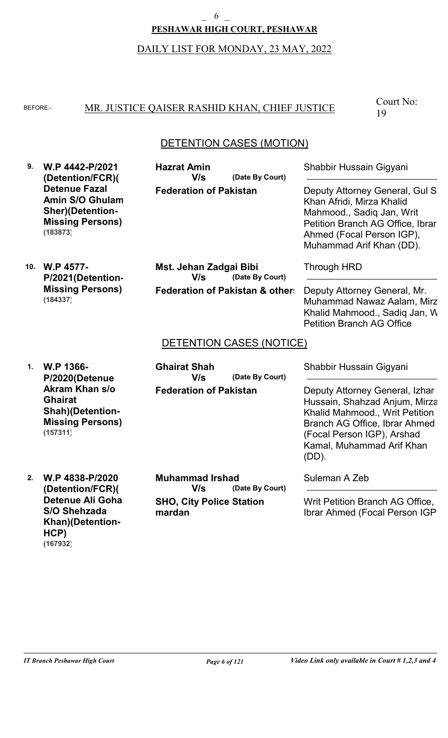### DAILY LIST FOR MONDAY, 23 MAY, 2022 **PESHAWAR HIGH COURT, PESHAWAR** 6

#### BEFORE: MR. JUSTICE QAISER RASHID KHAN, CHIEF JUSTICE

Court No: 19

### DETENTION CASES (MOTION)

**9. W.P 4442-P/2021 (Detention/FCR)( Detenue Fazal Amin S/O Ghulam Sher)(Detention-Missing Persons) (183873)**

**Federation of Pakistan (Date By Court) Hazrat Amin V/s**

Shabbir Hussain Gigyani

Deputy Attorney General, Gul S. Khan Afridi, Mirza Khalid Mahmood., Sadiq Jan, Writ Petition Branch AG Office, Ibrar Ahmed (Focal Person IGP), Muhammad Arif Khan (DD).

**10. W.P 4577- P/2021(Detention-Missing Persons) (184337)**

**Federation of Pakistan & others (Date By Court) Mst. Jehan Zadgai Bibi V/s**

Through HRD

Deputy Attorney General, Mr. Muhammad Nawaz Aalam, Mirza Khalid Mahmood., Sadig Jan, W Petition Branch AG Office

#### DETENTION CASES (NOTICE)

**1. W.P 1366- P/2020(Detenue Akram Khan s/o Ghairat Shah)(Detention-Missing Persons) (157311)**

**Federation of Pakistan (Date By Court) Ghairat Shah V/s**

Shabbir Hussain Gigyani

Deputy Attorney General, Izhar Hussain, Shahzad Anjum, Mirza Khalid Mahmood., Writ Petition Branch AG Office, Ibrar Ahmed (Focal Person IGP), Arshad Kamal, Muhammad Arif Khan (DD).

Suleman A Zeb

Writ Petition Branch AG Office, Ibrar Ahmed (Focal Person IGP)

**2. W.P 4838-P/2020 (Detention/FCR)( Detenue Ali Goha S/O Shehzada Khan)(Detention-HCP) (167932)**

**SHO, City Police Station mardan (Date By Court) Muhammad Irshad V/s**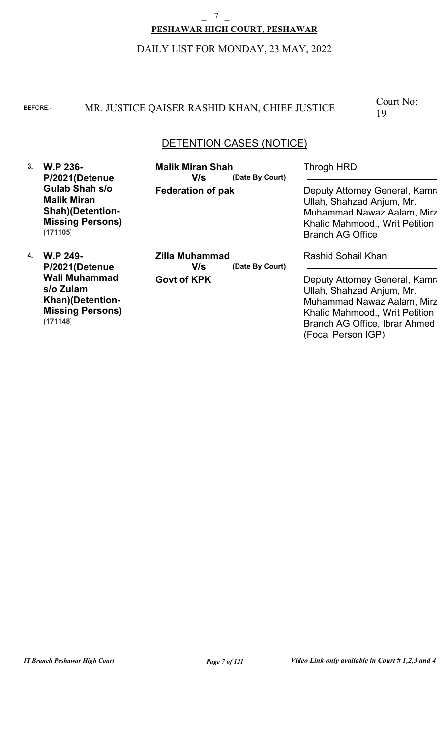# DAILY LIST FOR MONDAY, 23 MAY, 2022 **PESHAWAR HIGH COURT, PESHAWAR**  $\overline{7}$

#### BEFORE: MR. JUSTICE QAISER RASHID KHAN, CHIEF JUSTICE

Court No: 19

### DETENTION CASES (NOTICE)

**3. W.P 236- P/2021(Detenue Gulab Shah s/o Malik Miran Shah)(Detention-Missing Persons) (171105)**

**Federation of pak (Date By Court) Malik Miran Shah V/s**

Throgh HRD

Deputy Attorney General, Kamra Ullah, Shahzad Anjum, Mr. Muhammad Nawaz Aalam, Mirza Khalid Mahmood., Writ Petition Branch AG Office

**4. W.P 249- P/2021(Detenue Wali Muhammad s/o Zulam Khan)(Detention-Missing Persons) (171148)**

**Govt of KPK (Date By Court) Zilla Muhammad V/s**

Rashid Sohail Khan

Deputy Attorney General, Kamra Ullah, Shahzad Anjum, Mr. Muhammad Nawaz Aalam, Mirza Khalid Mahmood., Writ Petition Branch AG Office, Ibrar Ahmed (Focal Person IGP)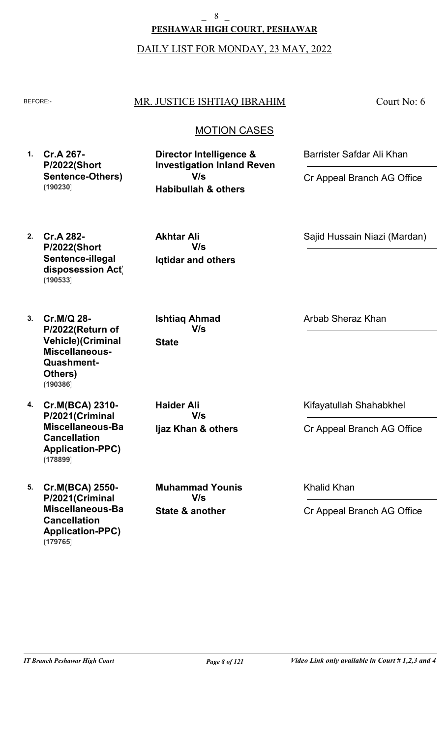8

### **PESHAWAR HIGH COURT, PESHAWAR**

### DAILY LIST FOR MONDAY, 23 MAY, 2022

#### BEFORE:- MR. JUSTICE ISHTIAQ IBRAHIM

Court No: 6

### MOTION CASES

**1. Cr.A 267- P/2022(Short Sentence-Others) (190230)**

**Habibullah & others Director Intelligence & Investigation Inland Reven V/s**

Barrister Safdar Ali Khan

Cr Appeal Branch AG Office

Sajid Hussain Niazi (Mardan)

**2. Cr.A 282- P/2022(Short Sentence-illegal disposession Act) (190533)**

**Iqtidar and others Akhtar Ali V/s**

**Ishtiaq Ahmad**

**V/s**

Arbab Sheraz Khan

- **3. Cr.M/Q 28- P/2022(Return of Vehicle)(Criminal Miscellaneous-Quashment-Others) (190386)**
- **4. Cr.M(BCA) 2310- P/2021(Criminal Miscellaneous-Bail Cancellation Application-PPC) (178899)**
- **5. Cr.M(BCA) 2550- P/2021(Criminal Miscellaneous-Bail Cancellation Application-PPC) (179765)**

**Ijaz Khan & others Haider Ali V/s**

**State**

**State & another Muhammad Younis V/s**

Kifayatullah Shahabkhel

Cr Appeal Branch AG Office

Khalid Khan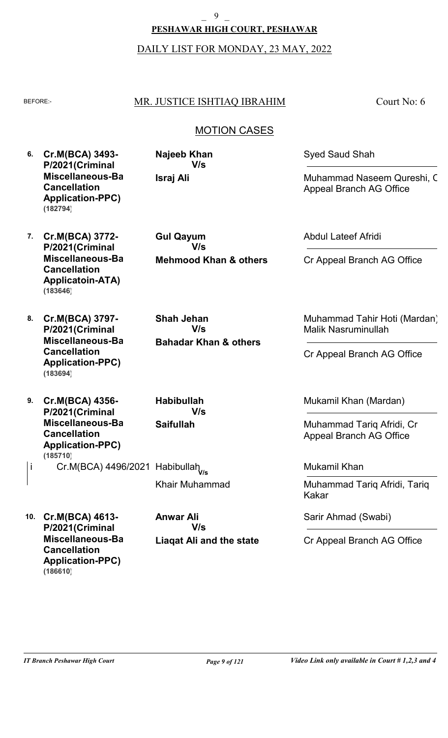### **PESHAWAR HIGH COURT, PESHAWAR**  $\overline{9}$

DAILY LIST FOR MONDAY, 23 MAY, 2022

### BEFORE: MR. JUSTICE ISHTIAQ IBRAHIM

Court No: 6

### MOTION CASES

- **6. Cr.M(BCA) 3493- P/2021(Criminal Miscellaneous-Bail Cancellation Application-PPC) (182794)**
- **Israj Ali Najeeb Khan V/s**

Syed Saud Shah

Muhammad Naseem Qureshi, Cr Appeal Branch AG Office

- **7. Cr.M(BCA) 3772- P/2021(Criminal Miscellaneous-Bail Cancellation Applicatoin-ATA) (183646)**
- **8. Cr.M(BCA) 3797- P/2021(Criminal Miscellaneous-Bail Cancellation Application-PPC) (183694)**
- **9. Cr.M(BCA) 4356- P/2021(Criminal Miscellaneous-Bail Cancellation Application-PPC)** i Cr.M(BCA) 4496/2021 Habibullah<sub>v/s</sub> **(185710)**
- **10. Cr.M(BCA) 4613- P/2021(Criminal Miscellaneous-Bail Cancellation Application-PPC) (186610)**

**Mehmood Khan & others Gul Qayum V/s**

**Bahadar Khan & others Shah Jehan V/s**

**Saifullah Habibullah V/s**

Khair Muhammad

**Liaqat Ali and the state Anwar Ali V/s**

Abdul Lateef Afridi

Cr Appeal Branch AG Office

Muhammad Tahir Hoti (Mardan), Malik Nasruminullah

Cr Appeal Branch AG Office

Mukamil Khan (Mardan)

Muhammad Tariq Afridi, Cr Appeal Branch AG Office

Mukamil Khan

Muhammad Tariq Afridi, Tariq Kakar

Sarir Ahmad (Swabi)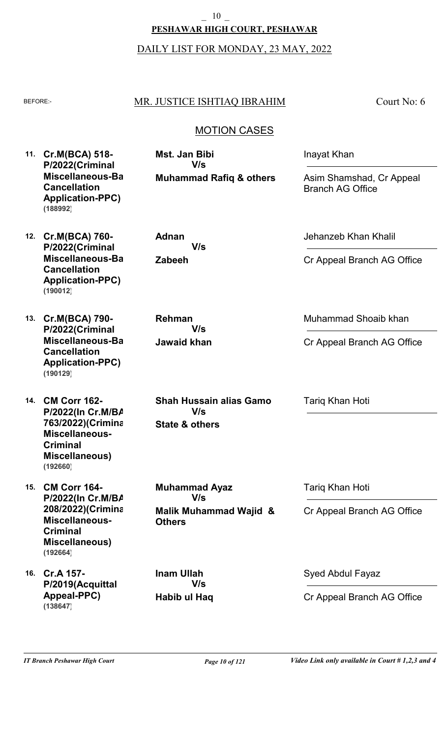### **PESHAWAR HIGH COURT, PESHAWAR** \_ 10 \_

#### DAILY LIST FOR MONDAY, 23 MAY, 2022

### BEFORE: MR. JUSTICE ISHTIAQ IBRAHIM

**Muhammad Rafiq & others**

Court No: 6

### MOTION CASES

**11. Cr.M(BCA) 518- P/2022(Criminal Miscellaneous-Bail Cancellation Application-PPC) (188992)**

**12. Cr.M(BCA) 760- P/2022(Criminal Miscellaneous-Bail Cancellation Application-PPC) (190012)**

**13. Cr.M(BCA) 790- P/2022(Criminal Miscellaneous-Bail Cancellation Application-PPC) (190129)**

**14. CM Corr 162- P/2022(In Cr.M/BA 763/2022)(Criminal Miscellaneous-Criminal Miscellaneous) (192660)**

**15. CM Corr 164- P/2022(In Cr.M/BA 208/2022)(Criminal Miscellaneous-Criminal Miscellaneous) (192664)**

**16. Cr.A 157- P/2019(Acquittal Appeal-PPC) (138647)**

**Zabeeh Adnan V/s**

**Mst. Jan Bibi**

**V/s**

**Jawaid khan Rehman V/s**

**State & others Shah Hussain alias Gamo V/s**

**Malik Muhammad Wajid & Others Muhammad Ayaz V/s**

Tariq Khan Hoti

Tariq Khan Hoti

Inayat Khan

Jehanzeb Khan Khalil

Branch AG Office

Asim Shamshad, Cr Appeal

Cr Appeal Branch AG Office

Muhammad Shoaib khan

Cr Appeal Branch AG Office

Cr Appeal Branch AG Office

**Habib ul Haq Inam Ullah V/s**

Syed Abdul Fayaz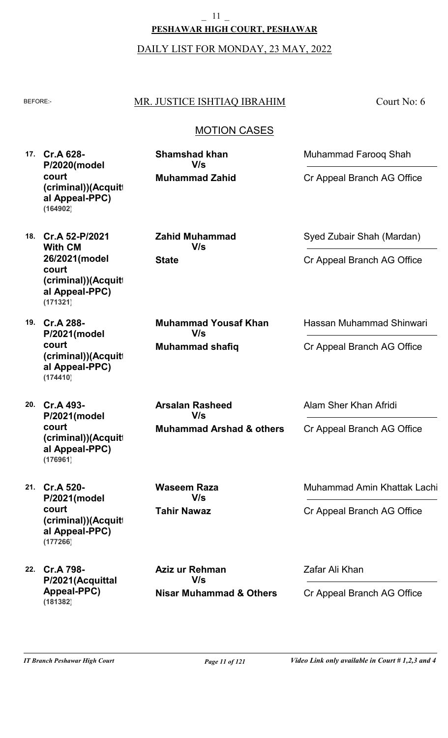# **PESHAWAR HIGH COURT, PESHAWAR** \_ 11 \_

DAILY LIST FOR MONDAY, 23 MAY, 2022

### BEFORE: MR. JUSTICE ISHTIAQ IBRAHIM

**Muhammad Zahid**

**V/s**

**Zahid Muhammad**

**V/s**

**Shamshad khan**

**Muhammad shafiq**

**V/s**

**Arsalan Rasheed**

**V/s**

**Muhammad Yousaf Khan**

**State**

Court No: 6

### MOTION CASES

**17. Cr.A 628- P/2020(model court (criminal))(Acquitt al Appeal-PPC) (164902)**

**18. Cr.A 52-P/2021 With CM 26/2021(model court (criminal))(Acquitt al Appeal-PPC) (171321)**

**19. Cr.A 288- P/2021(model court (criminal))(Acquitt al Appeal-PPC) (174410)**

**20. Cr.A 493- P/2021(model court (criminal))(Acquitt al Appeal-PPC) (176961)**

**21. Cr.A 520- P/2021(model court (criminal))(Acquitt al Appeal-PPC) (177266)**

**22. Cr.A 798- P/2021(Acquittal Appeal-PPC) (181382)**

**Nisar Muhammad & Others Aziz ur Rehman V/s**

**Tahir Nawaz**

**Waseem Raza**

**V/s**

**Muhammad Arshad & others**

Syed Zubair Shah (Mardan)

Muhammad Farooq Shah

Cr Appeal Branch AG Office

Cr Appeal Branch AG Office

Hassan Muhammad Shinwari

Cr Appeal Branch AG Office

Alam Sher Khan Afridi

Cr Appeal Branch AG Office

Muhammad Amin Khattak Lachi

Cr Appeal Branch AG Office

Zafar Ali Khan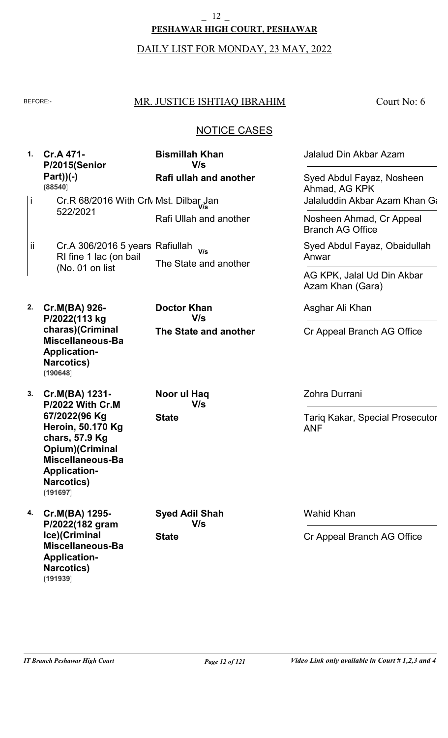#### $\frac{12}{}$

#### **PESHAWAR HIGH COURT, PESHAWAR**

# DAILY LIST FOR MONDAY, 23 MAY, 2022

### BEFORE: MR. JUSTICE ISHTIAQ IBRAHIM

Court No: 6

### NOTICE CASES

| 1 <sub>1</sub> | Cr.A 471-<br>P/2015(Senior<br>$Part)$ (-)<br>(88540)                                                                                                              | <b>Bismillah Khan</b><br>V/s | Jalalud Din Akbar Azam                               |
|----------------|-------------------------------------------------------------------------------------------------------------------------------------------------------------------|------------------------------|------------------------------------------------------|
|                |                                                                                                                                                                   | Rafi ullah and another       | Syed Abdul Fayaz, Nosheen<br>Ahmad, AG KPK           |
| j              | Cr.R 68/2016 With CrN Mst. Dilbar, Jan                                                                                                                            |                              | Jalaluddin Akbar Azam Khan Ga                        |
|                | 522/2021                                                                                                                                                          | Rafi Ullah and another       | Nosheen Ahmad, Cr Appeal<br><b>Branch AG Office</b>  |
| ij.            | Cr.A 306/2016 5 years Rafiullah<br>RI fine 1 lac (on bail                                                                                                         | V/s<br>The State and another | Syed Abdul Fayaz, Obaidullah<br>Anwar                |
|                | (No. 01 on list                                                                                                                                                   |                              | AG KPK, Jalal Ud Din Akbar<br>Azam Khan (Gara)       |
| 2.             | Cr.M(BA) 926-<br>P/2022(113 kg                                                                                                                                    | <b>Doctor Khan</b><br>V/s    | Asghar Ali Khan                                      |
|                | charas)(Criminal<br>Miscellaneous-Ba<br><b>Application-</b><br><b>Narcotics</b> )<br>(190648)                                                                     | The State and another        | Cr Appeal Branch AG Office                           |
| 3.             | Cr.M(BA) 1231-<br><b>P/2022 With Cr.M</b>                                                                                                                         | Noor ul Haq<br>V/s           | Zohra Durrani                                        |
|                | 67/2022(96 Kg<br><b>Heroin, 50.170 Kg</b><br>chars, 57.9 Kg<br>Opium)(Criminal<br><b>Miscellaneous-Ba</b><br><b>Application-</b><br><b>Narcotics)</b><br>(191697) | <b>State</b>                 | <b>Tariq Kakar, Special Prosecutor</b><br><b>ANF</b> |
| 4.             | Cr.M(BA) 1295-<br>P/2022(182 gram                                                                                                                                 | <b>Syed Adil Shah</b><br>V/s | <b>Wahid Khan</b>                                    |
|                | Ice)(Criminal<br>Miscellaneous-Ba<br><b>Application-</b><br><b>Narcotics)</b><br>(191939)                                                                         | <b>State</b>                 | Cr Appeal Branch AG Office                           |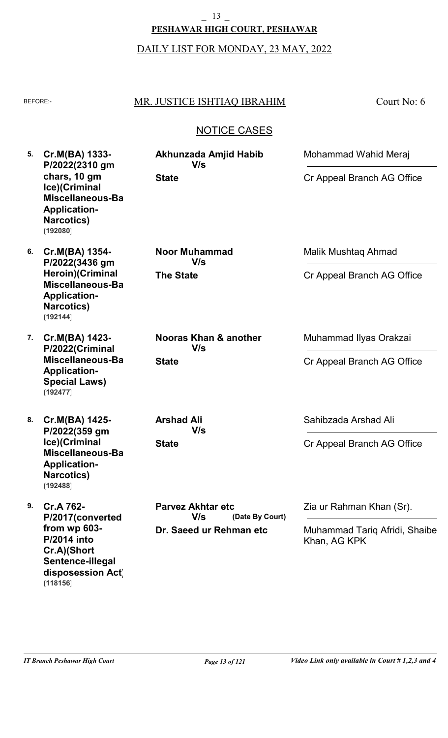### DAILY LIST FOR MONDAY, 23 MAY, 2022 **PESHAWAR HIGH COURT, PESHAWAR** 13

### BEFORE: MR. JUSTICE ISHTIAQ IBRAHIM

**Akhunzada Amjid Habib**

**V/s**

Court No: 6

### NOTICE CASES

**5. Cr.M(BA) 1333- P/2022(2310 gm chars, 10 gm Ice)(Criminal Miscellaneous-Bail Application-Narcotics) (192080)**

**6. Cr.M(BA) 1354- P/2022(3436 gm Heroin)(Criminal Miscellaneous-Bail Application-Narcotics) (192144)**

**7. Cr.M(BA) 1423- P/2022(Criminal Miscellaneous-Bail Application-Special Laws) (192477)**

**8. Cr.M(BA) 1425- P/2022(359 gm Ice)(Criminal Miscellaneous-Bail Application-Narcotics) (192488)**

**9. Cr.A 762- P/2017(converted from wp 603- P/2014 into Cr.A)(Short Sentence-illegal disposession Act) (118156)**

**The State Noor Muhammad V/s**

**State**

**State Nooras Khan & another V/s**

**State Arshad Ali V/s**

**Dr. Saeed ur Rehman etc (Date By Court) Parvez Akhtar etc V/s**

Malik Mushtaq Ahmad

Mohammad Wahid Meraj

Cr Appeal Branch AG Office

Cr Appeal Branch AG Office

Muhammad Ilyas Orakzai

Cr Appeal Branch AG Office

Sahibzada Arshad Ali

Cr Appeal Branch AG Office

Zia ur Rahman Khan (Sr).

Muhammad Tariq Afridi, Shaibe Khan, AG KPK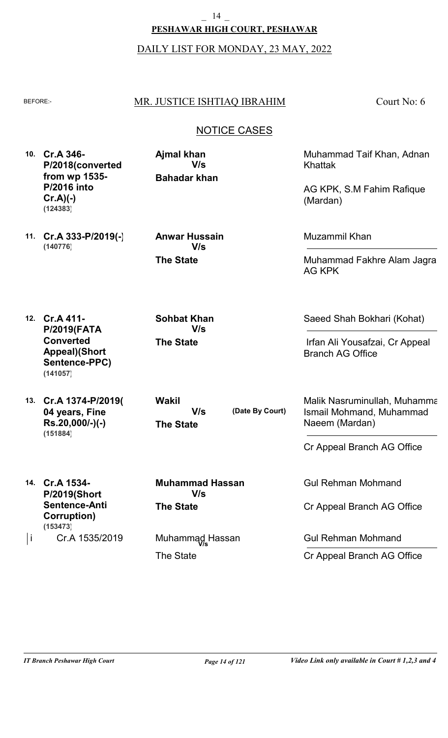DAILY LIST FOR MONDAY, 23 MAY, 2022

### BEFORE: MR. JUSTICE ISHTIAQ IBRAHIM

Court No: 6

### NOTICE CASES

**10. Cr.A 346- P/2018(converted from wp 1535- P/2016 into Cr.A)(-) (124383)**

**Bahadar khan Ajmal khan V/s**

Muhammad Taif Khan, Adnan Khattak

AG KPK, S.M Fahim Rafique (Mardan)

**11. Cr.A 333-P/2019(-) (140776)**

**The State Anwar Hussain V/s**

Muzammil Khan

Muhammad Fakhre Alam Jagra, AG KPK

Saeed Shah Bokhari (Kohat)

Irfan Ali Yousafzai, Cr Appeal

**12. Cr.A 411- P/2019(FATA Converted Appeal)(Short Sentence-PPC) (141057)**

**13. Cr.A 1374-P/2019( 04 years, Fine Rs.20,000/-)(-) (151884)**

**14. Cr.A 1534-**

**(153473)**

**P/2019(Short Sentence-Anti Corruption)**

Cr.A 1535/2019

**The State**

**Sohbat Khan**

**V/s**

**The State**

The State

i Cr.A 1535/2019 Muhammąd Hassan

**The State Wakil V/s**

**Muhammad Hassan**

**V/s**

**(Date By Court)**

Malik Nasruminullah, Muhamma

Ismail Mohmand, Muhammad

Cr Appeal Branch AG Office

Gul Rehman Mohmand

Naeem (Mardan)

Branch AG Office

Cr Appeal Branch AG Office

Gul Rehman Mohmand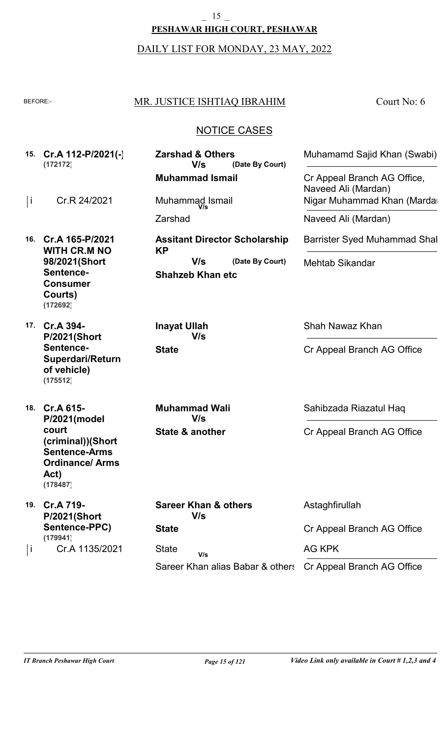**PESHAWAR HIGH COURT, PESHAWAR**  $15$ 

DAILY LIST FOR MONDAY, 23 MAY, 2022

| <b>BEFORE:-</b> |                                                                                                                                  | MR. JUSTICE ISHTIAQ IBRAHIM                                                                            | Court No: 6                                                              |
|-----------------|----------------------------------------------------------------------------------------------------------------------------------|--------------------------------------------------------------------------------------------------------|--------------------------------------------------------------------------|
|                 |                                                                                                                                  | <b>NOTICE CASES</b>                                                                                    |                                                                          |
|                 | 15. Cr.A 112-P/2021(-)<br>(172172)                                                                                               | <b>Zarshad &amp; Others</b><br>V/s<br>(Date By Court)<br><b>Muhammad Ismail</b>                        | Muhamamd Sajid Khan (Swabi)<br>Cr Appeal Branch AG Office,               |
| İ               | Cr.R 24/2021                                                                                                                     | Muhammad Ismail<br>Zarshad                                                                             | Naveed Ali (Mardan)<br>Nigar Muhammad Khan (Marda<br>Naveed Ali (Mardan) |
| 16.             | Cr.A 165-P/2021<br><b>WITH CR.M NO</b><br>98/2021(Short<br>Sentence-<br><b>Consumer</b><br>Courts)<br>(172692)                   | <b>Assitant Director Scholarship</b><br><b>KP</b><br>V/s<br>(Date By Court)<br><b>Shahzeb Khan etc</b> | Barrister Syed Muhammad Shal<br><b>Mehtab Sikandar</b>                   |
| 17.             | Cr.A 394-<br><b>P/2021(Short</b><br>Sentence-<br><b>Superdari/Return</b><br>of vehicle)<br>(175512)                              | <b>Inayat Ullah</b><br>V/s<br><b>State</b>                                                             | Shah Nawaz Khan<br>Cr Appeal Branch AG Office                            |
|                 | 18. Cr.A 615-<br>P/2021(model<br>court<br>(criminal))(Short<br><b>Sentence-Arms</b><br><b>Ordinance/Arms</b><br>Act)<br>(178487) | <b>Muhammad Wali</b><br>V/s<br>State & another                                                         | Sahibzada Riazatul Haq<br>Cr Appeal Branch AG Office                     |
| 19.             | Cr.A 719-<br><b>P/2021(Short</b><br>Sentence-PPC)<br>(179941)                                                                    | <b>Sareer Khan &amp; others</b><br>V/s<br><b>State</b>                                                 | Astaghfirullah<br>Cr Appeal Branch AG Office                             |
| j               | Cr.A 1135/2021                                                                                                                   | <b>State</b><br>V/s<br>Sareer Khan alias Babar & others                                                | <b>AG KPK</b><br>Cr Appeal Branch AG Office                              |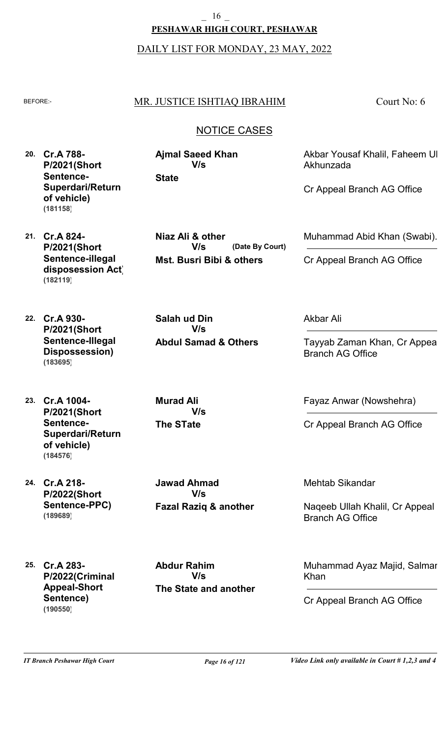**PESHAWAR HIGH COURT, PESHAWAR** \_ 16 \_

DAILY LIST FOR MONDAY, 23 MAY, 2022

#### BEFORE:- MR. JUSTICE ISHTIAQ IBRAHIM

Court No: 6

### NOTICE CASES

**(Date By Court)**

**20. Cr.A 788- P/2021(Short Sentence-Superdari/Return of vehicle) (181158)**

**State Ajmal Saeed Khan V/s**

**Niaz Ali & other**

**V/s**

**Salah ud Din**

**Mst. Busri Bibi & others**

**Abdul Samad & Others**

**V/s**

Akbar Yousaf Khalil, Faheem Ul Akhunzada

Muhammad Abid Khan (Swabi).

Cr Appeal Branch AG Office

Cr Appeal Branch AG Office

**21. Cr.A 824- P/2021(Short Sentence-illegal disposession Act) (182119)**

**22. Cr.A 930- P/2021(Short Sentence-Illegal Dispossession) (183695)**

**23. Cr.A 1004- P/2021(Short Sentence-Superdari/Return of vehicle) (184576)**

**24. Cr.A 218- P/2022(Short Sentence-PPC) (189689)**

**The STate Murad Ali V/s**

**Fazal Raziq & another Jawad Ahmad V/s**

Akbar Ali

Tayyab Zaman Khan, Cr Appeal Branch AG Office

Fayaz Anwar (Nowshehra)

Cr Appeal Branch AG Office

Mehtab Sikandar

Naqeeb Ullah Khalil, Cr Appeal Branch AG Office

Muhammad Ayaz Majid, Salman Khan

Cr Appeal Branch AG Office

**25. Cr.A 283- P/2022(Criminal Appeal-Short Sentence) (190550)**

**The State and another Abdur Rahim V/s**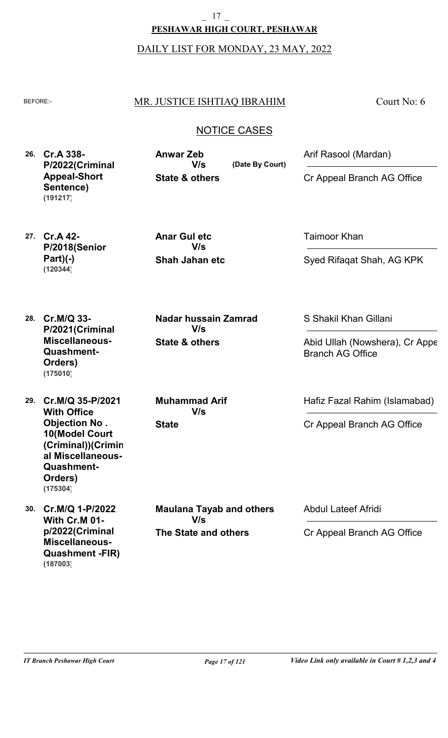**PESHAWAR HIGH COURT, PESHAWAR** \_ 17 \_

DAILY LIST FOR MONDAY, 23 MAY, 2022

#### BEFORE:- MR. JUSTICE ISHTIAQ IBRAHIM

Court No: 6

### NOTICE CASES

**(Date By Court)**

**26. Cr.A 338- P/2022(Criminal Appeal-Short Sentence) (191217)**

**State & others Anwar Zeb V/s**

Arif Rasool (Mardan)

Cr Appeal Branch AG Office

**27. Cr.A 42- P/2018(Senior Part)(-) (120344)**

**Shah Jahan etc Anar Gul etc V/s**

Taimoor Khan

Syed Rifaqat Shah, AG KPK

**28. Cr.M/Q 33- P/2021(Criminal Miscellaneous-Quashment-Orders) (175010)**

**29. Cr.M/Q 35-P/2021 With Office Objection No . 10(Model Court (Criminal))(Crimin al Miscellaneous-Quashment-Orders) (175304)**

**30. Cr.M/Q 1-P/2022 With Cr.M 01 p/2022(Criminal Miscellaneous-Quashment -FIR) (187003)**

**State Muhammad Arif V/s**

**State & others**

**Nadar hussain Zamrad**

**V/s**

**The State and others Maulana Tayab and others V/s**

S Shakil Khan Gillani

Abid Ullah (Nowshera), Cr Appe Branch AG Office

Hafiz Fazal Rahim (Islamabad)

Cr Appeal Branch AG Office

Abdul Lateef Afridi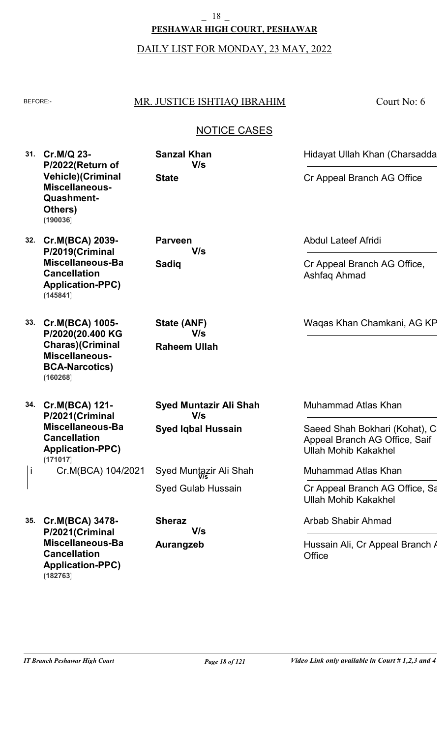### **PESHAWAR HIGH COURT, PESHAWAR** \_ 18 \_

DAILY LIST FOR MONDAY, 23 MAY, 2022

### BEFORE: MR. JUSTICE ISHTIAQ IBRAHIM

Court No: 6

### NOTICE CASES

**31. Cr.M/Q 23- P/2022(Return of Vehicle)(Criminal Miscellaneous-Quashment-Others) (190036)**

- **32. Cr.M(BCA) 2039- P/2019(Criminal Miscellaneous-Bail Cancellation Application-PPC) (145841)**
- **33. Cr.M(BCA) 1005- P/2020(20.400 KG Charas)(Criminal Miscellaneous-BCA-Narcotics) (160268)**

**34. Cr.M(BCA) 121- P/2021(Criminal Miscellaneous-Bail Cancellation Application-PPC)** Cr.M(BCA) 104/2021 **(171017)**

**Raheem Ullah State (ANF) V/s**

**State**

**Sanzal Khan**

**V/s**

**V/s**

**Sadiq**

**Parveen**

**Syed Iqbal Hussain Syed Muntazir Ali Shah V/s**

Syed Gulab Hussain i Cr.M(BCA) 104/2021 Syed Muntazir Ali Shah

**35. Cr.M(BCA) 3478- P/2021(Criminal Miscellaneous-Bail Cancellation Application-PPC) (182763)**

**Aurangzeb Sheraz V/s** Abdul Lateef Afridi

Cr Appeal Branch AG Office, Ashfaq Ahmad

Hidayat Ullah Khan (Charsadda)

Cr Appeal Branch AG Office

Waqas Khan Chamkani, AG KP

Muhammad Atlas Khan

Saeed Shah Bokhari (Kohat), C Appeal Branch AG Office, Saif Ullah Mohib Kakakhel

Muhammad Atlas Khan

Cr Appeal Branch AG Office, Sa Ullah Mohib Kakakhel

Arbab Shabir Ahmad

Hussain Ali, Cr Appeal Branch / **Office**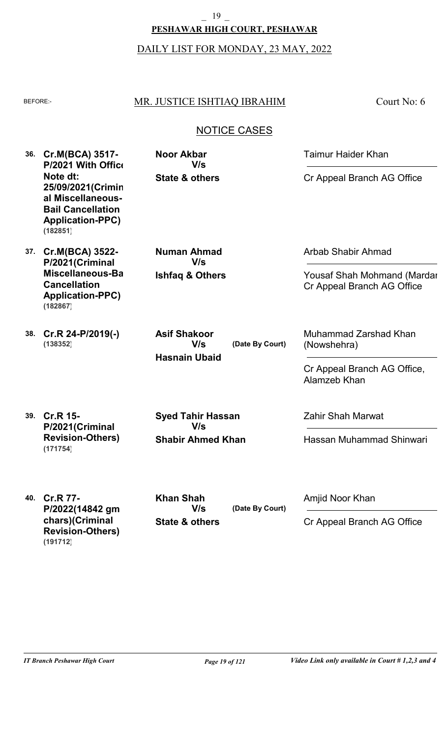### **PESHAWAR HIGH COURT, PESHAWAR** 19

DAILY LIST FOR MONDAY, 23 MAY, 2022

### BEFORE: MR. JUSTICE ISHTIAQ IBRAHIM

Court No: 6

### NOTICE CASES

**36. Cr.M(BCA) 3517- 37. Cr.M(BCA) 3522- P/2021 With Office Note dt: 25/09/2021(Crimin al Miscellaneous-Bail Cancellation Application-PPC) P/2021(Criminal Miscellaneous-Bail Cancellation Application-PPC) State & others Ishfaq & Others Noor Akbar Numan Ahmad** Taimur Haider Khan Arbab Shabir Ahmad Cr Appeal Branch AG Office Yousaf Shah Mohmand (Mardar Cr Appeal Branch AG Office **V/s V/s (182851)**

**38. Cr.R 24-P/2019(-) (138352)**

**(182867)**

**Hasnain Ubaid (Date By Court) Asif Shakoor V/s**

Muhammad Zarshad Khan (Nowshehra)

Cr Appeal Branch AG Office, Alamzeb Khan

**39. Cr.R 15- P/2021(Criminal Revision-Others) (171754)**

**Shabir Ahmed Khan Syed Tahir Hassan V/s**

Zahir Shah Marwat

Hassan Muhammad Shinwari

**40. Cr.R 77- P/2022(14842 gm chars)(Criminal Revision-Others) (191712)**

**State & others (Date By Court) Khan Shah V/s**

Amjid Noor Khan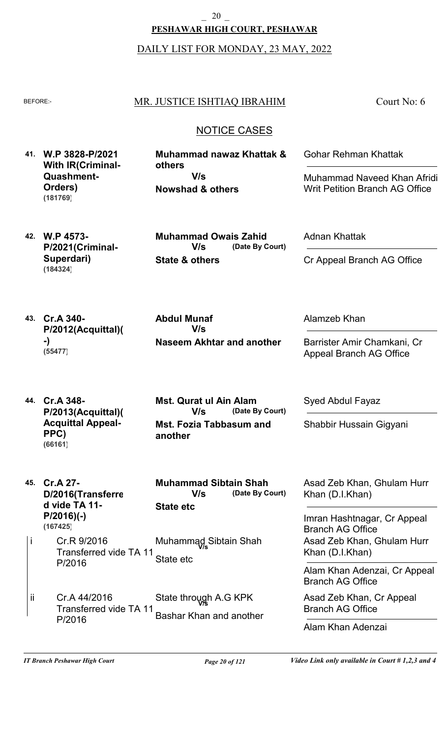**PESHAWAR HIGH COURT, PESHAWAR** \_ 20 \_

DAILY LIST FOR MONDAY, 23 MAY, 2022

#### BEFORE:- MR. JUSTICE ISHTIAQ IBRAHIM

Court No: 6

### NOTICE CASES

**41. W.P 3828-P/2021 With IR(Criminal-Quashment-Orders) (181769)**

**Nowshad & others Muhammad nawaz Khattak & others V/s**

Gohar Rehman Khattak

Muhammad Naveed Khan Afridi, Writ Petition Branch AG Office

**42. W.P 4573- P/2021(Criminal-Superdari) (184324)**

**State & others (Date By Court) Muhammad Owais Zahid V/s**

Adnan Khattak

Cr Appeal Branch AG Office

**43. Cr.A 340- P/2012(Acquittal)( -) (55477)**

**Naseem Akhtar and another Abdul Munaf V/s**

Alamzeb Khan

Syed Abdul Fayaz

Shabbir Hussain Gigyani

Barrister Amir Chamkani, Cr Appeal Branch AG Office

**44. Cr.A 348- P/2013(Acquittal)( Acquittal Appeal-PPC) (66161)**

**P/2016)(-)**

**(167425)**

**Mst. Fozia Tabbasum and another (Date By Court) Mst. Qurat ul Ain Alam V/s**

**45. Cr.A 27- D/2016(Transferre d vide TA 11- State etc (Date By Court) Muhammad Sibtain Shah V/s**

Cr.R 9/2016 Transferred vide TA 11- P/2016 State etc i Muhammad Sibtain Shah **V/s**

Cr.A 44/2016 Transferred vide TA 11- P/2016 Bashar Khan and another ii State through A.G KPK **V/s**

Asad Zeb Khan, Ghulam Hurr

Khan (D.I.Khan)

Imran Hashtnagar, Cr Appeal Branch AG Office Asad Zeb Khan, Ghulam Hurr Khan (D.I.Khan)

Alam Khan Adenzai, Cr Appeal Branch AG Office

Asad Zeb Khan, Cr Appeal Branch AG Office

Alam Khan Adenzai

*IT Branch Peshawar High Court Page 20 of 121 Video Link only available in Court # 1,2,3 and 4*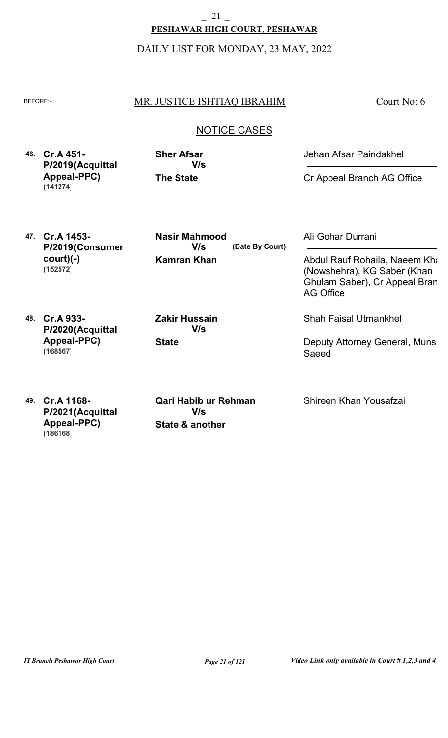DAILY LIST FOR MONDAY, 23 MAY, 2022

### BEFORE: MR. JUSTICE ISHTIAQ IBRAHIM

Court No: 6

### NOTICE CASES

**46. Cr.A 451- P/2019(Acquittal Appeal-PPC) (141274)**

**The State Sher Afsar V/s** Jehan Afsar Paindakhel

Cr Appeal Branch AG Office

**47. Cr.A 1453- P/2019(Consumer court)(-) (152572)**

**Kamran Khan (Date By Court) Nasir Mahmood V/s**

Ali Gohar Durrani

Abdul Rauf Rohaila, Naeem Kha (Nowshehra), KG Saber (Khan Ghulam Saber), Cr Appeal Bran AG Office

**48. Cr.A 933- P/2020(Acquittal Appeal-PPC) (168567)**

**State Zakir Hussain V/s**

Shah Faisal Utmankhel

Deputy Attorney General, Munsi Saeed

**49. Cr.A 1168- P/2021(Acquittal Appeal-PPC) (186168)**

**State & another Qari Habib ur Rehman V/s**

Shireen Khan Yousafzai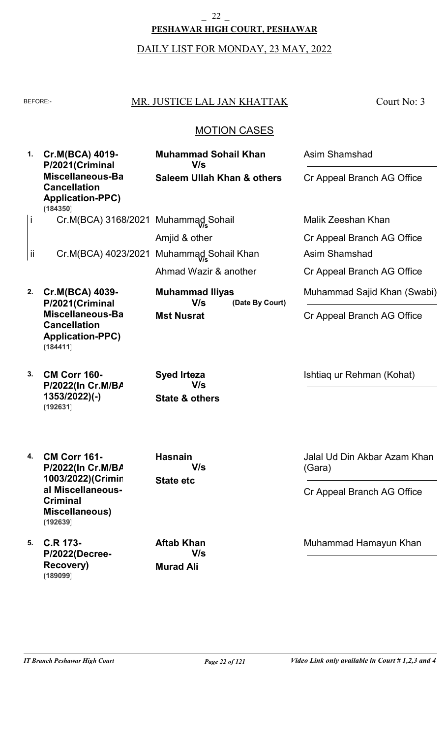## DAILY LIST FOR MONDAY, 23 MAY, 2022 **PESHAWAR HIGH COURT, PESHAWAR**  $2^2$

### BEFORE: MR. JUSTICE LAL JAN KHATTAK

Court No: 3

### MOTION CASES

| 1. | Cr.M(BCA) 4019-<br>P/2021(Criminal                                             | <b>Muhammad Sohail Khan</b><br>V/s                     | <b>Asim Shamshad</b>                   |
|----|--------------------------------------------------------------------------------|--------------------------------------------------------|----------------------------------------|
|    | Miscellaneous-Ba<br><b>Cancellation</b><br><b>Application-PPC)</b><br>(184350) | <b>Saleem Ullah Khan &amp; others</b>                  | Cr Appeal Branch AG Office             |
| j. | Cr.M(BCA) 3168/2021 Muhammad Sohail                                            |                                                        | Malik Zeeshan Khan                     |
|    |                                                                                | Amjid & other                                          | Cr Appeal Branch AG Office             |
| Ϊİ |                                                                                | Cr.M(BCA) 4023/2021 Muhammad Sohail Khan               | Asim Shamshad                          |
|    |                                                                                | Ahmad Wazir & another                                  | Cr Appeal Branch AG Office             |
| 2. | Cr.M(BCA) 4039-<br>P/2021(Criminal                                             | <b>Muhammad Iliyas</b><br>V/s<br>(Date By Court)       | Muhammad Sajid Khan (Swabi)            |
|    | Miscellaneous-Ba<br><b>Cancellation</b><br><b>Application-PPC)</b><br>(184411) | <b>Mst Nusrat</b>                                      | Cr Appeal Branch AG Office             |
| 3. | <b>CM Corr 160-</b><br>P/2022(In Cr.M/BA<br>$1353/2022$ )(-)<br>(192631)       | <b>Syed Irteza</b><br>V/s<br><b>State &amp; others</b> | Ishtiag ur Rehman (Kohat)              |
| 4. | <b>CM Corr 161-</b><br>P/2022(In Cr.M/BA<br>1003/2022)(Crimin                  | <b>Hasnain</b><br>V/s<br><b>State etc</b>              | Jalal Ud Din Akbar Azam Khan<br>(Gara) |
|    | al Miscellaneous-<br><b>Criminal</b><br><b>Miscellaneous)</b><br>(192639)      |                                                        | Cr Appeal Branch AG Office             |
| 5. | <b>C.R 173-</b><br>P/2022(Decree-<br><b>Recovery)</b>                          | <b>Aftab Khan</b><br>V/s<br><b>Murad Ali</b>           | Muhammad Hamayun Khan                  |

**(189099)**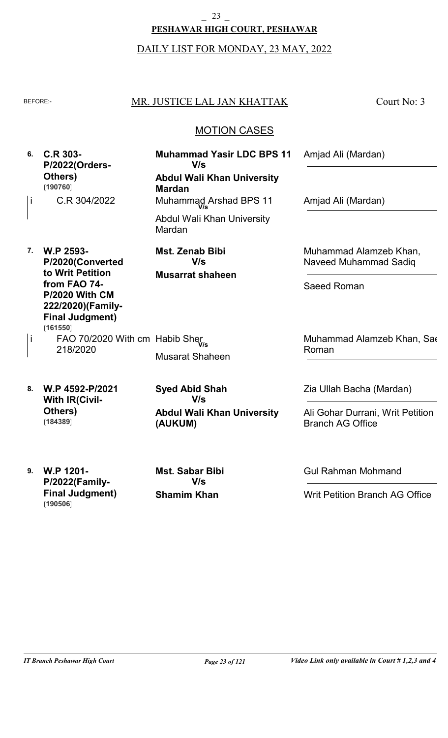#### **PESHAWAR HIGH COURT, PESHAWAR**  $\begin{array}{cc} 23 \end{array}$

### DAILY LIST FOR MONDAY, 23 MAY, 2022

#### BEFORE: MR. JUSTICE LAL JAN KHATTAK

Court No: 3

### MOTION CASES

| 6. | C.R 303-<br>P/2022(Orders-                                                                       | <b>Muhammad Yasir LDC BPS 11</b><br>V/s             | Amjad Ali (Mardan)                                          |
|----|--------------------------------------------------------------------------------------------------|-----------------------------------------------------|-------------------------------------------------------------|
|    | Others)<br>(190760)                                                                              | <b>Abdul Wali Khan University</b><br><b>Mardan</b>  |                                                             |
| j. | C.R 304/2022                                                                                     | Muhammad Arshad BPS 11                              | Amjad Ali (Mardan)                                          |
|    |                                                                                                  | Abdul Wali Khan University<br>Mardan                |                                                             |
| 7. | W.P 2593-                                                                                        | Mst. Zenab Bibi                                     | Muhammad Alamzeb Khan,                                      |
|    | P/2020(Converted<br>to Writ Petition                                                             | V/s<br><b>Musarrat shaheen</b>                      | Naveed Muhammad Sadiq                                       |
|    | from FAO 74-<br><b>P/2020 With CM</b><br>222/2020)(Family-<br><b>Final Judgment)</b><br>(161550) |                                                     | Saeed Roman                                                 |
|    | FAO 70/2020 With cm Habib Sher<br>218/2020                                                       |                                                     | Muhammad Alamzeb Khan, Sae                                  |
|    |                                                                                                  | <b>Musarat Shaheen</b>                              | Roman                                                       |
| 8. | W.P 4592-P/2021<br><b>With IR(Civil-</b>                                                         | <b>Syed Abid Shah</b><br>V/s                        | Zia Ullah Bacha (Mardan)                                    |
|    | Others)<br>(184389)                                                                              | <b>Abdul Wali Khan University</b><br><b>(AUKUM)</b> | Ali Gohar Durrani, Writ Petition<br><b>Branch AG Office</b> |

**9. W.P 1201- P/2022(Family-Final Judgment) (190506)**

**Shamim Khan Mst. Sabar Bibi V/s**

Gul Rahman Mohmand

Writ Petition Branch AG Office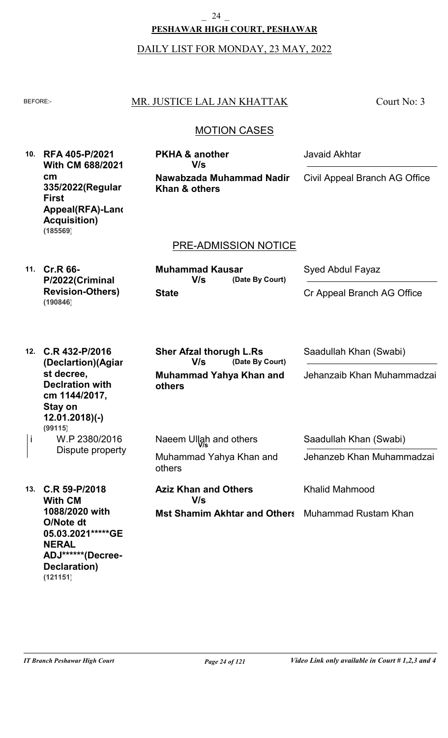**PESHAWAR HIGH COURT, PESHAWAR** 24

DAILY LIST FOR MONDAY, 23 MAY, 2022

#### BEFORE: MR. JUSTICE LAL JAN KHATTAK

Court No: 3

### MOTION CASES

**10. RFA 405-P/2021 With CM 688/2021 cm 335/2022(Regular First Appeal(RFA)-Land Acquisition) (185569)**

**Nawabzada Muhammad Nadir**

**Khan & others**

**PKHA & another**

**V/s**

# PRE-ADMISSION NOTICE

**11. Cr.R 66- P/2022(Criminal Revision-Others) (190846)**

**State (Date By Court) Muhammad Kausar V/s**

Syed Abdul Fayaz

Javaid Akhtar

Cr Appeal Branch AG Office

Civil Appeal Branch AG Office

| 12. | C.R 432-P/2016<br>(Declartion)(Agiar                                                                  | <b>Sher Afzal thorugh L.Rs</b><br>V/s<br>(Date By Court) | Saadullah Khan (Swabi)     |
|-----|-------------------------------------------------------------------------------------------------------|----------------------------------------------------------|----------------------------|
|     | st decree,<br><b>Deciration with</b><br>cm 1144/2017,<br>Stay on<br>$12.01.2018$ (-)<br>(99115)       | Muhammad Yahya Khan and<br><b>others</b>                 | Jehanzaib Khan Muhammadzai |
|     | W.P 2380/2016<br>Dispute property                                                                     | Naeem Ullah and others                                   | Saadullah Khan (Swabi)     |
|     |                                                                                                       | Muhammad Yahya Khan and<br>others                        | Jehanzeb Khan Muhammadzai  |
| 13. | $C.R 59-P/2018$<br><b>With CM</b>                                                                     | <b>Aziz Khan and Others</b><br>V/s                       | <b>Khalid Mahmood</b>      |
|     | 1088/2020 with<br>O/Note dt<br>05.03.2021*****GE<br><b>NERAL</b><br>ADJ******(Decree-<br>Declaration) | <b>Mst Shamim Akhtar and Others</b>                      | Muhammad Rustam Khan       |

**(121151)**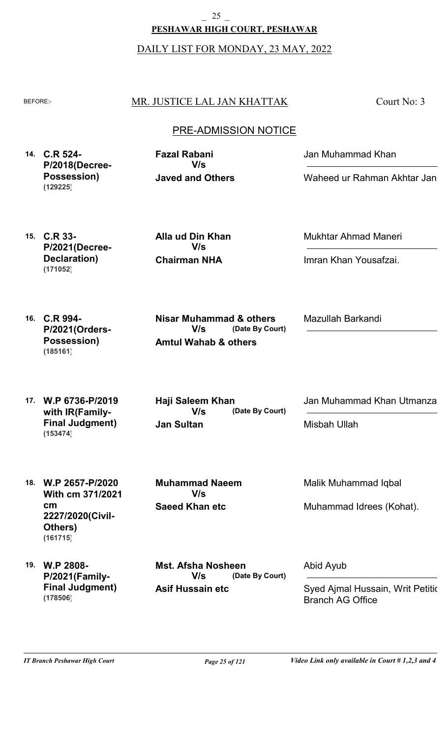**PESHAWAR HIGH COURT, PESHAWAR** \_ 25 \_

DAILY LIST FOR MONDAY, 23 MAY, 2022

### BEFORE: MR. JUSTICE LAL JAN KHATTAK

Court No: 3

### PRE-ADMISSION NOTICE

**14. C.R 524- P/2018(Decree-Possession) (129225)**

**Javed and Others Fazal Rabani V/s**

Jan Muhammad Khan

Waheed ur Rahman Akhtar Jan

**15. C.R 33- P/2021(Decree-Declaration) (171052)**

**Chairman NHA Alla ud Din Khan V/s**

Mukhtar Ahmad Maneri

Imran Khan Yousafzai.

Mazullah Barkandi

**16. C.R 994- P/2021(Orders-Possession) (185161)**

**Amtul Wahab & others (Date By Court) V/s**

**Nisar Muhammad & others**

**17. W.P 6736-P/2019 with IR(Family-Final Judgment) (153474)**

**Jan Sultan (Date By Court) Haji Saleem Khan V/s**

Jan Muhammad Khan Utmanzai

Misbah Ullah

**18. W.P 2657-P/2020 With cm 371/2021 cm 2227/2020(Civil-Others) (161715)**

**Saeed Khan etc Muhammad Naeem V/s**

Malik Muhammad Iqbal

Muhammad Idrees (Kohat).

**19. W.P 2808- P/2021(Family-Final Judgment) (178506)**

**Asif Hussain etc (Date By Court) Mst. Afsha Nosheen V/s**

Abid Ayub

Syed Ajmal Hussain, Writ Petitic Branch AG Office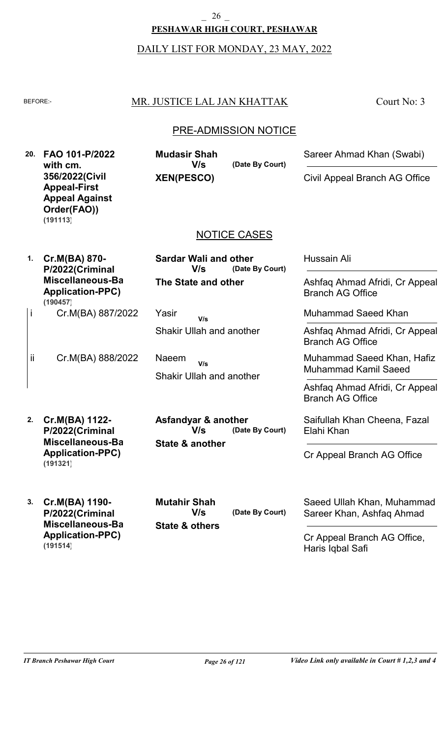#### **PESHAWAR HIGH COURT, PESHAWAR** \_ 26 \_

#### DAILY LIST FOR MONDAY, 23 MAY, 2022

### BEFORE: MR. JUSTICE LAL JAN KHATTAK

Court No: 3

### PRE-ADMISSION NOTICE

**20. FAO 101-P/2022 with cm. 356/2022(Civil Appeal-First Appeal Against Order(FAO)) (191113)**

**XEN(PESCO)**

**Mudasir Shah**

**V/s**

NOTICE CASES

**(Date By Court)**

**(Date By Court)**

**1. Cr.M(BA) 870- P/2022(Criminal Miscellaneous-Bail Application-PPC)** Cr.M(BA) 887/2022 i **(190457)**

**The State and other (Date By Court) Sardar Wali and other V/s**

Shakir Ullah and another Yasir **V/s**

Shakir Ullah and another Naeem **V/s**

**State & another**

**Asfandyar & another**

**V/s**

Hussain Ali

Ashfaq Ahmad Afridi, Cr Appeal Branch AG Office

Sareer Ahmad Khan (Swabi)

Civil Appeal Branch AG Office

Muhammad Saeed Khan

Ashfaq Ahmad Afridi, Cr Appeal Branch AG Office

Muhammad Saeed Khan, Hafiz Muhammad Kamil Saeed

Ashfaq Ahmad Afridi, Cr Appeal Branch AG Office

Saifullah Khan Cheena, Fazal Elahi Khan

Cr Appeal Branch AG Office

**3. Cr.M(BA) 1190- P/2022(Criminal Miscellaneous-Bail Application-PPC) (191514)**

**Cr.M(BA) 1122- P/2022(Criminal Miscellaneous-Bail Application-PPC)**

**(191321)**

Cr.M(BA) 888/2022

**2.**

ii

**State & others (Date By Court) Mutahir Shah V/s**

Saeed Ullah Khan, Muhammad Sareer Khan, Ashfaq Ahmad

Cr Appeal Branch AG Office, Haris Iqbal Safi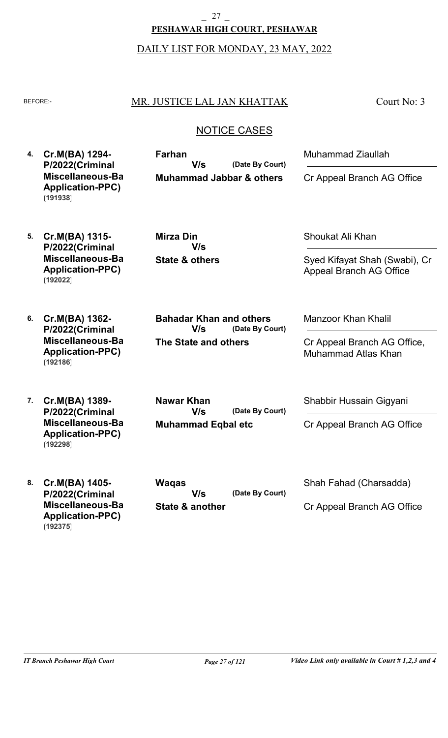**PESHAWAR HIGH COURT, PESHAWAR** 27

DAILY LIST FOR MONDAY, 23 MAY, 2022

#### BEFORE: MR. JUSTICE LAL JAN KHATTAK

Court No: 3

### NOTICE CASES

**4. Cr.M(BA) 1294- P/2022(Criminal Miscellaneous-Bail Application-PPC) Muhammad Jabbar & others (Date By Court) Farhan V/s (191938)**

Muhammad Ziaullah

Cr Appeal Branch AG Office

**5. Cr.M(BA) 1315- P/2022(Criminal Miscellaneous-Bail Application-PPC) (192022)**

**State & others Mirza Din V/s**

**The State and others**

**V/s**

**Bahadar Khan and others**

Shoukat Ali Khan

Syed Kifayat Shah (Swabi), Cr Appeal Branch AG Office

**6. Cr.M(BA) 1362- P/2022(Criminal Miscellaneous-Bail Application-PPC) (192186)**

**7. Cr.M(BA) 1389- P/2022(Criminal Miscellaneous-Bail Application-PPC) (192298)**

**Muhammad Eqbal etc (Date By Court) Nawar Khan V/s**

**(Date By Court)**

Manzoor Khan Khalil

Cr Appeal Branch AG Office, Muhammad Atlas Khan

Shabbir Hussain Gigyani

Cr Appeal Branch AG Office

**8. Cr.M(BA) 1405- P/2022(Criminal Miscellaneous-Bail Application-PPC) (192375)**

**(Date By Court) Waqas V/s**

**State & another**

Shah Fahad (Charsadda)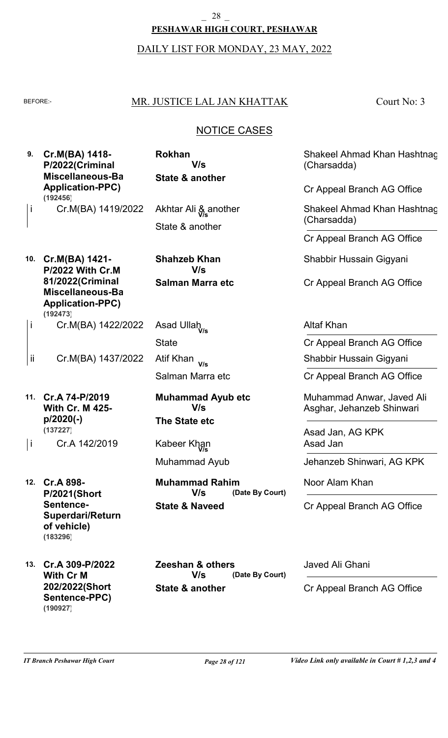#### **PESHAWAR HIGH COURT, PESHAWAR** \_ 28 \_

#### DAILY LIST FOR MONDAY, 23 MAY, 2022

i

ii

i

### BEFORE: MR. JUSTICE LAL JAN KHATTAK

**State & another**

**V/s**

Akhtar Ali & another **V/s**

**Rokhan**

State & another

**Shahzeb Khan**

Court No: 3

### NOTICE CASES

Shakeel Ahmad Khan Hashtnag (Charsadda)

Cr Appeal Branch AG Office

Shakeel Ahmad Khan Hashtnag (Charsadda)

Cr Appeal Branch AG Office

Shabbir Hussain Gigyani

Cr Appeal Branch AG Office

Altaf Khan

Cr Appeal Branch AG Office

Shabbir Hussain Gigyani

Cr Appeal Branch AG Office

Muhammad Anwar, Javed Ali Asghar, Jehanzeb Shinwari

Asad Jan, AG KPK Asad Jan

Jehanzeb Shinwari, AG KPK

Noor Alam Khan

Cr Appeal Branch AG Office

Javed Ali Ghani

Cr Appeal Branch AG Office

| 10. | Cr.M(BA) 1421-          |
|-----|-------------------------|
|     | P/2022 With Cr.M        |
|     | 81/2022(Criminal        |
|     | Miscellaneous-Ba        |
|     | <b>Application-PPC)</b> |
|     | (192473)                |
|     | Cr.M(BA) 1422/2022      |

Cr.M(BA) 1437/2022

**9. Cr.M(BA) 1418-**

**(192456)**

**P/2022(Criminal Miscellaneous-Bail Application-PPC)**

Cr.M(BA) 1419/2022

**State** Salman Marra etc Asad Ullah **V/s** Atif Khan **V/s**

**Salman Marra etc**

**V/s**

**The State etc Muhammad Ayub etc V/s**

Muhammad Ayub Kabeer Khan **V/s**

**State & Naveed (Date By Court) Muhammad Rahim V/s**

**12. Cr.A 898- P/2021(Short Sentence-Superdari/Return of vehicle) (183296)**

**11. Cr.A 74-P/2019**

**p/2020(-)**

**(137227)**

**With Cr. M 425-**

Cr.A 142/2019

**13. Cr.A 309-P/2022 With Cr M 202/2022(Short Sentence-PPC) (190927)**

**State & another (Date By Court) Zeeshan & others V/s**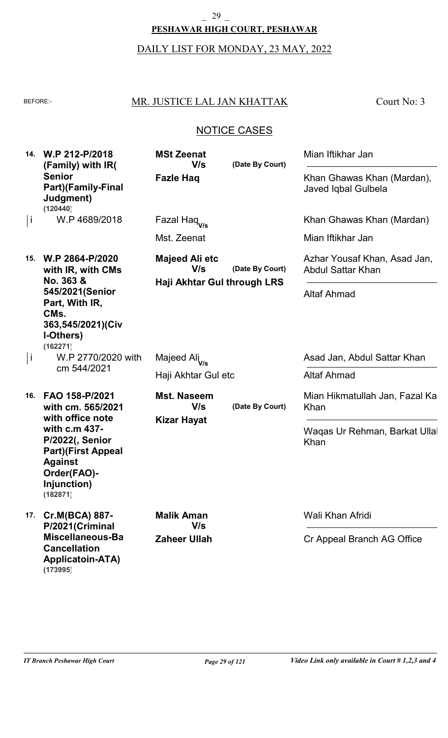#### **PESHAWAR HIGH COURT, PESHAWAR** \_ 29 \_

### DAILY LIST FOR MONDAY, 23 MAY, 2022

### BEFORE: MR. JUSTICE LAL JAN KHATTAK

Court No: 3

### NOTICE CASES

|     | 14. W.P 212-P/2018<br>(Family) with IR(<br><b>Senior</b><br><b>Part)</b> (Family-Final<br>Judgment)<br>(120440)                                                                             | <b>MSt Zeenat</b><br>V/s<br><b>Fazle Haq</b>    | (Date By Court)                                | Mian Iftikhar Jan<br>Khan Ghawas Khan (Mardan),<br>Javed Iqbal Gulbela |
|-----|---------------------------------------------------------------------------------------------------------------------------------------------------------------------------------------------|-------------------------------------------------|------------------------------------------------|------------------------------------------------------------------------|
| j   | W.P 4689/2018                                                                                                                                                                               | Fazal Haq <sub>v/s</sub>                        |                                                | Khan Ghawas Khan (Mardan)                                              |
|     |                                                                                                                                                                                             | Mst. Zeenat                                     |                                                | Mian Iftikhar Jan                                                      |
| 15. | W.P 2864-P/2020<br>with IR, with CMs<br>No. 363 &<br>545/2021(Senior<br>Part, With IR,<br>CM <sub>s.</sub><br>363,545/2021)(Civ<br>I-Others)<br>(162271)                                    | Majeed Ali etc<br>V/s                           | (Date By Court)<br>Haji Akhtar Gul through LRS | Azhar Yousaf Khan, Asad Jan,<br><b>Abdul Sattar Khan</b>               |
|     |                                                                                                                                                                                             |                                                 |                                                | <b>Altaf Ahmad</b>                                                     |
| j   | W.P 2770/2020 with<br>cm 544/2021                                                                                                                                                           | Majeed Ali <sub>V/s</sub>                       |                                                | Asad Jan, Abdul Sattar Khan                                            |
|     |                                                                                                                                                                                             | Haji Akhtar Gul etc                             |                                                | <b>Altaf Ahmad</b>                                                     |
| 16. | FAO 158-P/2021<br>with cm. 565/2021<br>with office note<br>with c.m 437-<br><b>P/2022(, Senior</b><br><b>Part)(First Appeal</b><br><b>Against</b><br>Order(FAO)-<br>Injunction)<br>(182871) | <b>Mst. Naseem</b><br>V/s<br><b>Kizar Hayat</b> | (Date By Court)                                | Mian Hikmatullah Jan, Fazal Ka<br>Khan                                 |
|     |                                                                                                                                                                                             |                                                 |                                                | Waqas Ur Rehman, Barkat Ullal<br>Khan                                  |
| 17. | Cr.M(BCA) 887-<br>P/2021(Criminal<br>Miscellaneous-Ba<br><b>Cancellation</b><br><b>Applicatoin-ATA)</b>                                                                                     | <b>Malik Aman</b><br>V/s                        |                                                | Wali Khan Afridi                                                       |
|     |                                                                                                                                                                                             | <b>Zaheer Ullah</b>                             |                                                | Cr Appeal Branch AG Office                                             |

**(173995)**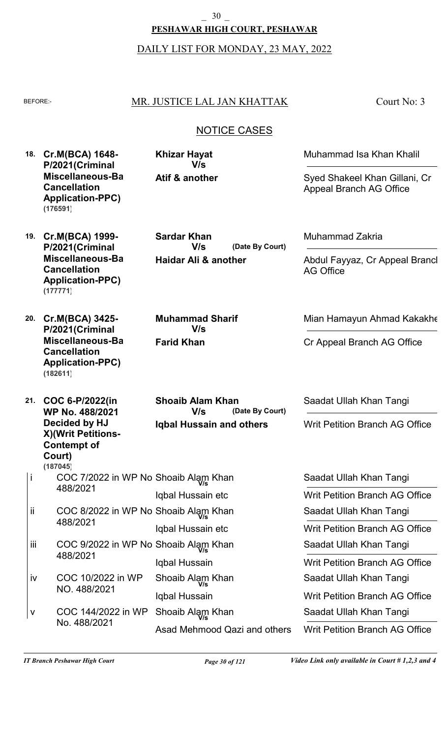DAILY LIST FOR MONDAY, 23 MAY, 2022

## BEFORE:- MR. JUSTICE LAL JAN KHATTAK

Court No: 3

## NOTICE CASES

**(Date By Court)**

**(Date By Court)**

**18. Cr.M(BCA) 1648- P/2021(Criminal Miscellaneous-Bail Cancellation Application-PPC) (176591)**

**Atif & another Khizar Hayat V/s**

**Sardar Khan**

**Haidar Ali & another**

**V/s**

**Muhammad Sharif**

**V/s**

**Farid Khan**

Muhammad Isa Khan Khalil

Syed Shakeel Khan Gillani, Cr Appeal Branch AG Office

- **19. Cr.M(BCA) 1999- P/2021(Criminal Miscellaneous-Bail Cancellation Application-PPC) (177771)**
- **20. Cr.M(BCA) 3425- P/2021(Criminal Miscellaneous-Bail Cancellation Application-PPC) (182611)**

**21. COC 6-P/2022(in WP No. 488/2021 Decided by HJ X)(Writ Petitions-Contempt of Court) Iqbal Hussain and others** COC 7/2022 in WP No. Shoaib Alam Khan **V/s** 488/2021 COC 8/2022 in WP No. Shoaib Alam Khan **V/s** Iqbal Hussain etc **Shoaib Alam Khan V/s** i ii **(187045)**

- COC 9/2022 in WP No. Shoaib Alam Khan **V/s** 488/2021 COC 10/2022 in WP NO. 488/2021 Iqbal Hussain etc Iqbal Hussain Iqbal Hussain iii iv Shoaib Alam Khan **V/s**
- COC 144/2022 in WP No. 488/2021 Asad Mehmood Qazi and others v Shoaib Alam Khan **V/s**

Muhammad Zakria

Abdul Fayyaz, Cr Appeal Brancl AG Office

Mian Hamayun Ahmad Kakakhe

Cr Appeal Branch AG Office

Saadat Ullah Khan Tangi

Writ Petition Branch AG Office

Saadat Ullah Khan Tangi Saadat Ullah Khan Tangi Saadat Ullah Khan Tangi Saadat Ullah Khan Tangi Saadat Ullah Khan Tangi Writ Petition Branch AG Office Writ Petition Branch AG Office Writ Petition Branch AG Office Writ Petition Branch AG Office Writ Petition Branch AG Office

488/2021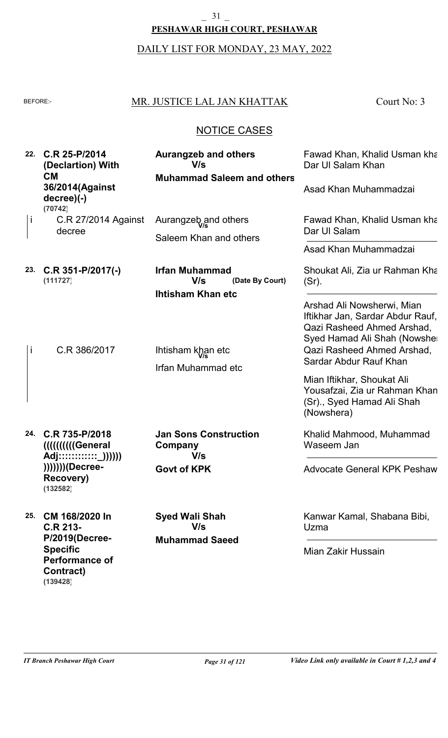#### **PESHAWAR HIGH COURT, PESHAWAR**  $-31$   $-$

# DAILY LIST FOR MONDAY, 23 MAY, 2022

## BEFORE: MR. JUSTICE LAL JAN KHATTAK

Court No: 3

## NOTICE CASES

| 22. | C.R 25-P/2014<br>(Declartion) With<br><b>CM</b><br>36/2014(Against<br>$decree) (-)$<br>(70742)                           | <b>Aurangzeb and others</b><br>V/s<br><b>Muhammad Saleem and others</b>                          | Fawad Khan, Khalid Usman kha<br>Dar UI Salam Khan<br>Asad Khan Muhammadzai                                                                                                                                                         |
|-----|--------------------------------------------------------------------------------------------------------------------------|--------------------------------------------------------------------------------------------------|------------------------------------------------------------------------------------------------------------------------------------------------------------------------------------------------------------------------------------|
| Ť   | C.R 27/2014 Against<br>decree                                                                                            | Aurangzeb, and others<br>Saleem Khan and others                                                  | Fawad Khan, Khalid Usman kha<br>Dar UI Salam<br>Asad Khan Muhammadzai                                                                                                                                                              |
| 23. | $C.R$ 351-P/2017(-)<br>(111727)<br>C.R 386/2017                                                                          | <b>Irfan Muhammad</b><br>V/s<br>(Date By Court)<br><b>Ihtisham Khan etc</b><br>Ihtisham khan etc | Shoukat Ali, Zia ur Rahman Kha<br>$(Sr)$ .<br>Arshad Ali Nowsherwi, Mian<br>Iftikhar Jan, Sardar Abdur Rauf,<br>Qazi Rasheed Ahmed Arshad,<br>Syed Hamad Ali Shah (Nowsher<br>Qazi Rasheed Ahmed Arshad,<br>Sardar Abdur Rauf Khan |
|     |                                                                                                                          | Irfan Muhammad etc                                                                               | Mian Iftikhar, Shoukat Ali<br>Yousafzai, Zia ur Rahman Khan<br>(Sr)., Syed Hamad Ali Shah<br>(Nowshera)                                                                                                                            |
| 24. | C.R 735-P/2018<br><b>IIIIIIIIIIIGeneral</b><br>Adj::::::::::::_))))))<br>)))))))(Decree-<br><b>Recovery)</b><br>(132582) | <b>Jan Sons Construction</b><br>Company<br>V/s<br><b>Govt of KPK</b>                             | Khalid Mahmood, Muhammad<br>Waseem Jan<br><b>Advocate General KPK Peshaw</b>                                                                                                                                                       |
| 25. | CM 168/2020 In<br>C.R 213-<br>P/2019(Decree-<br><b>Specific</b><br><b>Performance of</b><br>Contract)                    | <b>Syed Wali Shah</b><br>V/s<br><b>Muhammad Saeed</b>                                            | Kanwar Kamal, Shabana Bibi,<br>Uzma<br>Mian Zakir Hussain                                                                                                                                                                          |

**(139428)**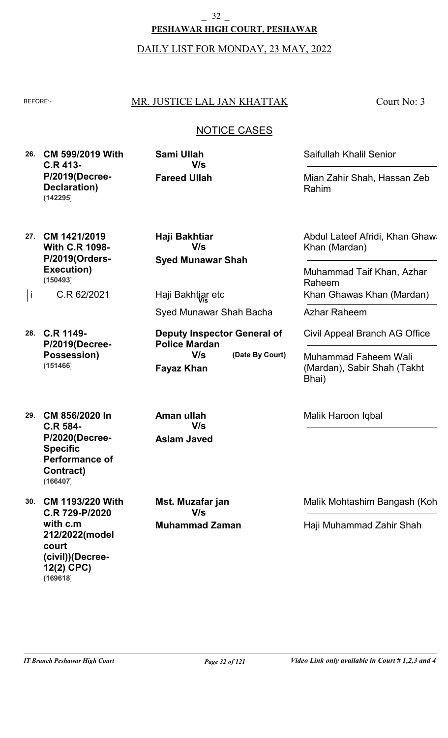## **PESHAWAR HIGH COURT, PESHAWAR** \_ 32 \_

DAILY LIST FOR MONDAY, 23 MAY, 2022

## BEFORE: MR. JUSTICE LAL JAN KHATTAK

Court No: 3

## NOTICE CASES

**26. CM 599/2019 With C.R 413- P/2019(Decree-Declaration) (142295)**

**Fareed Ullah Sami Ullah V/s**

**Haji Bakhtiar**

**Syed Munawar Shah**

**V/s**

Syed Munawar Shah Bacha

**Deputy Inspector General of**

**(Date By Court)**

Saifullah Khalil Senior

Mian Zahir Shah, Hassan Zeb Rahim

**27. CM 1421/2019 With C.R 1098- P/2019(Orders-Execution) (150493)**

C.R 62/2021

- **28. C.R 1149- P/2019(Decree-Possession) (151466)**
- **29. CM 856/2020 In C.R 584- P/2020(Decree-Specific Performance of Contract) (166407)**
- **30. CM 1193/220 With C.R 729-P/2020 with c.m 212/2022(model court (civil))(Decree-12(2) CPC) (169618)**

**Aman ullah V/s**

**Fayaz Khan**

**Police Mardan**

**V/s**

# **Aslam Javed**

**Muhammad Zaman Mst. Muzafar jan V/s**

Abdul Lateef Afridi, Khan Ghawa Khan (Mardan)

Muhammad Taif Khan, Azhar Raheem |i C.R 62/2021 Haji Bakhtigr etc **Xhan Ghawas Khan (Mardan**)

Azhar Raheem

Civil Appeal Branch AG Office

Muhammad Faheem Wali (Mardan), Sabir Shah (Takht Bhai)

Malik Haroon Iqbal

Malik Mohtashim Bangash (Koh

Haji Muhammad Zahir Shah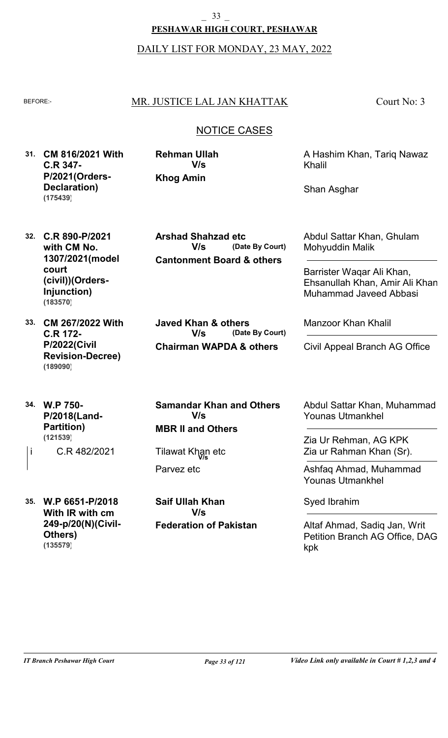**PESHAWAR HIGH COURT, PESHAWAR**

DAILY LIST FOR MONDAY, 23 MAY, 2022

### BEFORE:- MR. JUSTICE LAL JAN KHATTAK

Court No: 3

## NOTICE CASES

**31. CM 816/2021 With C.R 347- P/2021(Orders-Declaration) (175439)**

**Khog Amin Rehman Ullah V/s**

A Hashim Khan, Tariq Nawaz Khalil

Shan Asghar

**32. C.R 890-P/2021 with CM No. 1307/2021(model court (civil))(Orders-Injunction) (183570)**

**33. CM 267/2022 With C.R 172- P/2022(Civil Revision-Decree) (189090)**

**34. W.P 750- P/2018(Land-Partition) (121539)**

C.R 482/2021 |i C.R 482/2021 Tilawat Khan etc

**35. W.P 6651-P/2018 With IR with cm 249-p/20(N)(Civil-Others) (135579)**

**Cantonment Board & others (Date By Court) Arshad Shahzad etc V/s**

**Chairman WAPDA & others (Date By Court) Javed Khan & others V/s**

**MBR II and Others Samandar Khan and Others V/s**

Parvez etc

**Federation of Pakistan Saif Ullah Khan V/s**

Abdul Sattar Khan, Ghulam Mohyuddin Malik

Barrister Waqar Ali Khan, Ehsanullah Khan, Amir Ali Khan, Muhammad Javeed Abbasi

Manzoor Khan Khalil

Civil Appeal Branch AG Office

Abdul Sattar Khan, Muhammad Younas Utmankhel

Zia Ur Rehman, AG KPK Zia ur Rahman Khan (Sr).

Ashfaq Ahmad, Muhammad Younas Utmankhel

Syed Ibrahim

Altaf Ahmad, Sadiq Jan, Writ Petition Branch AG Office, DAG kpk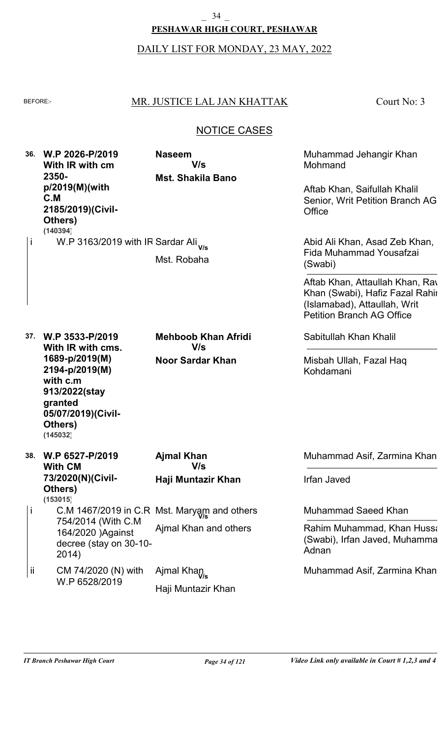**PESHAWAR HIGH COURT, PESHAWAR**

DAILY LIST FOR MONDAY, 23 MAY, 2022

### BEFORE: MR. JUSTICE LAL JAN KHATTAK

Court No: 3

## NOTICE CASES

**36. W.P 2026-P/2019 37. W.P 3533-P/2019 38. W.P 6527-P/2019 With IR with cm 2350 p/2019(M)(with C.M 2185/2019)(Civil-Others) With IR with cms. 1689-p/2019(M) 2194-p/2019(M) with c.m 913/2022(stay granted 05/07/2019)(Civil-Others) With CM 73/2020(N)(Civil-Others) Mst. Shakila Bano Noor Sardar Khan Haji Muntazir Khan** W.P 3163/2019 with IR Sardar Ali **V/s** C.M 1467/2019 in C.R Mst. Maryam and others 754/2014 (With C.M 164/2020 )Against decree (stay on 30-10- 2014) CM 74/2020 (N) with W.P 6528/2019 Mst. Robaha Ajmal Khan and others Haji Muntazir Khan **Naseem Mehboob Khan Afridi Ajmal Khan** Muhammad Jehangir Khan Mohmand Sabitullah Khan Khalil Muhammad Asif, Zarmina Khan Aftab Khan, Saifullah Khalil Senior, Writ Petition Branch AG **Office** Misbah Ullah, Fazal Haq Kohdamani Irfan Javed **V/s V/s V/s** i i ii Ajmal Khan **V/s** Abid Ali Khan, Asad Zeb Khan, Fida Muhammad Yousafzai (Swabi) Muhammad Saeed Khan Muhammad Asif, Zarmina Khan Aftab Khan, Attaullah Khan, Ray Khan (Swabi), Hafiz Fazal Rahir (Islamabad), Attaullah, Writ Petition Branch AG Office Rahim Muhammad, Khan Hussa (Swabi), Irfan Javed, Muhamma Adnan **(140394) (145032) (153015)**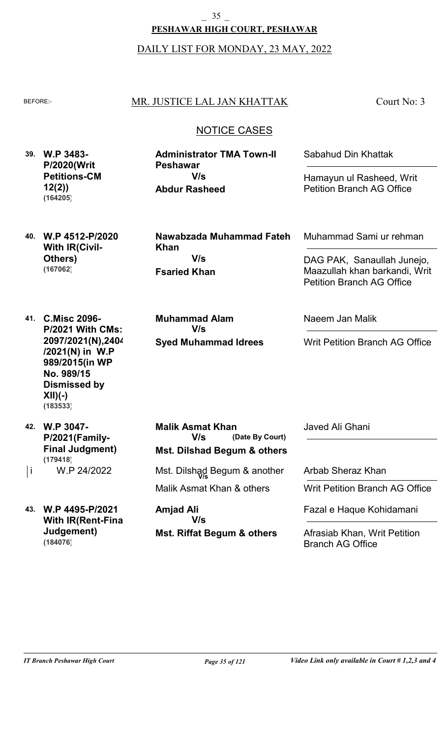**PESHAWAR HIGH COURT, PESHAWAR** \_ 35 \_

DAILY LIST FOR MONDAY, 23 MAY, 2022

### BEFORE: MR. JUSTICE LAL JAN KHATTAK

Court No: 3

### NOTICE CASES

**39. W.P 3483- P/2020(Writ Petitions-CM 12(2)) (164205)**

**Abdur Rasheed Administrator TMA Town-II Peshawar V/s**

Sabahud Din Khattak

Hamayun ul Rasheed, Writ Petition Branch AG Office

**40. W.P 4512-P/2020 With IR(Civil-Others) (167062)**

**Fsaried Khan Nawabzada Muhammad Fateh Khan V/s**

**Syed Muhammad Idrees Muhammad Alam V/s**

Muhammad Sami ur rehman

DAG PAK, Sanaullah Junejo, Maazullah khan barkandi, Writ Petition Branch AG Office

**41. C.Misc 2096- P/2021 With CMs: 2097/2021(N),2404 /2021(N) in W.P 989/2015(in WP No. 989/15 Dismissed by XII)(-) (183533)**

**42. W.P 3047- P/2021(Family-Final Judgment) (179418)**

W.P 24/2022

**43. W.P 4495-P/2021 With IR(Rent-Final Judgement) (184076)**

**Mst. Dilshad Begum & others (Date By Court) Malik Asmat Khan V/s**

Malik Asmat Khan & others |i W.P 24/2022 Mst. Dilshag Begum & another

> **Mst. Riffat Begum & others Amjad Ali V/s**

Naeem Jan Malik

Writ Petition Branch AG Office

Javed Ali Ghani

Arbab Sheraz Khan

Writ Petition Branch AG Office

Fazal e Haque Kohidamani

Afrasiab Khan, Writ Petition Branch AG Office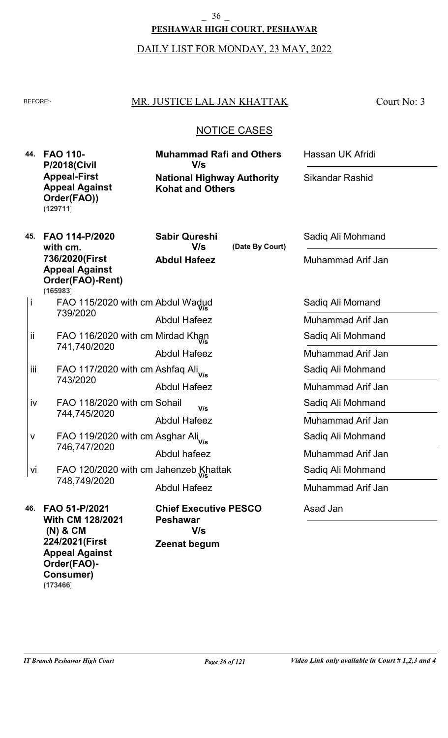## **PESHAWAR HIGH COURT, PESHAWAR**  $-36$   $-$

## DAILY LIST FOR MONDAY, 23 MAY, 2022

### BEFORE: MR. JUSTICE LAL JAN KHATTAK

Court No: 3

### NOTICE CASES

| 44. |     | <b>FAO 110-</b><br><b>P/2018(Civil</b>                                     | <b>Muhammad Rafi and Others</b><br>V/s<br><b>National Highway Authority</b><br><b>Kohat and Others</b> |                 | Hassan UK Afridi       |
|-----|-----|----------------------------------------------------------------------------|--------------------------------------------------------------------------------------------------------|-----------------|------------------------|
|     |     | <b>Appeal-First</b><br><b>Appeal Against</b><br>Order(FAO))<br>(129711)    |                                                                                                        |                 | <b>Sikandar Rashid</b> |
|     | 45. | FAO 114-P/2020<br>with cm.                                                 | <b>Sabir Qureshi</b><br>V/s                                                                            | (Date By Court) | Sadiq Ali Mohmand      |
|     |     | 736/2020(First<br><b>Appeal Against</b><br>Order(FAO)-Rent)<br>(165983)    | <b>Abdul Hafeez</b>                                                                                    |                 | Muhammad Arif Jan      |
|     | İ   | FAO 115/2020 with cm Abdul Wadud                                           |                                                                                                        |                 | Sadiq Ali Momand       |
|     |     | 739/2020                                                                   | <b>Abdul Hafeez</b>                                                                                    |                 | Muhammad Arif Jan      |
|     | ij. | FAO 116/2020 with cm Mirdad Khan<br>741,740/2020                           |                                                                                                        |                 | Sadiq Ali Mohmand      |
|     |     |                                                                            | <b>Abdul Hafeez</b>                                                                                    |                 | Muhammad Arif Jan      |
|     | iii | FAO 117/2020 with cm Ashfaq Ali <sub>Vs</sub>                              |                                                                                                        |                 | Sadiq Ali Mohmand      |
|     |     | 743/2020                                                                   | <b>Abdul Hafeez</b>                                                                                    |                 | Muhammad Arif Jan      |
|     | iv  | FAO 118/2020 with cm Sohail                                                | V/s                                                                                                    |                 | Sadiq Ali Mohmand      |
|     |     | 744,745/2020                                                               | <b>Abdul Hafeez</b>                                                                                    |                 | Muhammad Arif Jan      |
|     | ٧   | FAO 119/2020 with cm Asghar Ali <sub>Vs</sub>                              |                                                                                                        |                 | Sadiq Ali Mohmand      |
|     |     | 746,747/2020                                                               | Abdul hafeez                                                                                           |                 | Muhammad Arif Jan      |
|     | vi  | FAO 120/2020 with cm Jahenzeb Khattak                                      |                                                                                                        |                 | Sadiq Ali Mohmand      |
|     |     | 748,749/2020                                                               | <b>Abdul Hafeez</b>                                                                                    |                 | Muhammad Arif Jan      |
|     | 46. | FAO 51-P/2021<br><b>With CM 128/2021</b><br>$(N)$ & $CM$<br>224/2021(First | <b>Chief Executive PESCO</b><br><b>Peshawar</b><br>V/s<br>Zeenat begum                                 |                 | Asad Jan               |
|     |     | <b>Appeal Against</b>                                                      |                                                                                                        |                 |                        |

**Order(FAO)- Consumer)**

**(173466)**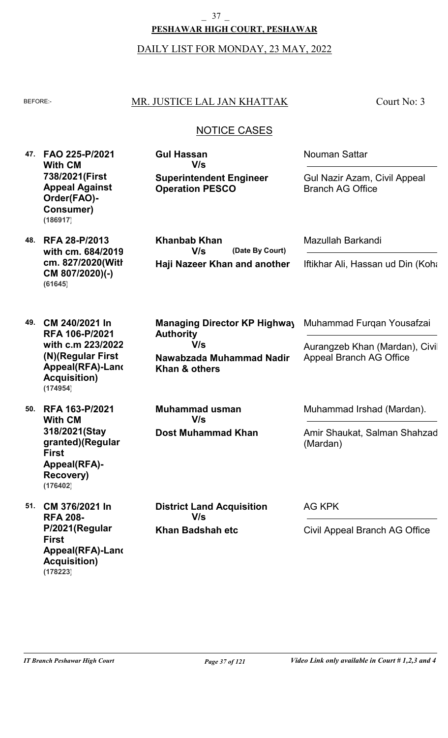## **PESHAWAR HIGH COURT, PESHAWAR** \_ 37 \_

#### DAILY LIST FOR MONDAY, 23 MAY, 2022

### BEFORE: MR. JUSTICE LAL JAN KHATTAK

Court No: 3

### NOTICE CASES

**47. FAO 225-P/2021 With CM 738/2021(First Appeal Against Order(FAO)- Consumer) (186917)**

**48. RFA 28-P/2013 with cm. 684/2019, cm. 827/2020(With CM 807/2020)(-) (61645)**

**49. CM 240/2021 In RFA 106-P/2021 with c.m 223/2022 (N)(Regular First Appeal(RFA)-Land Acquisition) (174954)**

**50. RFA 163-P/2021 With CM 318/2021(Stay granted)(Regular First Appeal(RFA)- Recovery) (176402)**

**51. CM 376/2021 In RFA 208- P/2021(Regular First Appeal(RFA)-Land Acquisition) (178223)**

**Superintendent Engineer Operation PESCO Gul Hassan V/s**

Nouman Sattar

Gul Nazir Azam, Civil Appeal Branch AG Office

**Haji Nazeer Khan and another (Date By Court) Khanbab Khan V/s**

**Nawabzada Muhammad Nadir Khan & others Managing Director KP Highway Authority V/s**

Mazullah Barkandi

Iftikhar Ali, Hassan ud Din (Kohat

Muhammad Furqan Yousafzai

Aurangzeb Khan (Mardan), Civil Appeal Branch AG Office

Muhammad Irshad (Mardan).

Amir Shaukat, Salman Shahzad (Mardan)

**Khan Badshah etc District Land Acquisition V/s**

**Dost Muhammad Khan**

**Muhammad usman**

**V/s**

AG KPK

Civil Appeal Branch AG Office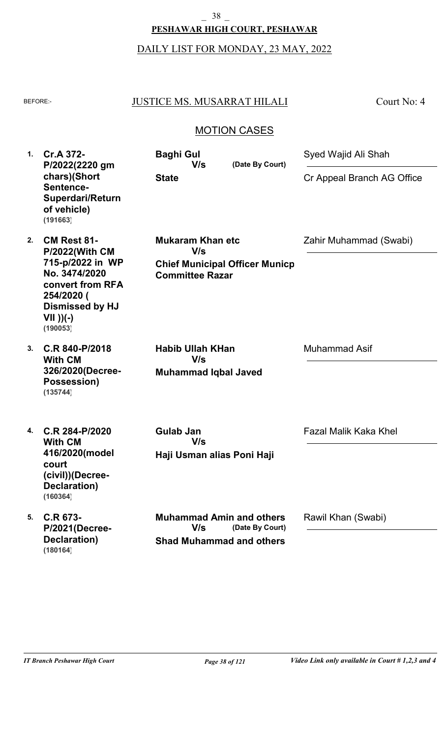#### $-$  38  $-$

#### **PESHAWAR HIGH COURT, PESHAWAR**

# DAILY LIST FOR MONDAY, 23 MAY, 2022

## BEFORE: JUSTICE MS. MUSARRAT HILALI

Court No: 4

### MOTION CASES

| 1. | Cr.A 372-<br>P/2022(2220 gm<br>chars)(Short<br>Sentence-<br>Superdari/Return<br>of vehicle)<br>(191663)                                                                 | <b>Baghi Gul</b><br>V/s<br><b>State</b>                                                           | (Date By Court) | Syed Wajid Ali Shah<br>Cr Appeal Branch AG Office |
|----|-------------------------------------------------------------------------------------------------------------------------------------------------------------------------|---------------------------------------------------------------------------------------------------|-----------------|---------------------------------------------------|
| 2. | <b>CM Rest 81-</b><br><b>P/2022(With CM</b><br>715-p/2022 in WP<br>No. 3474/2020<br>convert from RFA<br>254/2020 (<br><b>Dismissed by HJ</b><br>$VII$ ))(-)<br>(190053) | <b>Mukaram Khan etc</b><br>V/s<br><b>Chief Municipal Officer Municp</b><br><b>Committee Razar</b> |                 | Zahir Muhammad (Swabi)                            |
| 3. | C.R 840-P/2018<br><b>With CM</b><br>326/2020(Decree-<br>Possession)<br>(135744)                                                                                         | <b>Habib Ullah KHan</b><br>V/s<br><b>Muhammad Iqbal Javed</b>                                     |                 | <b>Muhammad Asif</b>                              |
| 4. | C.R 284-P/2020<br><b>With CM</b><br>416/2020(model<br>court<br>(civil))(Decree-<br>Declaration)<br>(160364)                                                             | <b>Gulab Jan</b><br>V/s<br>Haji Usman alias Poni Haji                                             |                 | <b>Fazal Malik Kaka Khel</b>                      |
| 5. | C.R 673-<br>P/2021(Decree-<br>Declaration)<br>(180164)                                                                                                                  | <b>Muhammad Amin and others</b><br>V/s<br><b>Shad Muhammad and others</b>                         | (Date By Court) | Rawil Khan (Swabi)                                |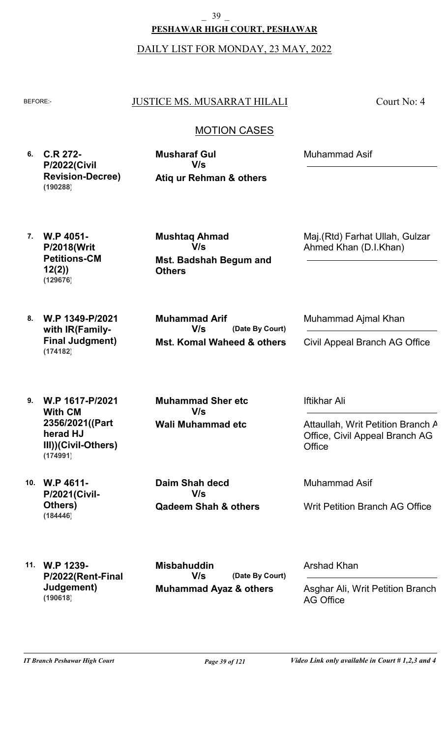DAILY LIST FOR MONDAY, 23 MAY, 2022

#### BEFORE: JUSTICE MS. MUSARRAT HILALI

Court No: 4

## MOTION CASES

**6. C.R 272- P/2022(Civil Revision-Decree) (190288)**

**Atiq ur Rehman & others Musharaf Gul V/s**

Muhammad Asif

**7. W.P 4051- P/2018(Writ Petitions-CM 12(2)) (129676)**

**8. W.P 1349-P/2021**

**(174182)**

**with IR(Family-Final Judgment)** **Mst. Badshah Begum and Others Mushtaq Ahmad V/s**

**Mst. Komal Waheed & others (Date By Court) Muhammad Arif V/s**

Ahmed Khan (D.I.Khan)

Maj.(Rtd) Farhat Ullah, Gulzar

Civil Appeal Branch AG Office

Muhammad Ajmal Khan

**9. W.P 1617-P/2021 With CM 2356/2021((Part herad HJ III))(Civil-Others) (174991)**

**10. W.P 4611- P/2021(Civil-Others) (184446)**

**Wali Muhammad etc Muhammad Sher etc V/s**

**Qadeem Shah & others Daim Shah decd V/s**

Iftikhar Ali

Attaullah, Writ Petition Branch A Office, Civil Appeal Branch AG **Office** 

Muhammad Asif

Writ Petition Branch AG Office

**11. W.P 1239- P/2022(Rent-Final Judgement) (190618)**

**Muhammad Ayaz & others (Date By Court) Misbahuddin V/s**

Arshad Khan

Asghar Ali, Writ Petition Branch AG Office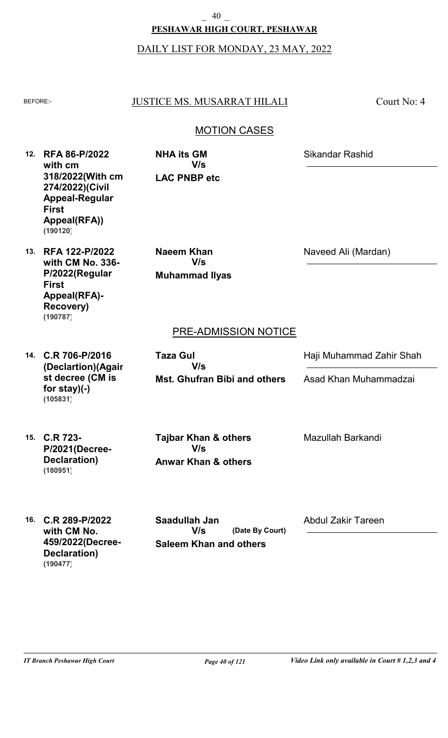## **PESHAWAR HIGH COURT, PESHAWAR** \_ 40 \_

### DAILY LIST FOR MONDAY, 23 MAY, 2022

#### BEFORE: JUSTICE MS. MUSARRAT HILALI

Court No: 4

## MOTION CASES

**12. RFA 86-P/2022 with cm 318/2022(With cm 274/2022)(Civil Appeal-Regular First Appeal(RFA)) (190120)**

**LAC PNBP etc NHA its GM V/s**

Sikandar Rashid

**13. RFA 122-P/2022 with CM No. 336- P/2022(Regular First Appeal(RFA)- Recovery) (190787)**

**Muhammad Ilyas Naeem Khan V/s**

Naveed Ali (Mardan)

## PRE-ADMISSION NOTICE

**14. C.R 706-P/2016 (Declartion)(Again st decree (CM is for stay)(-) (105831)**

**Mst. Ghufran Bibi and others Taza Gul V/s**

Haji Muhammad Zahir Shah

Asad Khan Muhammadzai

**15. C.R 723- P/2021(Decree-Declaration) (180951)**

**Anwar Khan & others Tajbar Khan & others V/s**

Mazullah Barkandi

**16. C.R 289-P/2022 with CM No. 459/2022(Decree-Declaration) (190477)**

**Saleem Khan and others (Date By Court) Saadullah Jan V/s**

Abdul Zakir Tareen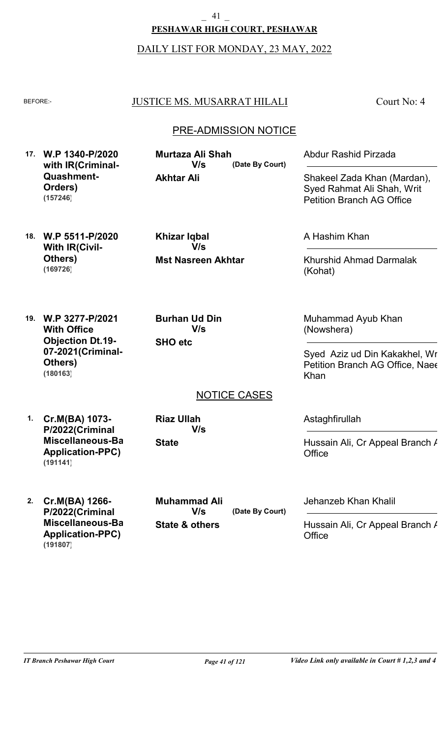\_ 41 \_

**PESHAWAR HIGH COURT, PESHAWAR**

DAILY LIST FOR MONDAY, 23 MAY, 2022

## BEFORE: JUSTICE MS. MUSARRAT HILALI

Court No: 4

## PRE-ADMISSION NOTICE

**17. W.P 1340-P/2020 with IR(Criminal-Quashment-Orders) (157246)**

**Akhtar Ali (Date By Court) Murtaza Ali Shah V/s**

Shakeel Zada Khan (Mardan), Syed Rahmat Ali Shah, Writ

Petition Branch AG Office

Abdur Rashid Pirzada

**18. W.P 5511-P/2020 With IR(Civil-Others) (169726)**

**Mst Nasreen Akhtar Khizar Iqbal V/s**

A Hashim Khan

Khurshid Ahmad Darmalak (Kohat)

**19. W.P 3277-P/2021 With Office Objection Dt.19- 07-2021(Criminal-Others) (180163)**

**SHO etc Burhan Ud Din V/s**

Muhammad Ayub Khan (Nowshera)

Syed Aziz ud Din Kakakhel, Wr Petition Branch AG Office, Naee Khan

NOTICE CASES

**1. Cr.M(BA) 1073- P/2022(Criminal Miscellaneous-Bail Application-PPC) (191141)**

**State Riaz Ullah V/s** Astaghfirullah

Hussain Ali, Cr Appeal Branch / **Office** 

**2. Cr.M(BA) 1266- P/2022(Criminal Miscellaneous-Bail Application-PPC) (191807)**

**State & others (Date By Court) Muhammad Ali V/s**

Jehanzeb Khan Khalil

Hussain Ali, Cr Appeal Branch / **Office**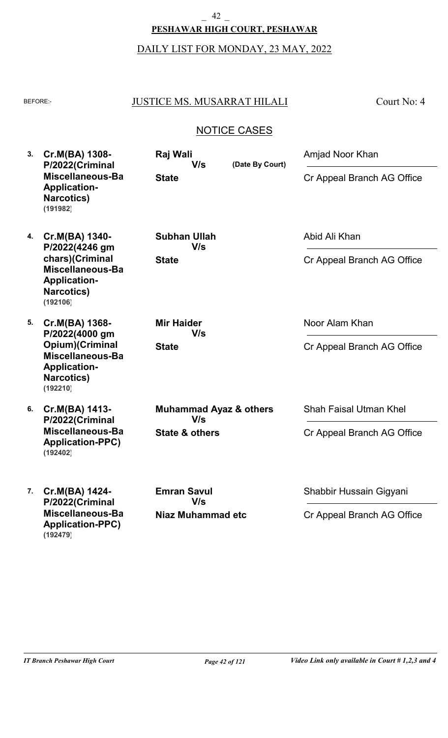## **PESHAWAR HIGH COURT, PESHAWAR** \_ 42 \_

## DAILY LIST FOR MONDAY, 23 MAY, 2022

## BEFORE: JUSTICE MS. MUSARRAT HILALI

Court No: 4

| 3. | Cr.M(BA) 1308-<br>Raj Wali<br>P/2022(Criminal<br>V/s<br>Miscellaneous-Ba<br><b>State</b><br><b>Application-</b><br><b>Narcotics</b> )<br>(191982) | (Date By Court)                          |                            | Amjad Noor Khan               |
|----|---------------------------------------------------------------------------------------------------------------------------------------------------|------------------------------------------|----------------------------|-------------------------------|
|    |                                                                                                                                                   |                                          | Cr Appeal Branch AG Office |                               |
| 4. | Cr.M(BA) 1340-<br>P/2022(4246 gm                                                                                                                  | <b>Subhan Ullah</b><br>V/s               |                            | Abid Ali Khan                 |
|    | chars)(Criminal<br>Miscellaneous-Ba<br><b>Application-</b><br><b>Narcotics)</b><br>(192106)                                                       | <b>State</b>                             |                            | Cr Appeal Branch AG Office    |
| 5. | Cr.M(BA) 1368-<br>P/2022(4000 gm                                                                                                                  | <b>Mir Haider</b><br>V/s                 |                            | Noor Alam Khan                |
|    | Opium)(Criminal<br>Miscellaneous-Ba<br><b>Application-</b><br><b>Narcotics</b> )<br>(192210)                                                      | <b>State</b>                             |                            | Cr Appeal Branch AG Office    |
| 6. | Cr.M(BA) 1413-<br>P/2022(Criminal                                                                                                                 | <b>Muhammad Ayaz &amp; others</b><br>V/s |                            | <b>Shah Faisal Utman Khel</b> |
|    | Miscellaneous-Ba<br><b>Application-PPC)</b><br>(192402)                                                                                           | <b>State &amp; others</b>                |                            | Cr Appeal Branch AG Office    |
| 7. | Cr.M(BA) 1424-<br>P/2022(Criminal                                                                                                                 | <b>Emran Savul</b><br>V/s                |                            | Shabbir Hussain Gigyani       |
|    | Miscellaneous-Ba<br><b>Application-PPC)</b><br>(192479)                                                                                           | Niaz Muhammad etc                        |                            | Cr Appeal Branch AG Office    |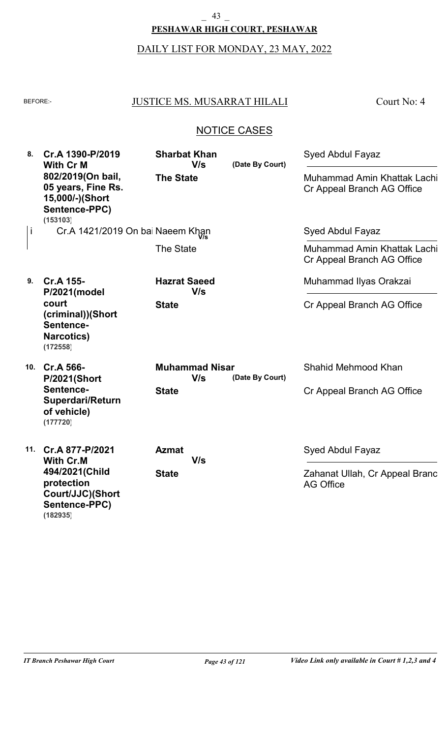#### **PESHAWAR HIGH COURT, PESHAWAR** \_ 43 \_

# DAILY LIST FOR MONDAY, 23 MAY, 2022

## BEFORE: JUSTICE MS. MUSARRAT HILALI

Court No: 4

| 8.  | Cr.A 1390-P/2019<br><b>With Cr M</b>                                                    | <b>Sharbat Khan</b><br>V/s   | (Date By Court) | <b>Syed Abdul Fayaz</b>                                   |
|-----|-----------------------------------------------------------------------------------------|------------------------------|-----------------|-----------------------------------------------------------|
|     | 802/2019(On bail,<br>05 years, Fine Rs.<br>15,000/-)(Short<br>Sentence-PPC)<br>(153103) | <b>The State</b>             |                 | Muhammad Amin Khattak Lachi<br>Cr Appeal Branch AG Office |
| İ   | Cr.A 1421/2019 On bai Naeem Khan                                                        |                              |                 | Syed Abdul Fayaz                                          |
|     |                                                                                         | The State                    |                 | Muhammad Amin Khattak Lachi<br>Cr Appeal Branch AG Office |
| 9.  | Cr.A 155-<br>P/2021(model                                                               | <b>Hazrat Saeed</b><br>V/s   |                 | Muhammad Ilyas Orakzai                                    |
|     | court<br>(criminal))(Short<br>Sentence-<br><b>Narcotics)</b><br>(172558)                | <b>State</b>                 |                 | Cr Appeal Branch AG Office                                |
|     | 10. Cr.A 566-<br><b>P/2021(Short</b>                                                    | <b>Muhammad Nisar</b><br>V/s | (Date By Court) | Shahid Mehmood Khan                                       |
|     | Sentence-<br>Superdari/Return<br>of vehicle)<br>(177720)                                | <b>State</b>                 |                 | Cr Appeal Branch AG Office                                |
| 11. | Cr.A 877-P/2021<br><b>With Cr.M</b>                                                     | <b>Azmat</b><br>V/s          |                 | Syed Abdul Fayaz                                          |
|     | 494/2021(Child<br>protection<br>Court/JJC)(Short<br>Sentence-PPC)<br>(182935)           | <b>State</b>                 |                 | Zahanat Ullah, Cr Appeal Branc<br><b>AG Office</b>        |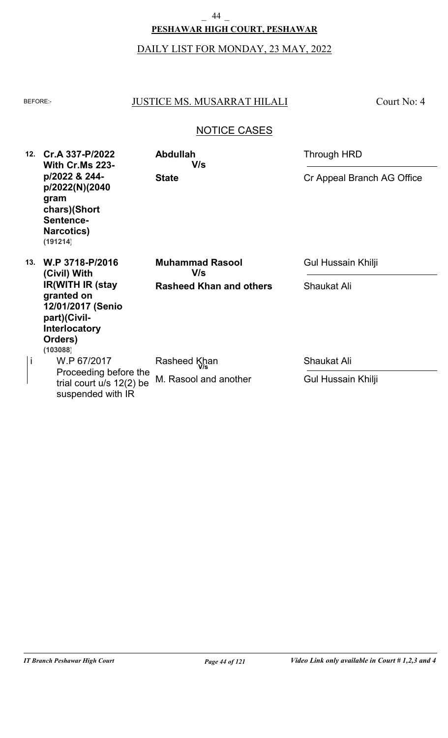## **PESHAWAR HIGH COURT, PESHAWAR** \_ 44 \_

DAILY LIST FOR MONDAY, 23 MAY, 2022

## BEFORE: JUSTICE MS. MUSARRAT HILALI

Court No: 4

| 12. | Cr.A 337-P/2022<br><b>With Cr.Ms 223-</b><br>p/2022 & 244-<br>p/2022(N)(2040<br>gram<br>chars)(Short<br>Sentence-<br><b>Narcotics)</b><br>(191214) | <b>Abdullah</b><br>V/s         | Through HRD                |  |
|-----|----------------------------------------------------------------------------------------------------------------------------------------------------|--------------------------------|----------------------------|--|
|     |                                                                                                                                                    | <b>State</b>                   | Cr Appeal Branch AG Office |  |
| 13. | W.P 3718-P/2016<br>(Civil) With                                                                                                                    | <b>Muhammad Rasool</b><br>V/s  | Gul Hussain Khilji         |  |
|     | <b>IR(WITH IR (stay</b><br>granted on<br>12/01/2017 (Senio<br>part)(Civil-<br><b>Interlocatory</b><br>Orders)<br>(103088)                          | <b>Rasheed Khan and others</b> | <b>Shaukat Ali</b>         |  |
| j   | W.P 67/2017                                                                                                                                        | Rasheed Khan                   | <b>Shaukat Ali</b>         |  |
|     | Proceeding before the<br>trial court $u/s$ 12(2) be<br>suspended with IR                                                                           | M. Rasool and another          | Gul Hussain Khilji         |  |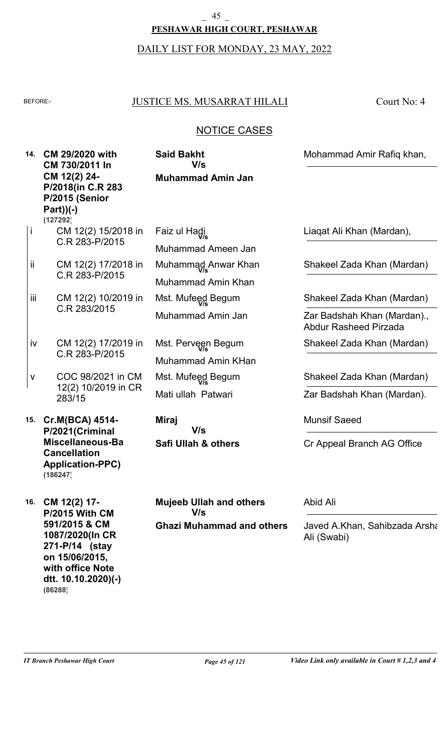# **PESHAWAR HIGH COURT, PESHAWAR** \_ 45 \_

DAILY LIST FOR MONDAY, 23 MAY, 2022

### BEFORE: JUSTICE MS. MUSARRAT HILALI

Court No: 4

## NOTICE CASES

**14. CM 29/2020 with 15. Cr.M(BCA) 4514- 16. CM 12(2) 17- CM 730/2011 In CM 12(2) 24- P/2018(in C.R 283- P/2015 (Senior Part))(-) P/2021(Criminal Miscellaneous-Bail Cancellation Application-PPC) P/2015 With CM 591/2015 & CM 1087/2020(In CR 271-P/14 (stay Muhammad Amin Jan Safi Ullah & others Ghazi Muhammad and others** CM 12(2) 15/2018 in C.R 283-P/2015 CM 12(2) 17/2018 in C.R 283-P/2015 CM 12(2) 10/2019 in C.R 283/2015 CM 12(2) 17/2019 in C.R 283-P/2015 COC 98/2021 in CM 12(2) 10/2019 in CR 283/15 Muhammad Ameen Jan Muhammad Amin Khan Muhammad Amin Jan Muhammad Amin KHan Mati ullah Patwari **Said Bakht Miraj Mujeeb Ullah and others** Mohammad Amir Rafiq khan, Munsif Saeed Abid Ali Cr Appeal Branch AG Office Javed A.Khan, Sahibzada Arsha Ali (Swabi) **V/s V/s V/s** i ii iii iv v Faiz ul Hadi **V/s** Muhammad Anwar Khan **V/s** Mst. Mufeed Begum **V/s** Mst. Perveen Begum **V/s** Mst. Mufeed Begum **V/s** Liaqat Ali Khan (Mardan), Shakeel Zada Khan (Mardan) Shakeel Zada Khan (Mardan) Shakeel Zada Khan (Mardan) Shakeel Zada Khan (Mardan) Zar Badshah Khan (Mardan)., Abdur Rasheed Pirzada Zar Badshah Khan (Mardan). **(127292) (186247)**

**on 15/06/2015, with office Note dtt. 10.10.2020)(-)**

**(86288)**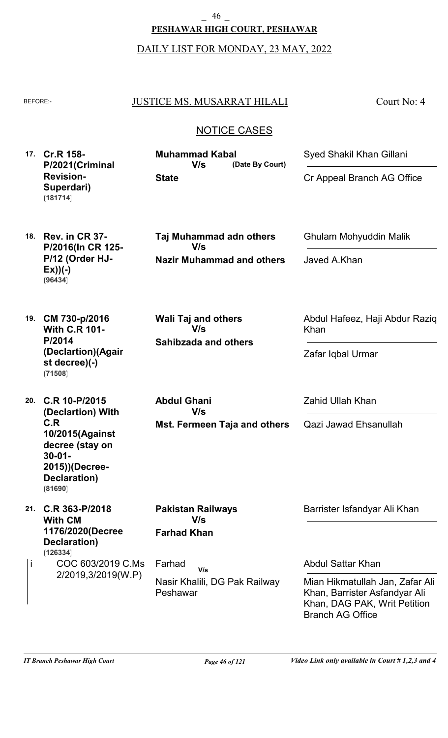**PESHAWAR HIGH COURT, PESHAWAR** \_ 46 \_

DAILY LIST FOR MONDAY, 23 MAY, 2022

#### BEFORE: JUSTICE MS. MUSARRAT HILALI

Court No: 4

## NOTICE CASES

**17. Cr.R 158- P/2021(Criminal Revision-Superdari) State V/s (181714)**

**(Date By Court) Muhammad Kabal**

Cr Appeal Branch AG Office

Ghulam Mohyuddin Malik

Javed A.Khan

Abdul Hafeez, Haji Abdur Raziq

Syed Shakil Khan Gillani

**18. Rev. in CR 37- P/2016(In CR 125- P/12 (Order HJ-Ex))(-) (96434)**

**Nazir Muhammad and others Taj Muhammad adn others V/s**

**19. CM 730-p/2016 With C.R 101- P/2014 (Declartion)(Again st decree)(-) (71508)**

**20. C.R 10-P/2015 (Declartion) With C.R 10/2015(Against decree (stay on 30-01- 2015))(Decree-Declaration) (81690)**

**21. C.R 363-P/2018 With CM 1176/2020(Decree-Declaration) (126334)**

COC 603/2019 C.Ms i Farhad

**Sahibzada and others Wali Taj and others V/s**

**Abdul Ghani V/s**

**Mst. Fermeen Taja and others**

Zahid Ullah Khan

Zafar Iqbal Urmar

Khan

Qazi Jawad Ehsanullah

Barrister Isfandyar Ali Khan

2/2019,3/2019(W.P) Nasir Khalili, DG Pak Railway Peshawar **V/s**

**Farhad Khan**

**Pakistan Railways**

**V/s**

Abdul Sattar Khan

Mian Hikmatullah Jan, Zafar Ali Khan, Barrister Asfandyar Ali Khan, DAG PAK, Writ Petition Branch AG Office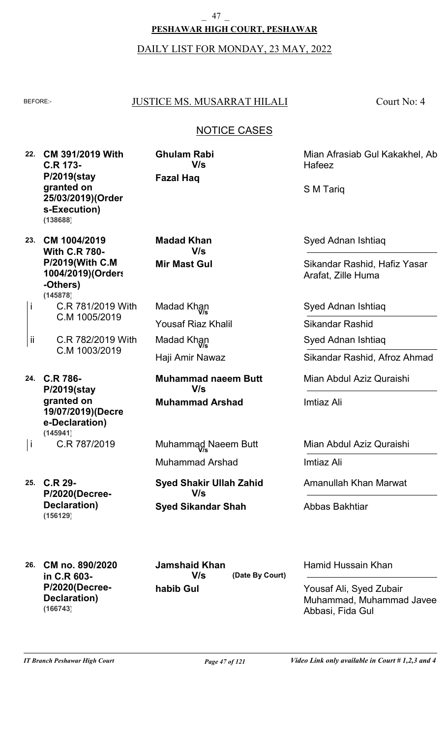### **PESHAWAR HIGH COURT, PESHAWAR** \_ 47 \_

DAILY LIST FOR MONDAY, 23 MAY, 2022

### BEFORE: JUSTICE MS. MUSARRAT HILALI

Court No: 4

## NOTICE CASES

**22. CM 391/2019 With C.R 173- P/2019(stay granted on 25/03/2019)(Order s-Execution) (138688)**

**23. CM 1004/2019 With C.R 780- P/2019(With C.M 1004/2019)(Orders -Others) (145878)**

- C.R 781/2019 With C.M 1005/2019 i
- C.R 782/2019 With C.M 1003/2019 ii

**24. C.R 786- P/2019(stay granted on 19/07/2019)(Decre e-Declaration) (145941)**

C.R 787/2019 i

**25. C.R 29- P/2020(Decree-Declaration) (156129)**

**Fazal Haq Ghulam Rabi V/s**

**Mir Mast Gul Madad Khan V/s**

Yousaf Riaz Khalil Haji Amir Nawaz Madad Khan **V/s** Madad Khan **V/s**

**Muhammad Arshad Muhammad naeem Butt V/s**

Muhammad Arshad Muhammad Naeem Butt **V/s**

**Syed Sikandar Shah Syed Shakir Ullah Zahid V/s**

Mian Afrasiab Gul Kakakhel, Ab Hafeez

S M Tariq

Syed Adnan Ishtiaq

Sikandar Rashid, Hafiz Yasar Arafat, Zille Huma

Syed Adnan Ishtiaq

Sikandar Rashid

Syed Adnan Ishtiaq

Sikandar Rashid, Afroz Ahmad

Mian Abdul Aziz Quraishi

Imtiaz Ali

Mian Abdul Aziz Quraishi

Imtiaz Ali

Amanullah Khan Marwat

Abbas Bakhtiar

**(Date By Court)**

Hamid Hussain Khan

Yousaf Ali, Syed Zubair Muhammad, Muhammad Javee Abbasi, Fida Gul

**26. CM no. 890/2020 in C.R 603- P/2020(Decree-Declaration) (166743)**

**habib Gul Jamshaid Khan V/s**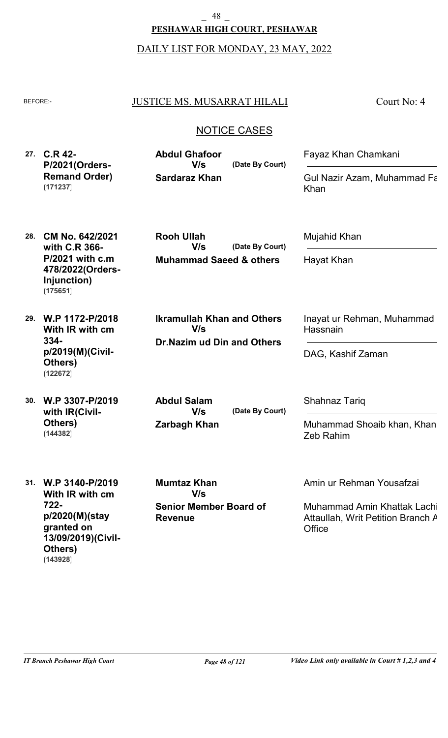**PESHAWAR HIGH COURT, PESHAWAR** \_ 48 \_

DAILY LIST FOR MONDAY, 23 MAY, 2022

#### BEFORE: JUSTICE MS. MUSARRAT HILALI

Court No: 4

### NOTICE CASES

**27. C.R 42- P/2021(Orders-Remand Order) V/s (171237)**

**Sardaraz Khan (Date By Court) Abdul Ghafoor**

**Muhammad Saeed & others**

**Rooh Ullah**

**V/s**

**V/s**

**Dr.Nazim ud Din and Others**

**Ikramullah Khan and Others** 

Fayaz Khan Chamkani

Mujahid Khan

Hayat Khan

Hassnain

Shahnaz Tariq

DAG, Kashif Zaman

Gul Nazir Azam, Muhammad Fa Khan

- **28. CM No. 642/2021 with C.R 366- P/2021 with c.m 478/2022(Orders-Injunction) (175651)**
- **29. W.P 1172-P/2018 With IR with cm 334 p/2019(M)(Civil-Others) (122672)**
- **30. W.P 3307-P/2019 with IR(Civil-Others) (144382)**

**Zarbagh Khan Abdul Salam V/s**

**(Date By Court)**

**(Date By Court)**

Muhammad Shoaib khan, Khan Zeb Rahim

Inayat ur Rehman, Muhammad

**31. W.P 3140-P/2019 With IR with cm 722 p/2020(M)(stay granted on 13/09/2019)(Civil-Others) (143928)**

**Senior Member Board of Revenue Mumtaz Khan V/s**

Amin ur Rehman Yousafzai

Muhammad Amin Khattak Lachi, Attaullah, Writ Petition Branch A **Office**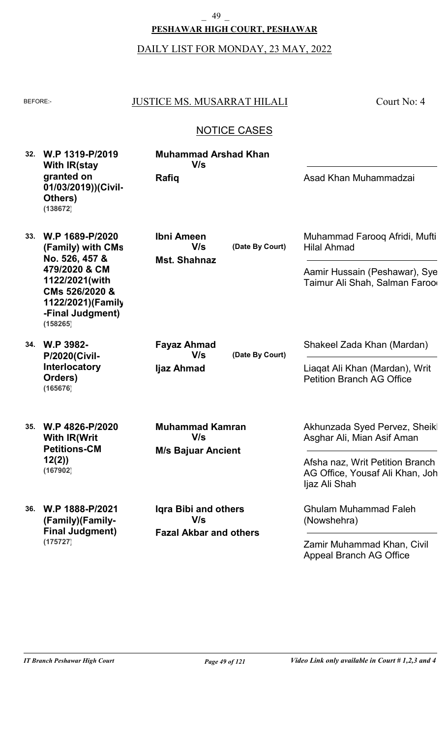**PESHAWAR HIGH COURT, PESHAWAR**

DAILY LIST FOR MONDAY, 23 MAY, 2022

| ۰, |
|----|

#### JUSTICE MS. MUSARRAT HILALI

**Muhammad Arshad Khan**

**V/s**

Court No: 4

## NOTICE CASES

| 32. | W.P 1319-P/2019     |
|-----|---------------------|
|     | With IR(stay        |
|     | granted on          |
|     | 01/03/2019))(Civil- |
|     | Others)             |
|     | (138672)            |

**33. W.P 1689-P/2020 (Family) with CMs No. 526, 457 & 479/2020 & CM 1122/2021(with CMs 526/2020 & 1122/2021)(Family -Final Judgment) (158265)**

**34. W.P 3982- P/2020(Civil-Interlocatory Orders) (165676)**

**35. W.P 4826-P/2020 With IR(Writ Petitions-CM 12(2)) (167902)**

**36. W.P 1888-P/2021 (Family)(Family-Final Judgment) (175727)**

**Mst. Shahnaz Ibni Ameen V/s**

**Rafiq**

**(Date By Court)**

Muhammad Farooq Afridi, Mufti Hilal Ahmad

Asad Khan Muhammadzai

Aamir Hussain (Peshawar), Sye Taimur Ali Shah, Salman Faroo

**Ijaz Ahmad Fayaz Ahmad V/s**

**(Date By Court)**

Shakeel Zada Khan (Mardan)

Liaqat Ali Khan (Mardan), Writ Petition Branch AG Office

**M/s Bajuar Ancient Muhammad Kamran V/s**

**Fazal Akbar and others Iqra Bibi and others V/s**

Akhunzada Syed Pervez, Sheikl Asghar Ali, Mian Asif Aman

Afsha naz, Writ Petition Branch AG Office, Yousaf Ali Khan, Joh Ijaz Ali Shah

Ghulam Muhammad Faleh (Nowshehra)

Zamir Muhammad Khan, Civil Appeal Branch AG Office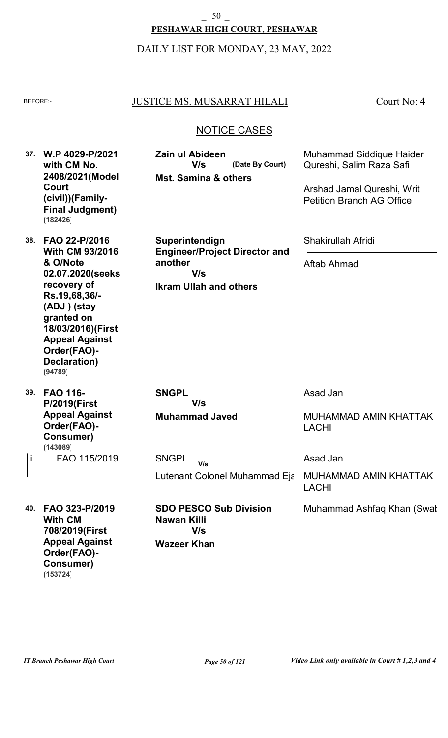**PESHAWAR HIGH COURT, PESHAWAR**

#### DAILY LIST FOR MONDAY, 23 MAY, 2022

#### BEFORE: JUSTICE MS. MUSARRAT HILALI

**Mst. Samina & others**

**V/s**

**Zain ul Abideen**

Court No: 4

### NOTICE CASES

**(Date By Court)**

**37. W.P 4029-P/2021 with CM No. 2408/2021(Model Court (civil))(Family-Final Judgment) (182426)**

**38. FAO 22-P/2016 With CM 93/2016 & O/Note 02.07.2020(seeks recovery of Rs.19,68,36/- (ADJ ) (stay granted on 18/03/2016)(First Appeal Against Order(FAO)- Declaration) (94789)**

**39. FAO 116- P/2019(First Appeal Against Order(FAO)- Consumer)** FAO 115/2019 i SNGPL **(143089)**

**Superintendign Engineer/Project Director and another V/s**

**Ikram Ullah and others**

Muhammad Siddique Haider Qureshi, Salim Raza Safi

Arshad Jamal Qureshi, Writ Petition Branch AG Office

Shakirullah Afridi

Aftab Ahmad

**Muhammad Javed SNGPL V/s**

Asad Jan

MUHAMMAD AMIN KHATTAK LACHI

Asad Jan

MUHAMMAD AMIN KHATTAK LACHI

Muhammad Ashfaq Khan (Swat

**40. FAO 323-P/2019 With CM 708/2019(First Appeal Against Order(FAO)- Consumer) (153724)**

Lutenant Colonel Muhammad Eja **V/s**

**Wazeer Khan SDO PESCO Sub Division Nawan Killi V/s**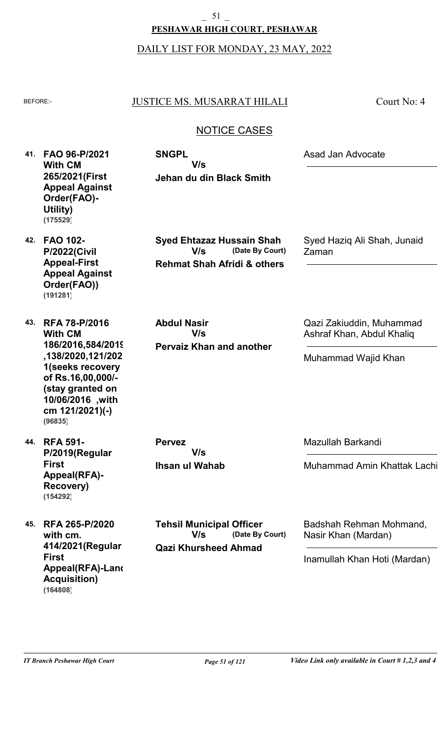DAILY LIST FOR MONDAY, 23 MAY, 2022

### BEFORE: JUSTICE MS. MUSARRAT HILALI

**Jehan du din Black Smith**

**V/s**

**SNGPL**

Court No: 4

## NOTICE CASES

**41. FAO 96-P/2021 With CM 265/2021(First Appeal Against Order(FAO)- Utility) (175529)**

> **Rehmat Shah Afridi & others (Date By Court) Syed Ehtazaz Hussain Shah V/s**

**Pervaiz Khan and another Abdul Nasir V/s**

Syed Haziq Ali Shah, Junaid Zaman

Asad Jan Advocate

Qazi Zakiuddin, Muhammad Ashraf Khan, Abdul Khaliq

Muhammad Wajid Khan

**Ihsan ul Wahab Pervez V/s**

**Qazi Khursheed Ahmad (Date By Court) Tehsil Municipal Officer V/s**

Mazullah Barkandi

Muhammad Amin Khattak Lachi

Badshah Rehman Mohmand, Nasir Khan (Mardan)

Inamullah Khan Hoti (Mardan)

**42. FAO 102- P/2022(Civil Appeal-First Appeal Against Order(FAO)) (191281)**

**43. RFA 78-P/2016 With CM 186/2016,584/2019 ,138/2020,121/202 1(seeks recovery of Rs.16,00,000/- (stay granted on 10/06/2016 ,with cm 121/2021)(-) (96835)**

**44. RFA 591- P/2019(Regular First Appeal(RFA)- Recovery) (154292)**

**45. RFA 265-P/2020 with cm. 414/2021(Regular First Appeal(RFA)-Land Acquisition) (164808)**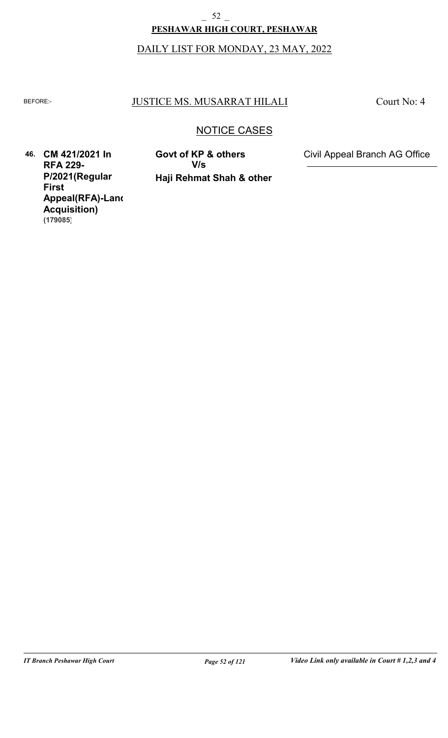# DAILY LIST FOR MONDAY, 23 MAY, 2022 **PESHAWAR HIGH COURT, PESHAWAR** \_ 52 \_

### BEFORE: JUSTICE MS. MUSARRAT HILALI

Court No: 4

## NOTICE CASES

**46. CM 421/2021 In RFA 229- P/2021(Regular First Appeal(RFA)-Land Acquisition) (179085)**

**Haji Rehmat Shah & other V/s**

**Govt of KP & others** Civil Appeal Branch AG Office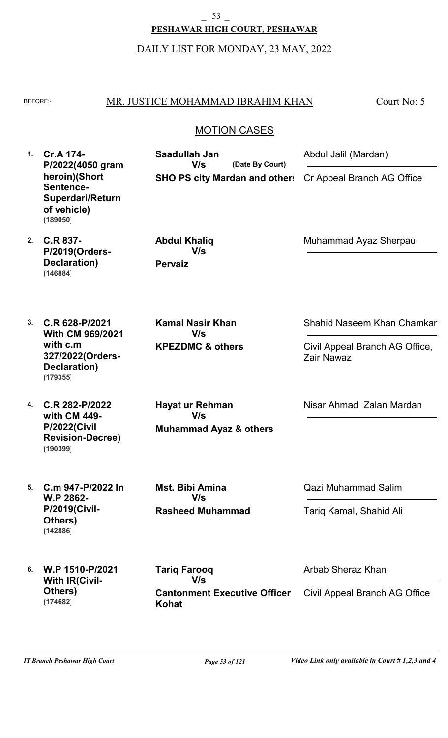**PESHAWAR HIGH COURT, PESHAWAR** \_ 53 \_

DAILY LIST FOR MONDAY, 23 MAY, 2022

#### BEFORE: MR. JUSTICE MOHAMMAD IBRAHIM KHAN

Court No: 5

## MOTION CASES

**1. Cr.A 174- 2. C.R 837- 3. C.R 628-P/2021 4. C.R 282-P/2022 5. C.m 947-P/2022 In 6. W.P 1510-P/2021 P/2022(4050 gram heroin)(Short Sentence-Superdari/Return of vehicle) P/2019(Orders-Declaration) With CM 969/2021 with c.m 327/2022(Orders-Declaration) with CM 449- P/2022(Civil Revision-Decree) W.P 2862- P/2019(Civil-Others) With IR(Civil-Others) SHO PS city Mardan and other:** Cr Appeal Branch AG Office **Pervaiz KPEZDMC & others Muhammad Ayaz & others Rasheed Muhammad Cantonment Executive Officer Kohat (Date By Court) Saadullah Jan Abdul Khaliq Kamal Nasir Khan Hayat ur Rehman Mst. Bibi Amina Tariq Farooq** Abdul Jalil (Mardan) Muhammad Ayaz Sherpau Shahid Naseem Khan Chamkar Nisar Ahmad Zalan Mardan Qazi Muhammad Salim Arbab Sheraz Khan Civil Appeal Branch AG Office, Zair Nawaz Tariq Kamal, Shahid Ali Civil Appeal Branch AG Office **V/s V/s V/s V/s V/s V/s (189050) (146884) (179355) (190399) (142886) (174682)**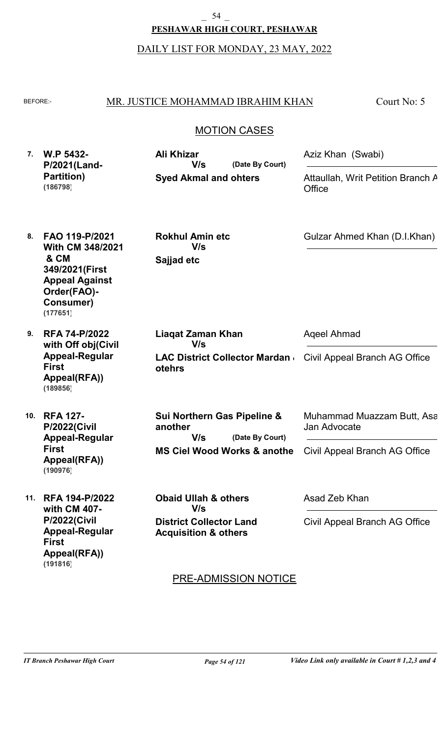54

**PESHAWAR HIGH COURT, PESHAWAR**

DAILY LIST FOR MONDAY, 23 MAY, 2022

#### MR. JUSTICE MOHAMMAD IBRAHIM KHAN

Court No: 5

## MOTION CASES

| <b>W.P 5432-</b>       | Ali Khizar                   |                 | Aziz Khan (Swabi)                           |
|------------------------|------------------------------|-----------------|---------------------------------------------|
| P/2021(Land-           | V/s                          | (Date By Court) |                                             |
| Partition)<br>(186798) | <b>Syed Akmal and ohters</b> |                 | Attaullah, Writ Petition Branch A<br>Office |

**8. FAO 119-P/2021 With CM 348/2021 & CM 349/2021(First Appeal Against Order(FAO)- Consumer) (177651)**

**9. RFA 74-P/2022 with Off obj(Civil Appeal-Regular First Appeal(RFA)) (189856)**

**10. RFA 127- P/2022(Civil Appeal-Regular First Appeal(RFA)) (190976)**

**11. RFA 194-P/2022 with CM 407- P/2022(Civil Appeal-Regular First Appeal(RFA)) (191816)**

**Sajjad etc Rokhul Amin etc V/s**

**LAC District Collector Mardan &** Civil Appeal Branch AG Office **otehrs Liaqat Zaman Khan** Aqeel Ahmad **V/s**

**MS Ciel Wood Works & anothera (Date By Court) Sui Northern Gas Pipeline & another V/s**

**District Collector Land Acquisition & others Obaid Ullah & others V/s**

Asad Zeb Khan

Jan Advocate

Civil Appeal Branch AG Office

Muhammad Muazzam Butt, Asa

Civil Appeal Branch AG Office

Gulzar Ahmed Khan (D.I.Khan)

## PRE-ADMISSION NOTICE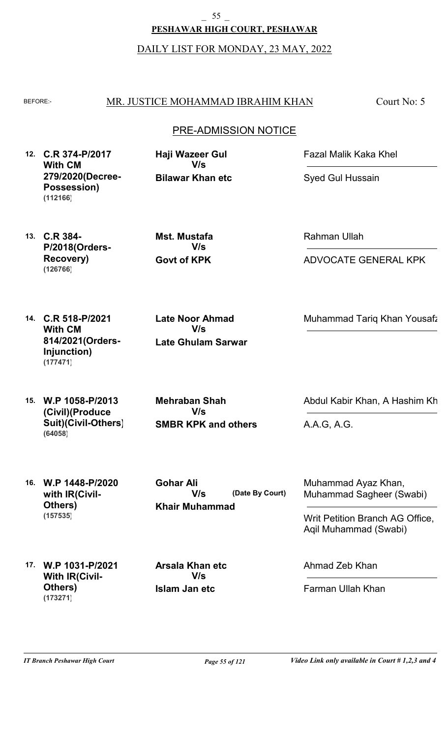**PESHAWAR HIGH COURT, PESHAWAR** \_ 55 \_

DAILY LIST FOR MONDAY, 23 MAY, 2022

#### BEFORE: MR. JUSTICE MOHAMMAD IBRAHIM KHAN

Court No: 5

### PRE-ADMISSION NOTICE

**12. C.R 374-P/2017 With CM 279/2020(Decree-Possession) (112166)**

**Bilawar Khan etc Haji Wazeer Gul V/s**

Fazal Malik Kaka Khel

Syed Gul Hussain

**13. C.R 384- P/2018(Orders-Recovery) (126766)**

**Govt of KPK Mst. Mustafa V/s**

Rahman Ullah

ADVOCATE GENERAL KPK

**14. C.R 518-P/2021 With CM 814/2021(Orders-Injunction) (177471)**

**Late Ghulam Sarwar Late Noor Ahmad V/s**

Muhammad Tariq Khan Yousafz

**15. W.P 1058-P/2013 (Civil)(Produce Suit)(Civil-Others) (64058)**

**SMBR KPK and others Mehraban Shah V/s**

Abdul Kabir Khan, A Hashim Kh

A.A.G, A.G.

**16. W.P 1448-P/2020 with IR(Civil-Others) (157535)**

**Khair Muhammad (Date By Court) Gohar Ali V/s**

Muhammad Ayaz Khan, Muhammad Sagheer (Swabi)

Writ Petition Branch AG Office, Aqil Muhammad (Swabi)

Ahmad Zeb Khan

Farman Ullah Khan

**17. W.P 1031-P/2021 With IR(Civil-Others) (173271)**

**Islam Jan etc Arsala Khan etc V/s**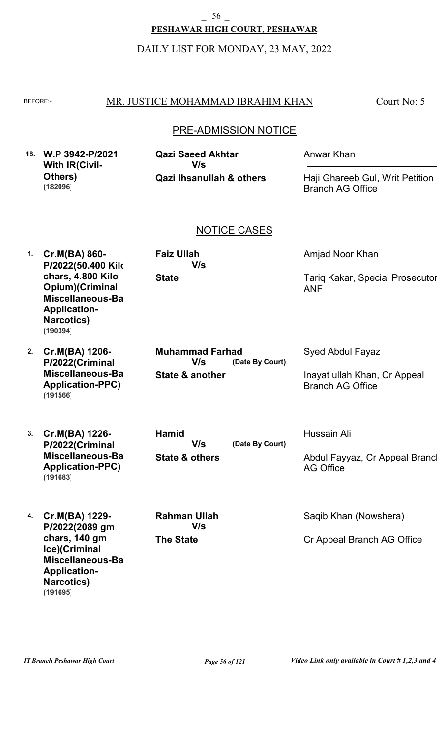DAILY LIST FOR MONDAY, 23 MAY, 2022

#### BEFORE: MR. JUSTICE MOHAMMAD IBRAHIM KHAN

Court No: 5

## PRE-ADMISSION NOTICE

|  | 18. W.P 3942-P/2021<br><b>With IR(Civil-</b> | <b>Qazi Saeed Akhtar</b><br>V/s     | Anwar Khan                      |
|--|----------------------------------------------|-------------------------------------|---------------------------------|
|  | Others)                                      | <b>Qazi Ihsanullah &amp; others</b> | Haji Ghareeb Gul, Writ Petition |
|  | (182096)                                     |                                     | <b>Branch AG Office</b>         |

## NOTICE CASES

**(Date By Court)**

**1. Cr.M(BA) 860- P/2022(50.400 Kilo chars, 4.800 Kilo Opium)(Criminal Miscellaneous-Bail Application-Narcotics) (190394)**

**2. Cr.M(BA) 1206- P/2022(Criminal Miscellaneous-Bail Application-PPC) (191566)**

**3. Cr.M(BA) 1226- P/2022(Criminal Miscellaneous-Bail Application-PPC) (191683)**

**4. Cr.M(BA) 1229- P/2022(2089 gm chars, 140 gm Ice)(Criminal Miscellaneous-Bail Application-Narcotics) (191695)**

**State**

**V/s**

**Faiz Ullah**

**State & another**

**Muhammad Farhad**

**V/s**

**The State**

**Rahman Ullah**

**V/s**

Amjad Noor Khan

Tariq Kakar, Special Prosecutor ANF

Syed Abdul Fayaz

Inayat ullah Khan, Cr Appeal Branch AG Office

**State & others (Date By Court) Hamid V/s**

Hussain Ali

Abdul Fayyaz, Cr Appeal Brancl AG Office

Saqib Khan (Nowshera)

Cr Appeal Branch AG Office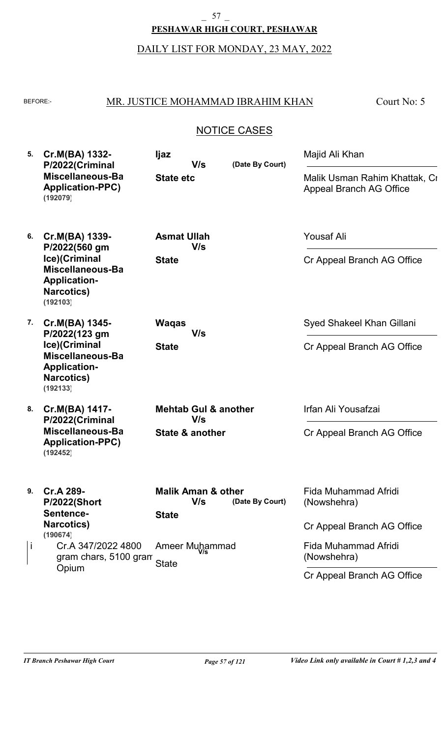**PESHAWAR HIGH COURT, PESHAWAR**  $-$  57  $-$ 

# DAILY LIST FOR MONDAY, 23 MAY, 2022

## BEFORE: MR. JUSTICE MOHAMMAD IBRAHIM KHAN

Court No: 5

| 5.      | Cr.M(BA) 1332-<br>P/2022(Criminal<br>Miscellaneous-Ba<br><b>Application-PPC)</b><br>(192079)                                 | ljaz<br>V/s<br><b>State etc</b>                                        | (Date By Court) | Majid Ali Khan<br>Malik Usman Rahim Khattak, Cr<br><b>Appeal Branch AG Office</b>         |
|---------|------------------------------------------------------------------------------------------------------------------------------|------------------------------------------------------------------------|-----------------|-------------------------------------------------------------------------------------------|
| 6.      | Cr.M(BA) 1339-<br>P/2022(560 gm<br>Ice)(Criminal<br>Miscellaneous-Ba<br><b>Application-</b><br><b>Narcotics)</b><br>(192103) | <b>Asmat Ullah</b><br>V/s<br><b>State</b>                              |                 | <b>Yousaf Ali</b><br>Cr Appeal Branch AG Office                                           |
| 7.      | Cr.M(BA) 1345-<br>P/2022(123 gm<br>Ice)(Criminal<br>Miscellaneous-Ba<br><b>Application-</b><br><b>Narcotics)</b><br>(192133) | <b>Waqas</b><br>V/s<br><b>State</b>                                    |                 | Syed Shakeel Khan Gillani<br>Cr Appeal Branch AG Office                                   |
| 8.      | Cr.M(BA) 1417-<br>P/2022(Criminal<br>Miscellaneous-Ba<br><b>Application-PPC)</b><br>(192452)                                 | <b>Mehtab Gul &amp; another</b><br>V/s<br>State & another              |                 | Irfan Ali Yousafzai<br>Cr Appeal Branch AG Office                                         |
| 9.<br>Ť | Cr.A 289-<br><b>P/2022(Short</b><br>Sentence-<br><b>Narcotics)</b><br>(190674)<br>Cr.A 347/2022 4800                         | <b>Malik Aman &amp; other</b><br>V/s<br><b>State</b><br>Ameer Muhammad | (Date By Court) | Fida Muhammad Afridi<br>(Nowshehra)<br>Cr Appeal Branch AG Office<br>Fida Muhammad Afridi |
|         | gram chars, 5100 gram<br>Opium                                                                                               | <b>State</b>                                                           |                 | (Nowshehra)<br>Cr Appeal Branch AG Office                                                 |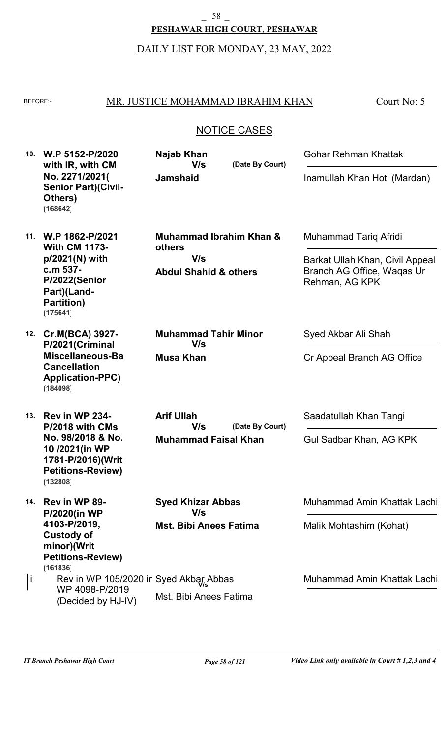\_ 58 \_

**PESHAWAR HIGH COURT, PESHAWAR**

DAILY LIST FOR MONDAY, 23 MAY, 2022

## MR. JUSTICE MOHAMMAD IBRAHIM KHAN

Court No: 5

| 10. | W.P 5152-P/2020<br>with IR, with CM                                                                                                      | Najab Khan<br>V/s                                                                       | (Date By Court) | Gohar Rehman Khattak                                                                                     |
|-----|------------------------------------------------------------------------------------------------------------------------------------------|-----------------------------------------------------------------------------------------|-----------------|----------------------------------------------------------------------------------------------------------|
|     | No. 2271/2021(<br><b>Senior Part)(Civil-</b><br>Others)<br>(168642)                                                                      | <b>Jamshaid</b>                                                                         |                 | Inamullah Khan Hoti (Mardan)                                                                             |
| 11. | W.P 1862-P/2021<br><b>With CM 1173-</b><br>$p/2021(N)$ with<br>c.m 537-<br>P/2022(Senior<br>Part)(Land-<br><b>Partition)</b><br>(175641) | <b>Muhammad Ibrahim Khan &amp;</b><br>others<br>V/s<br><b>Abdul Shahid &amp; others</b> |                 | Muhammad Tariq Afridi<br>Barkat Ullah Khan, Civil Appeal<br>Branch AG Office, Waqas Ur<br>Rehman, AG KPK |
| 12. | Cr.M(BCA) 3927-<br>P/2021(Criminal<br>Miscellaneous-Ba<br><b>Cancellation</b><br><b>Application-PPC)</b><br>(184098)                     | <b>Muhammad Tahir Minor</b><br>V/s<br><b>Musa Khan</b>                                  |                 | Syed Akbar Ali Shah<br>Cr Appeal Branch AG Office                                                        |
| 13. | Rev in WP 234-<br>P/2018 with CMs<br>No. 98/2018 & No.<br>10/2021(in WP<br>1781-P/2016)(Writ<br><b>Petitions-Review)</b><br>(132808)     | <b>Arif Ullah</b><br>V/s<br><b>Muhammad Faisal Khan</b>                                 | (Date By Court) | Saadatullah Khan Tangi<br>Gul Sadbar Khan, AG KPK                                                        |
| 14. | Rev in WP 89-<br><b>P/2020(in WP</b><br>4103-P/2019,<br><b>Custody of</b><br>minor)(Writ<br><b>Petitions-Review)</b>                     | <b>Syed Khizar Abbas</b><br>V/s<br><b>Mst. Bibi Anees Fatima</b>                        |                 | Muhammad Amin Khattak Lachi<br>Malik Mohtashim (Kohat)                                                   |
| j.  | (161836)<br>Rev in WP 105/2020 in Syed Akbar Abbas<br>WP 4098-P/2019<br>(Decided by HJ-IV)                                               | Mst. Bibi Anees Fatima                                                                  |                 | Muhammad Amin Khattak Lachi                                                                              |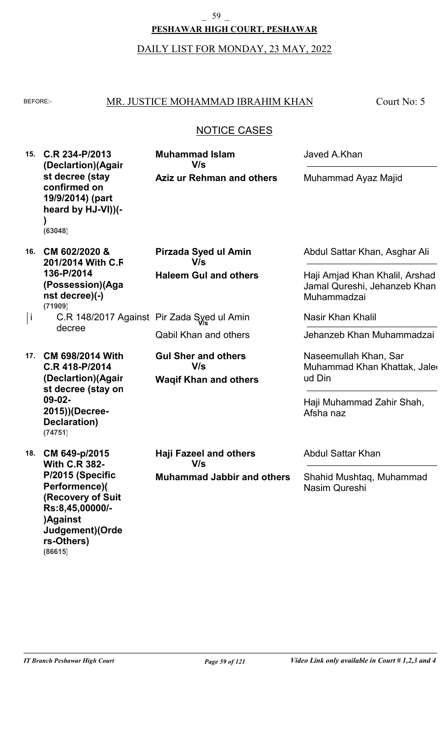#### \_ 59 \_

### **PESHAWAR HIGH COURT, PESHAWAR**

## DAILY LIST FOR MONDAY, 23 MAY, 2022

### BEFORE: MR. JUSTICE MOHAMMAD IBRAHIM KHAN

Court No: 5

## NOTICE CASES

| 15. | C.R 234-P/2013<br>(Declartion)(Agair<br>st decree (stay<br>confirmed on<br>19/9/2014) (part<br>heard by HJ-VI))(-<br>(63048)                   | <b>Muhammad Islam</b><br>V/s<br><b>Aziz ur Rehman and others</b>          | Javed A.Khan<br>Muhammad Ayaz Majid                                                                            |
|-----|------------------------------------------------------------------------------------------------------------------------------------------------|---------------------------------------------------------------------------|----------------------------------------------------------------------------------------------------------------|
| 16. | CM 602/2020 &<br>201/2014 With C.F<br>136-P/2014<br>(Possession)(Aga<br>nst decree)(-)<br>(71909)                                              | Pirzada Syed ul Amin<br>V/s<br><b>Haleem Gul and others</b>               | Abdul Sattar Khan, Asghar Ali<br>Haji Amjad Khan Khalil, Arshad<br>Jamal Qureshi, Jehanzeb Khan<br>Muhammadzai |
| j   | decree                                                                                                                                         | C.R 148/2017 Against Pir Zada Syed ul Amin                                | <b>Nasir Khan Khalil</b>                                                                                       |
|     |                                                                                                                                                | <b>Qabil Khan and others</b>                                              | Jehanzeb Khan Muhammadzai                                                                                      |
| 17. | <b>CM 698/2014 With</b><br>C.R 418-P/2014<br>(Declartion)(Agair<br>st decree (stay on<br>$09-02-$<br>2015))(Decree-<br>Declaration)<br>(74751) | <b>Gul Sher and others</b><br>V/s<br><b>Waqif Khan and others</b>         | Naseemullah Khan, Sar<br>Muhammad Khan Khattak, Jaler<br>ud Din<br>Haji Muhammad Zahir Shah,<br>Afsha naz      |
| 18. | CM 649-p/2015<br><b>With C.R 382-</b><br>P/2015 (Specific<br>Performence)(<br>(Recovery of Suit<br>Rs:8,45,00000/-                             | <b>Haji Fazeel and others</b><br>V/s<br><b>Muhammad Jabbir and others</b> | <b>Abdul Sattar Khan</b><br>Shahid Mushtaq, Muhammad<br>Nasim Qureshi                                          |

**)Against**

**rs-Others)**

**(86615)**

**Judgement)(Orde**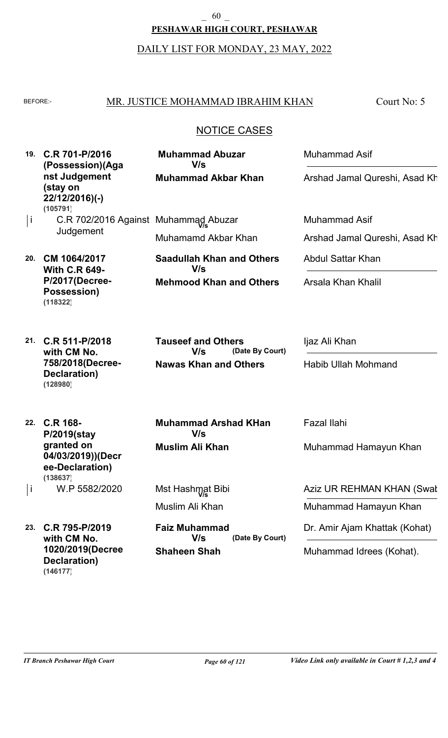**PESHAWAR HIGH COURT, PESHAWAR**  $\begin{bmatrix} 60 \end{bmatrix}$ 

DAILY LIST FOR MONDAY, 23 MAY, 2022

## BEFORE: MR. JUSTICE MOHAMMAD IBRAHIM KHAN

Court No: 5

| 19.          | C.R 701-P/2016<br>(Possession)(Aga<br>nst Judgement<br>(stay on<br>22/12/2016)(-) | <b>Muhammad Abuzar</b><br>V/s<br><b>Muhammad Akbar Khan</b> | <b>Muhammad Asif</b><br>Arshad Jamal Qureshi, Asad Kh |
|--------------|-----------------------------------------------------------------------------------|-------------------------------------------------------------|-------------------------------------------------------|
| $\mathbf{I}$ | (105791)<br>C.R 702/2016 Against Muhammad Abuzar                                  |                                                             | Muhammad Asif                                         |
|              | Judgement                                                                         | Muhamamd Akbar Khan                                         | Arshad Jamal Qureshi, Asad Kh                         |
| 20.          | CM 1064/2017<br><b>With C.R 649-</b>                                              | <b>Saadullah Khan and Others</b><br>V/s                     | <b>Abdul Sattar Khan</b>                              |
|              | P/2017(Decree-<br>Possession)<br>(118322)                                         | <b>Mehmood Khan and Others</b>                              | Arsala Khan Khalil                                    |
|              | 21. C.R 511-P/2018<br>with CM No.<br>758/2018(Decree-<br>Declaration)<br>(128980) | <b>Tauseef and Others</b><br>V/s<br>(Date By Court)         | Ijaz Ali Khan                                         |
|              |                                                                                   | <b>Nawas Khan and Others</b>                                | <b>Habib Ullah Mohmand</b>                            |
|              | 22. C.R 168-<br>P/2019(stay                                                       | <b>Muhammad Arshad KHan</b><br>V/s                          | <b>Fazal Ilahi</b>                                    |
|              | granted on<br>04/03/2019))(Decr<br>ee-Declaration)<br>(138637)                    | <b>Muslim Ali Khan</b>                                      | Muhammad Hamayun Khan                                 |
| J.           | W.P 5582/2020                                                                     | Mst Hashmat Bibi                                            | Aziz UR REHMAN KHAN (Swat                             |
|              |                                                                                   | Muslim Ali Khan                                             | Muhammad Hamayun Khan                                 |
| 23.          | C.R 795-P/2019<br>with CM No.<br>1020/2019(Decree<br>Declaration)<br>(146177)     | <b>Faiz Muhammad</b><br>V/s<br>(Date By Court)              | Dr. Amir Ajam Khattak (Kohat)                         |
|              |                                                                                   | <b>Shaheen Shah</b>                                         | Muhammad Idrees (Kohat).                              |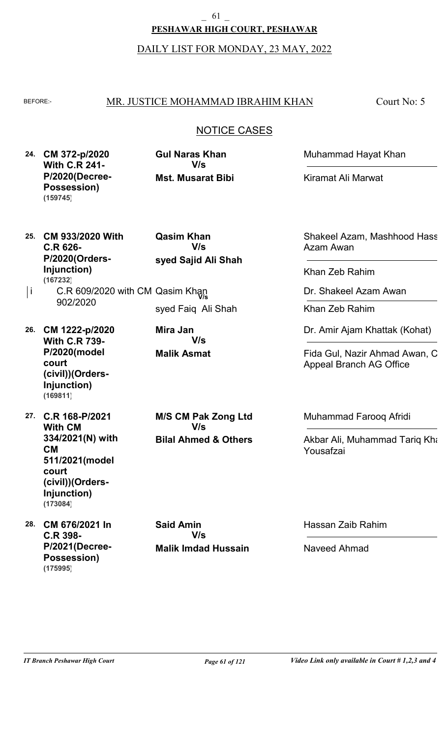# **PESHAWAR HIGH COURT, PESHAWAR** \_ 61 \_

#### DAILY LIST FOR MONDAY, 23 MAY, 2022

#### BEFORE: MR. JUSTICE MOHAMMAD IBRAHIM KHAN

Court No: 5

## NOTICE CASES

**24. CM 372-p/2020 With C.R 241- P/2020(Decree-Possession) (159745)**

**Mst. Musarat Bibi Gul Naras Khan V/s**

Muhammad Hayat Khan

Kiramat Ali Marwat

**25. CM 933/2020 With C.R 626- P/2020(Orders-Injunction) (167232)**

**syed Sajid Ali Shah Qasim Khan V/s**

**V/s**

- i C.R 609/2020 with CM Qasim Khan<br>203/3030 902/2020 syed Faiq Ali Shah
- **26. CM 1222-p/2020 With C.R 739- P/2020(model court (civil))(Orders-Injunction) (169811)**

**27. C.R 168-P/2021 With CM 334/2021(N) with CM 511/2021(model court (civil))(Orders-Injunction) (173084)**

**28. CM 676/2021 In C.R 398- P/2021(Decree-Possession) (175995)**

**Bilal Ahmed & Others M/S CM Pak Zong Ltd V/s**

**Malik Asmat**

**Mira Jan**

**Malik Imdad Hussain Said Amin V/s**

Shakeel Azam, Mashhood Hass Azam Awan

Khan Zeb Rahim

Dr. Shakeel Azam Awan

Khan Zeb Rahim

Dr. Amir Ajam Khattak (Kohat)

Fida Gul, Nazir Ahmad Awan, C Appeal Branch AG Office

Muhammad Farooq Afridi

Akbar Ali, Muhammad Tariq Kha Yousafzai

Hassan Zaib Rahim

Naveed Ahmad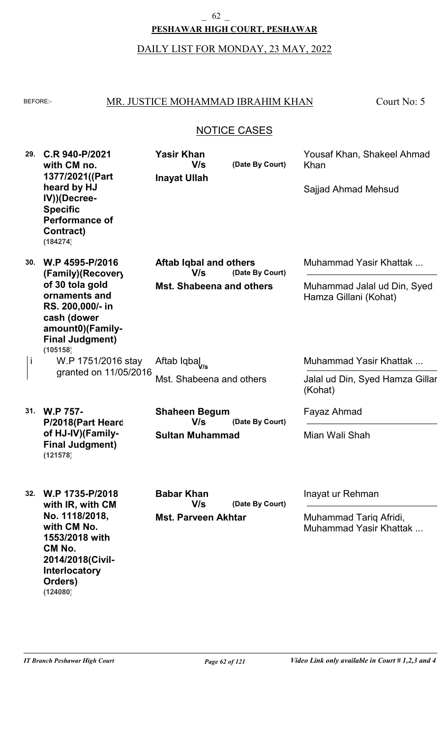#### **PESHAWAR HIGH COURT, PESHAWAR**  $-$  62  $-$

## DAILY LIST FOR MONDAY, 23 MAY, 2022

## BEFORE: MR. JUSTICE MOHAMMAD IBRAHIM KHAN

Court No: 5

### NOTICE CASES

| 29. | C.R 940-P/2021<br>with CM no.<br>1377/2021((Part<br>heard by HJ<br>IV))(Decree-<br><b>Specific</b><br><b>Performance of</b><br>Contract)<br>(184274) | <b>Yasir Khan</b><br>V/s<br><b>Inayat Ullah</b> | (Date By Court) | Yousaf Khan, Shakeel Ahmad<br>Khan<br>Sajjad Ahmad Mehsud |
|-----|------------------------------------------------------------------------------------------------------------------------------------------------------|-------------------------------------------------|-----------------|-----------------------------------------------------------|
| 30. | W.P 4595-P/2016<br>(Family)(Recover)                                                                                                                 | Aftab Iqbal and others<br>V/s                   | (Date By Court) | Muhammad Yasir Khattak                                    |
|     | of 30 tola gold<br>ornaments and<br>RS. 200,000/- in<br>cash (dower<br>amount0)(Family-<br><b>Final Judgment)</b><br>(105158)                        | <b>Mst. Shabeena and others</b>                 |                 | Muhammad Jalal ud Din, Syed<br>Hamza Gillani (Kohat)      |
| j   | W.P 1751/2016 stay<br>granted on 11/05/2016                                                                                                          | Aftab Iqbal <sub>V/s</sub>                      |                 | Muhammad Yasir Khattak                                    |
|     |                                                                                                                                                      | Mst. Shabeena and others                        |                 | Jalal ud Din, Syed Hamza Gillar<br>(Kohat)                |
| 31. | <b>W.P 757-</b><br>P/2018(Part Heard<br>of HJ-IV)(Family-<br><b>Final Judgment)</b><br>(121578)                                                      | <b>Shaheen Begum</b><br>V/s<br>(Date By Court)  |                 | Fayaz Ahmad                                               |
|     |                                                                                                                                                      | <b>Sultan Muhammad</b>                          |                 | Mian Wali Shah                                            |
| 32. | W.P 1735-P/2018<br>with IR, with CM                                                                                                                  | <b>Babar Khan</b><br>V/s                        | (Date By Court) | Inayat ur Rehman                                          |
|     | No. 1118/2018,<br>with CM No.<br>1553/2018 with<br>CM No.<br>2014/2018(Civil-<br>Interlocatory<br>Orders)                                            | <b>Mst. Parveen Akhtar</b>                      |                 | Muhammad Tariq Afridi,<br>Muhammad Yasir Khattak          |

**(124080)**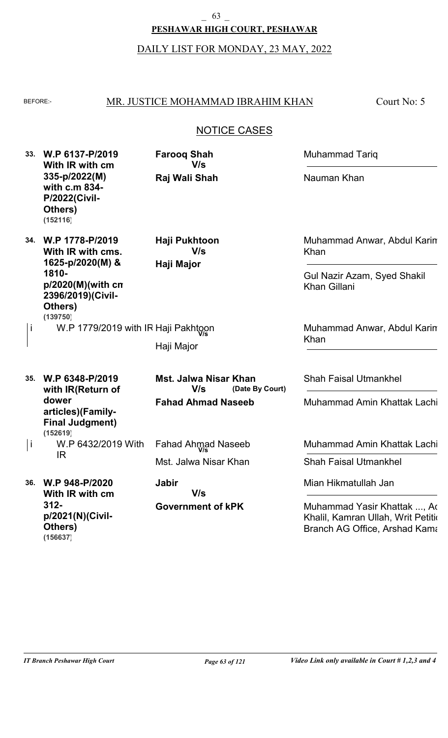#### **PESHAWAR HIGH COURT, PESHAWAR** \_ 63 \_

#### DAILY LIST FOR MONDAY, 23 MAY, 2022

#### BEFORE: MR. JUSTICE MOHAMMAD IBRAHIM KHAN

Court No: 5

## NOTICE CASES

**33. W.P 6137-P/2019 34. W.P 1778-P/2019 35. W.P 6348-P/2019 With IR with cm 335-p/2022(M) with c.m 834- P/2022(Civil-Others) With IR with cms. 1625-p/2020(M) & 1810 p/2020(M)(with cm 2396/2019)(Civil-Others) with IR(Return of Raj Wali Shah Haji Major** W.P 1779/2019 with IR Haji Pakhtoon **V/s** Haji Major **(Date By Court) Farooq Shah Haji Pukhtoon Mst. Jalwa Nisar Khan** Muhammad Tariq Nauman Khan **V/s V/s V/s** i **(152116) (139750)**

**Fahad Ahmad Naseeb**

**Government of kPK**

**V/s**

**Jabir**

Mst. Jalwa Nisar Khan

Fahad Ahmad Naseeb **V/s**

Muhammad Anwar, Abdul Karim Khan

Gul Nazir Azam, Syed Shakil Khan Gillani

Muhammad Anwar, Abdul Karim Khan

Shah Faisal Utmankhel

Muhammad Amin Khattak Lachi

Muhammad Amin Khattak Lachi

Shah Faisal Utmankhel

Mian Hikmatullah Jan

Muhammad Yasir Khattak ..., Ad Khalil, Kamran Ullah, Writ Petition Branch AG Office, Arshad Kama

**36. W.P 948-P/2020**

IR

i

**312-**

**Others)**

**(156637)**

**With IR with cm**

**p/2021(N)(Civil-**

**dower**

**(152619)**

**articles)(Family-Final Judgment)**

W.P 6432/2019 With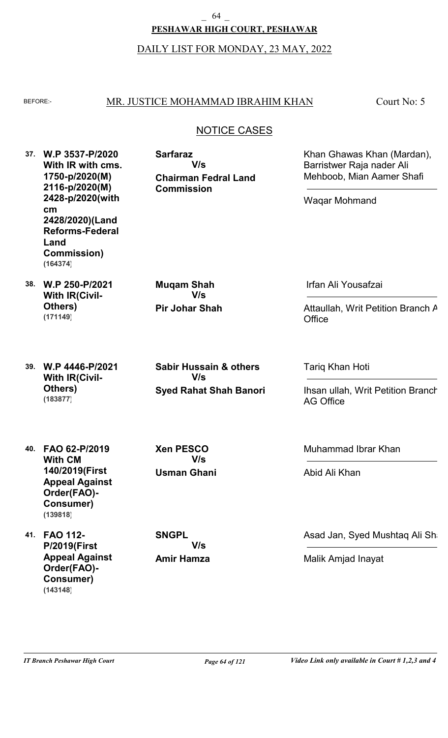## **PESHAWAR HIGH COURT, PESHAWAR**

### DAILY LIST FOR MONDAY, 23 MAY, 2022

### BEFORE: MR. JUSTICE MOHAMMAD IBRAHIM KHAN

**Chairman Fedral Land**

**V/s**

**Commission**

**Sarfaraz**

Court No: 5

## NOTICE CASES

- **37. W.P 3537-P/2020 With IR with cms. 1750-p/2020(M) 2116-p/2020(M) 2428-p/2020(with cm 2428/2020)(Land Reforms-Federal Land Commission) (164374)**
- **38. W.P 250-P/2021 With IR(Civil-Others) (171149)**
- **Pir Johar Shah Muqam Shah V/s**

Irfan Ali Yousafzai

Waqar Mohmand

Attaullah, Writ Petition Branch A **Office** 

Khan Ghawas Khan (Mardan),

Barristwer Raja nader Ali Mehboob, Mian Aamer Shafi

- **39. W.P 4446-P/2021 With IR(Civil-Others) (183877)**
- **Syed Rahat Shah Banori Sabir Hussain & others V/s**

Tariq Khan Hoti

Ihsan ullah, Writ Petition Branch AG Office

- **40. FAO 62-P/2019 With CM 140/2019(First Appeal Against Order(FAO)- Consumer) (139818)**
- **41. FAO 112- P/2019(First Appeal Against Order(FAO)- Consumer) (143148)**

**Usman Ghani Xen PESCO V/s**

**Amir Hamza SNGPL V/s**

Muhammad Ibrar Khan

Abid Ali Khan

Asad Jan, Syed Mushtaq Ali Shah

Malik Amjad Inayat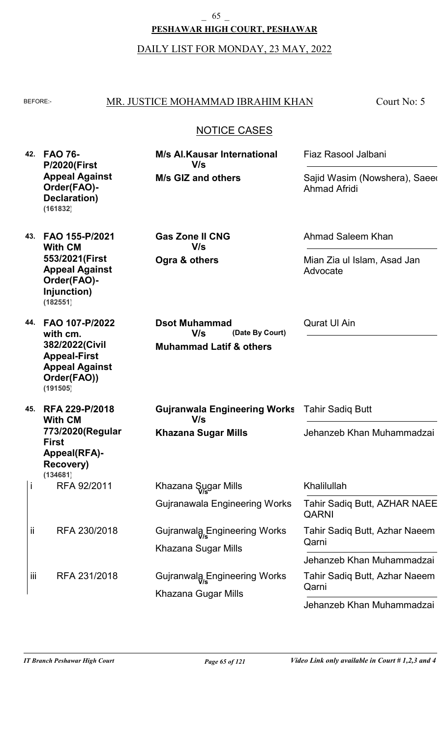DAILY LIST FOR MONDAY, 23 MAY, 2022

| н  |  |
|----|--|
| ۰, |  |

#### MR. JUSTICE MOHAMMAD IBRAHIM KHAN

**M/s Al.Kausar International**

Court No: 5

Fiaz Rasool Jalbani

## NOTICE CASES

**42. FAO 76- 43. FAO 155-P/2021 44. FAO 107-P/2022 45. RFA 229-P/2018 P/2020(First Appeal Against Order(FAO)- Declaration) With CM 553/2021(First Appeal Against Order(FAO)- Injunction) with cm. 382/2022(Civil Appeal-First Appeal Against Order(FAO)) With CM 773/2020(Regular First Appeal(RFA)- Recovery) M/s GIZ and others Ogra & others Muhammad Latif & others Khazana Sugar Mills** RFA 92/2011 RFA 230/2018 RFA 231/2018 Gujranawala Engineering Works Khazana Sugar Mills Khazana Gugar Mills **(Date By Court) Gas Zone II CNG Dsot Muhammad Gujranwala Engineering Works** Tahir Sadiq Butt Ahmad Saleem Khan Qurat Ul Ain Sajid Wasim (Nowshera), Saeed Ahmad Afridi Mian Zia ul Islam, Asad Jan Advocate Jehanzeb Khan Muhammadzai **V/s V/s V/s V/s** i ii iii Khazana Sugar Mills **V/s** Gujranwala Engineering Works **V/s** Gujranwala Engineering Works **V/s** Khalilullah Tahir Sadiq Butt, Azhar Naeem Qarni Tahir Sadiq Butt, Azhar Naeem Qarni Tahir Sadiq Butt, AZHAR NAEE QARNI Jehanzeb Khan Muhammadzai **(161832) (182551) (191505) (134681)**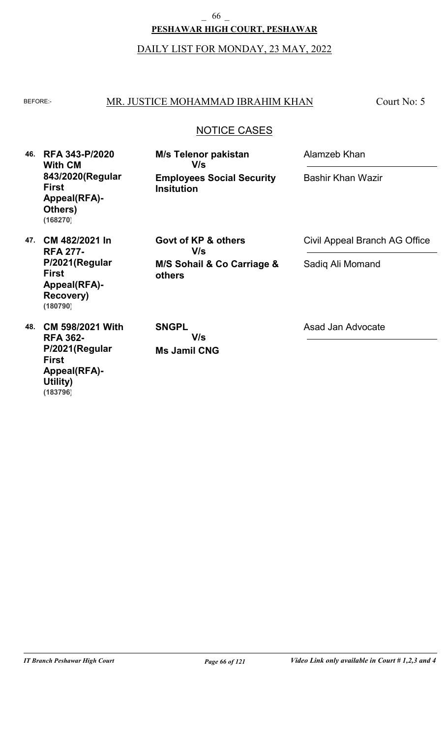**PESHAWAR HIGH COURT, PESHAWAR**  $-$  66  $-$ 

DAILY LIST FOR MONDAY, 23 MAY, 2022

# BEFORE: MR. JUSTICE MOHAMMAD IBRAHIM KHAN

Court No: 5

# NOTICE CASES

| 46. | <b>RFA 343-P/2020</b><br><b>With CM</b><br>843/2020(Regular<br><b>First</b><br>Appeal(RFA)-<br>Others)<br>(168270) | <b>M/s Telenor pakistan</b><br>V/s<br><b>Employees Social Security</b><br><b>Insitution</b> | Alamzeb Khan                  |  |
|-----|--------------------------------------------------------------------------------------------------------------------|---------------------------------------------------------------------------------------------|-------------------------------|--|
|     |                                                                                                                    |                                                                                             | <b>Bashir Khan Wazir</b>      |  |
| 47. | CM 482/2021 In<br><b>RFA 277-</b>                                                                                  | Govt of KP & others<br>V/s                                                                  | Civil Appeal Branch AG Office |  |
|     | P/2021(Regular<br><b>First</b><br>Appeal(RFA)-<br><b>Recovery)</b><br>(180790)                                     | M/S Sohail & Co Carriage &<br>others                                                        | Sadiq Ali Momand              |  |
| 48. | <b>CM 598/2021 With</b><br><b>RFA 362-</b><br>P/2021(Regular<br><b>First</b><br><b>Appeal(RFA)-</b>                | <b>SNGPL</b><br>V/s<br><b>Ms Jamil CNG</b>                                                  | Asad Jan Advocate             |  |

**Utility)**

**(183796)**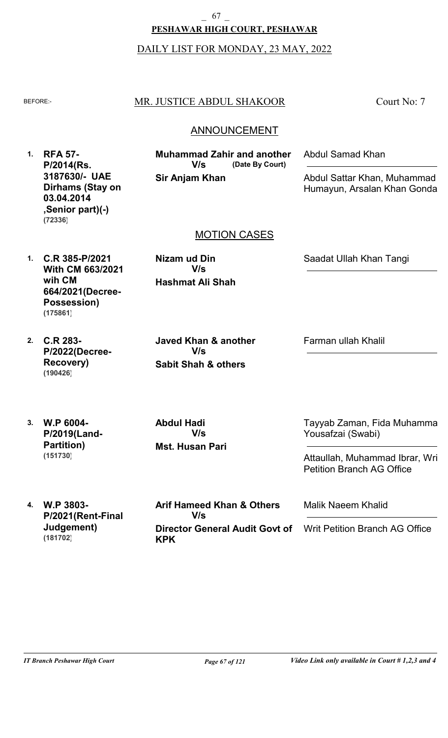# **PESHAWAR HIGH COURT, PESHAWAR** 67

#### DAILY LIST FOR MONDAY, 23 MAY, 2022

# BEFORE: MR. JUSTICE ABDUL SHAKOOR

Court No: 7

# **ANNOUNCEMENT**

**1. RFA 57- P/2014(Rs. 3187630/- UAE Dirhams (Stay on 03.04.2014 ,Senior part)(-) (72336)**

**Sir Anjam Khan (Date By Court) Muhammad Zahir and another V/s**

Abdul Samad Khan

Abdul Sattar Khan, Muhammad Humayun, Arsalan Khan Gondal

# MOTION CASES

**1. C.R 385-P/2021 With CM 663/2021 wih CM 664/2021(Decree-Possession) (175861)**

> **Sabit Shah & others Javed Khan & another V/s**

**Hashmat Ali Shah**

**V/s**

**Nizam ud Din**

Saadat Ullah Khan Tangi

**2. C.R 283- P/2022(Decree-Recovery) (190426)**

Farman ullah Khalil

**3. W.P 6004- P/2019(Land-Partition) (151730)**

**4. W.P 3803-**

**(181702)**

**P/2021(Rent-Final**

**Judgement)**

**Mst. Husan Pari Abdul Hadi V/s**

**KPK**

Tayyab Zaman, Fida Muhammad Yousafzai (Swabi)

Attaullah, Muhammad Ibrar, Wri Petition Branch AG Office

Malik Naeem Khalid

Writ Petition Branch AG Office

**Director General Audit Govt of**

**Arif Hameed Khan & Others**

**V/s**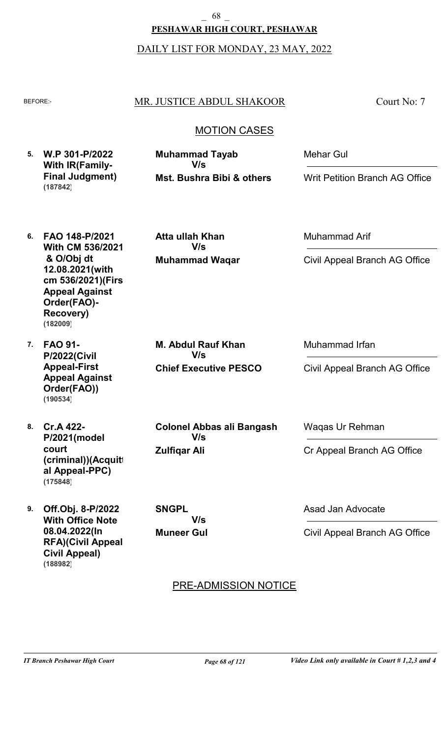**PESHAWAR HIGH COURT, PESHAWAR** \_ 68 \_

DAILY LIST FOR MONDAY, 23 MAY, 2022

### BEFORE: MR. JUSTICE ABDUL SHAKOOR

Court No: 7

# MOTION CASES

| 5. W.P 301-P/2022       | <b>Muhammad Tayab</b>     | Mehar Gul                      |
|-------------------------|---------------------------|--------------------------------|
| <b>With IR (Family-</b> | V/s                       |                                |
| <b>Final Judgment)</b>  | Mst. Bushra Bibi & others | Writ Petition Branch AG Office |
| (187842)                |                           |                                |

**Muhammad Waqar**

**V/s**

**Atta ullah Khan**

**6. FAO 148-P/2021 With CM 536/2021 & O/Obj dt 12.08.2021(with** cm 536/2021)(Firs **Appeal Against Order(FAO)- Recovery) (182009)**

**7. FAO 91- P/2022(Civil Appeal-First Appeal Against Order(FAO)) (190534)**

**8. Cr.A 422-**

**court**

**Chief Executive PESCO M. Abdul Rauf Khan V/s**

**Colonel Abbas ali Bangash**

**V/s**

Muhammad Irfan

Muhammad Arif

Civil Appeal Branch AG Office

Civil Appeal Branch AG Office

Waqas Ur Rehman

Cr Appeal Branch AG Office

**9. Off.Obj. 8-P/2022 (criminal))(Acquitt al Appeal-PPC) (175848)**

**P/2021(model**

**With Office Note 08.04.2022(In RFA)(Civil Appeal-Civil Appeal) (188982)**

**Muneer Gul SNGPL V/s**

**Zulfiqar Ali**

Asad Jan Advocate

Civil Appeal Branch AG Office

# PRE-ADMISSION NOTICE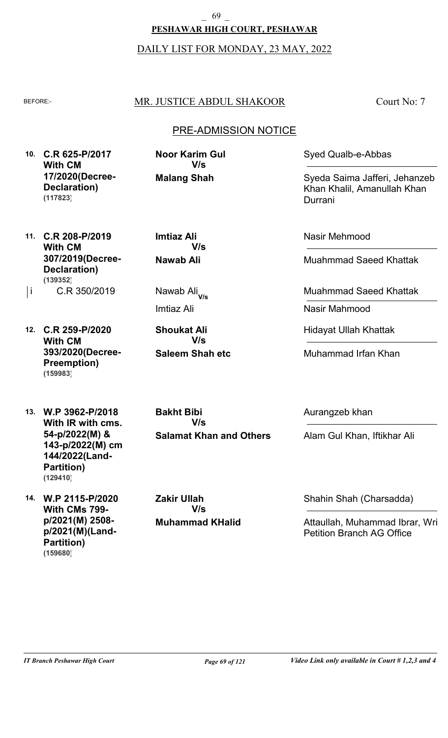**PESHAWAR HIGH COURT, PESHAWAR** \_ 69 \_

DAILY LIST FOR MONDAY, 23 MAY, 2022

# BEFORE: MR. JUSTICE ABDUL SHAKOOR

Court No: 7

# PRE-ADMISSION NOTICE

**10. C.R 625-P/2017 With CM 17/2020(Decree-Declaration) (117823)**

**Malang Shah Noor Karim Gul V/s**

Syed Qualb-e-Abbas

Syeda Saima Jafferi, Jehanzeb Khan Khalil, Amanullah Khan Durrani

- **11. C.R 208-P/2019 With CM 307/2019(Decree-Declaration) (139352)**
- C.R 350/2019 i Nawab Ali
- **12. C.R 259-P/2020 With CM 393/2020(Decree-Preemption) (159983)**

**13. W.P 3962-P/2018 With IR with cms. 54-p/2022(M) & 143-p/2022(M) cm 144/2022(Land-Partition) (129410)**

**14. W.P 2115-P/2020 With CMs 799 p/2021(M) 2508 p/2021(M)(Land-Partition) (159680)**

**Nawab Ali Imtiaz Ali V/s**

Nawab Ali<sub>V/s</sub>

Imtiaz Ali

**Saleem Shah etc Shoukat Ali V/s**

**Salamat Khan and Others Bakht Bibi V/s**

**Muhammad KHalid Zakir Ullah V/s**

Nasir Mehmood

Muahmmad Saeed Khattak

Muahmmad Saeed Khattak

Nasir Mahmood

Hidayat Ullah Khattak

Muhammad Irfan Khan

Aurangzeb khan

Alam Gul Khan, Iftikhar Ali

Shahin Shah (Charsadda)

Attaullah, Muhammad Ibrar, Wri Petition Branch AG Office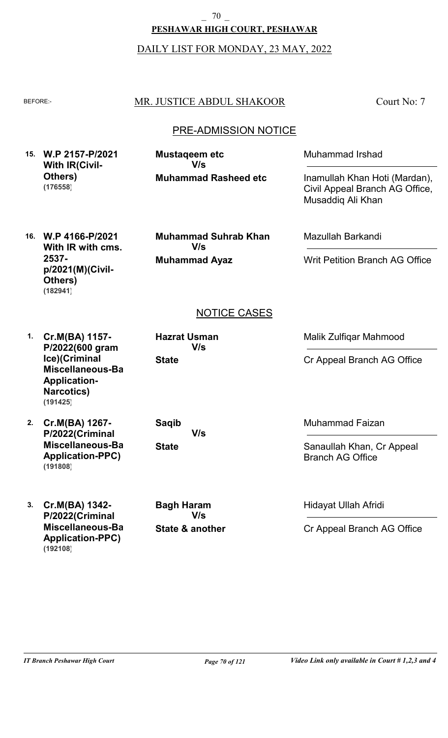**PESHAWAR HIGH COURT, PESHAWAR** \_ 70 \_

DAILY LIST FOR MONDAY, 23 MAY, 2022

## BEFORE: MR. JUSTICE ABDUL SHAKOOR

Court No: 7

## PRE-ADMISSION NOTICE

**15. W.P 2157-P/2021 With IR(Civil-Others) (176558)**

**Muhammad Rasheed etc Mustaqeem etc V/s**

Muhammad Irshad

Inamullah Khan Hoti (Mardan), Civil Appeal Branch AG Office, Musaddiq Ali Khan

**16. W.P 4166-P/2021 With IR with cms. 2537 p/2021(M)(Civil-Others) (182941)**

**Muhammad Ayaz Muhammad Suhrab Khan V/s**

Mazullah Barkandi

Writ Petition Branch AG Office

# NOTICE CASES

**1. Cr.M(BA) 1157- P/2022(600 gram Ice)(Criminal Miscellaneous-Bail Application-Narcotics) (191425)**

- **2. Cr.M(BA) 1267- P/2022(Criminal Miscellaneous-Bail Application-PPC) (191808)**
- **3. Cr.M(BA) 1342- P/2022(Criminal Miscellaneous-Bail Application-PPC) (192108)**

**State Hazrat Usman V/s**

**State Saqib V/s**

**State & another Bagh Haram V/s**

Malik Zulfiqar Mahmood

Cr Appeal Branch AG Office

Muhammad Faizan

Sanaullah Khan, Cr Appeal Branch AG Office

Hidayat Ullah Afridi

Cr Appeal Branch AG Office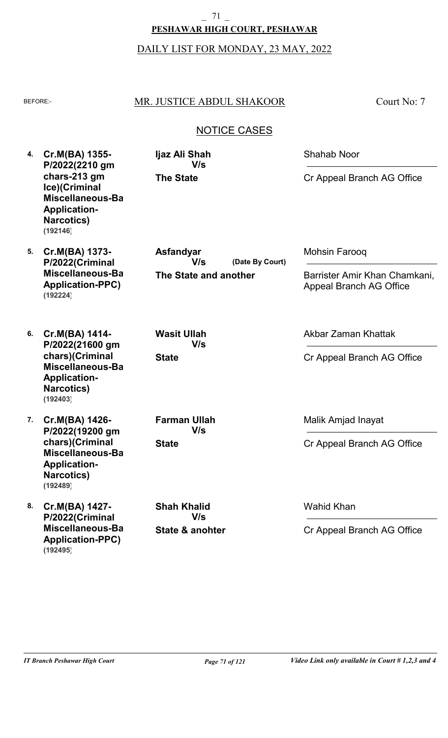# **PESHAWAR HIGH COURT, PESHAWAR**  $-$  71  $-$

DAILY LIST FOR MONDAY, 23 MAY, 2022

# BEFORE: MR. JUSTICE ABDUL SHAKOOR

Court No: 7

# NOTICE CASES

|    | 4. Cr.M(BA) 1355-                                                                                         | Ijaz Ali Shah<br>V/s<br>P/2022(2210 gm<br><b>The State</b> | <b>Shahab Noor</b>                                              |
|----|-----------------------------------------------------------------------------------------------------------|------------------------------------------------------------|-----------------------------------------------------------------|
|    | chars-213 gm<br>Ice)(Criminal<br>Miscellaneous-Ba<br><b>Application-</b><br><b>Narcotics)</b><br>(192146) |                                                            | Cr Appeal Branch AG Office                                      |
| 5. | Cr.M(BA) 1373-<br>P/2022(Criminal                                                                         | Asfandyar<br>V/s<br>(Date By Court)                        | Mohsin Farooq                                                   |
|    | Miscellaneous-Ba<br><b>Application-PPC)</b><br>(192224)                                                   | The State and another                                      | Barrister Amir Khan Chamkani,<br><b>Appeal Branch AG Office</b> |
| 6. | Cr.M(BA) 1414-<br>P/2022(21600 gm                                                                         | <b>Wasit Ullah</b><br>V/s                                  | Akbar Zaman Khattak                                             |
|    | chars)(Criminal<br><b>Miscellaneous-Ba</b><br><b>Application-</b><br><b>Narcotics)</b><br>(192403)        | <b>State</b>                                               | Cr Appeal Branch AG Office                                      |
| 7. | Cr.M(BA) 1426-<br>P/2022(19200 gm                                                                         | <b>Farman Ullah</b><br>V/s                                 | Malik Amjad Inayat                                              |
|    | chars)(Criminal<br>Miscellaneous-Ba<br><b>Application-</b><br><b>Narcotics)</b><br>(192489)               | <b>State</b>                                               | Cr Appeal Branch AG Office                                      |
| 8. | Cr.M(BA) 1427-<br>P/2022(Criminal                                                                         | <b>Shah Khalid</b><br>V/s                                  | <b>Wahid Khan</b>                                               |
|    | Miscellaneous-Ba<br><b>Application-PPC)</b><br>(192495)                                                   | State & anohter                                            | Cr Appeal Branch AG Office                                      |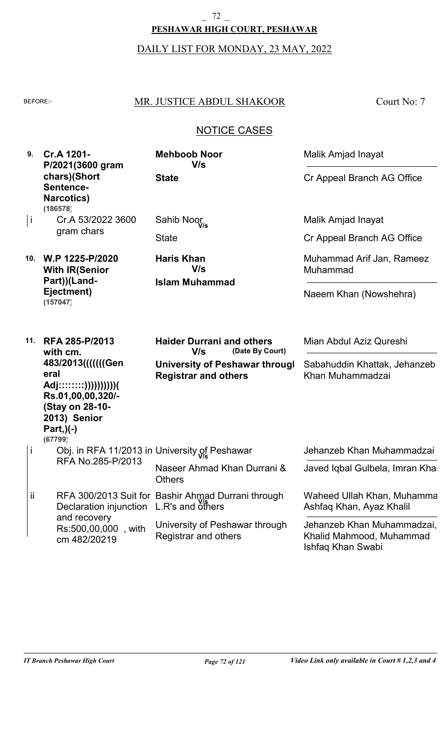# **PESHAWAR HIGH COURT, PESHAWAR** \_ 72 \_

DAILY LIST FOR MONDAY, 23 MAY, 2022

# BEFORE: MR. JUSTICE ABDUL SHAKOOR

Court No: 7

# NOTICE CASES

**9. Cr.A 1201- P/2021(3600 gram chars)(Short Sentence-Narcotics)**

**State Mehboob Noor V/s**

Cr.A 53/2022 3600 gram chars i **(186578)**

**10. W.P 1225-P/2020 With IR(Senior Part))(Land-Ejectment) (157047)**

**Islam Muhammad Haris Khan V/s**

**State** 

Sahib Noor **V/s**

Cr Appeal Branch AG Office

Malik Amjad Inayat

Malik Amjad Inayat

Cr Appeal Branch AG Office

Muhammad Arif Jan, Rameez Muhammad

Naeem Khan (Nowshehra)

| 11. | <b>RFA 285-P/2013</b><br>with cm.                                                                                                          | <b>Haider Durrani and others</b><br>V/s<br>(Date By Court)    | Mian Abdul Aziz Qureshi                                                     |
|-----|--------------------------------------------------------------------------------------------------------------------------------------------|---------------------------------------------------------------|-----------------------------------------------------------------------------|
|     | 483/2013(((((((Gen)<br>eral<br>Adj::::::::))))))))))))(<br>Rs.01,00,00,320/-<br>(Stay on 28-10-<br>2013) Senior<br>$Part, )(-)$<br>(67799) | University of Peshawar througl<br><b>Registrar and others</b> | Sabahuddin Khattak, Jehanzeb<br>Khan Muhammadzai                            |
| İ   |                                                                                                                                            | Obj. in RFA 11/2013 in University of Peshawar                 | Jehanzeb Khan Muhammadzai                                                   |
|     | RFA No.285-P/2013                                                                                                                          | Naseer Ahmad Khan Durrani &<br><b>Others</b>                  | Javed Iqbal Gulbela, Imran Khal                                             |
| ii  | Declaration injunction L.R's and others                                                                                                    | RFA 300/2013 Suit for Bashir Ahmad Durrani through            | Waheed Ullah Khan, Muhamma<br>Ashfaq Khan, Ayaz Khalil                      |
|     | and recovery<br>Rs:500,00,000, with<br>cm 482/20219                                                                                        | University of Peshawar through<br>Registrar and others        | Jehanzeb Khan Muhammadzai,<br>Khalid Mahmood, Muhammad<br>Ishfaq Khan Swabi |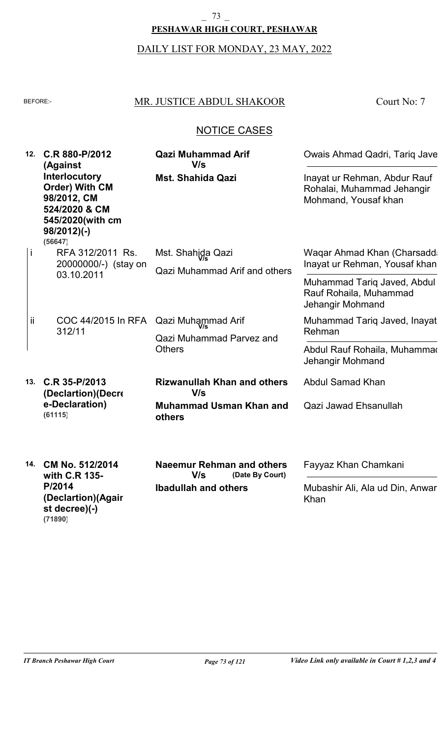# **PESHAWAR HIGH COURT, PESHAWAR**  $-73$

# DAILY LIST FOR MONDAY, 23 MAY, 2022

# BEFORE: MR. JUSTICE ABDUL SHAKOOR

Court No: 7

# NOTICE CASES

| 12. | C.R 880-P/2012<br>(Against                                                                                                     | <b>Qazi Muhammad Arif</b><br>V/s                                                          | Owais Ahmad Qadri, Tariq Jave                                                      |
|-----|--------------------------------------------------------------------------------------------------------------------------------|-------------------------------------------------------------------------------------------|------------------------------------------------------------------------------------|
|     | <b>Interlocutory</b><br><b>Order) With CM</b><br>98/2012, CM<br>524/2020 & CM<br>545/2020(with cm<br>$98/2012$ )(-)<br>(56647) | <b>Mst. Shahida Qazi</b>                                                                  | Inayat ur Rehman, Abdur Rauf<br>Rohalai, Muhammad Jehangir<br>Mohmand, Yousaf khan |
| İ   | RFA 312/2011 Rs.<br>20000000/-) (stay on                                                                                       | Mst. Shahida Qazi<br><b>Qazi Muhammad Arif and others</b>                                 | Waqar Ahmad Khan (Charsadd:<br>Inayat ur Rehman, Yousaf khan                       |
|     | 03.10.2011                                                                                                                     |                                                                                           | Muhammad Tariq Javed, Abdul<br>Rauf Rohaila, Muhammad<br>Jehangir Mohmand          |
| jj  | COC 44/2015 In RFA<br>312/11                                                                                                   | Qazi Muhammad Arif<br><b>Qazi Muhammad Parvez and</b>                                     | Muhammad Tariq Javed, Inayat<br>Rehman                                             |
|     |                                                                                                                                | <b>Others</b>                                                                             | Abdul Rauf Rohaila, Muhammar<br>Jehangir Mohmand                                   |
| 13. | C.R 35-P/2013<br>(Declartion) (Decre                                                                                           | <b>Rizwanullah Khan and others</b><br>V/s                                                 | <b>Abdul Samad Khan</b>                                                            |
|     | e-Declaration)<br>(61115)                                                                                                      | <b>Muhammad Usman Khan and</b><br>others                                                  | Qazi Jawad Ehsanullah                                                              |
| 14. | CM No. 512/2014<br>with C.R 135-<br>P/2014<br>(Declartion)(Agair                                                               | <b>Naeemur Rehman and others</b><br>(Date By Court)<br>V/s<br><b>Ibadullah and others</b> | Fayyaz Khan Chamkani<br>Mubashir Ali, Ala ud Din, Anwar<br>Khan                    |

**st decree)(-)**

**(71890)**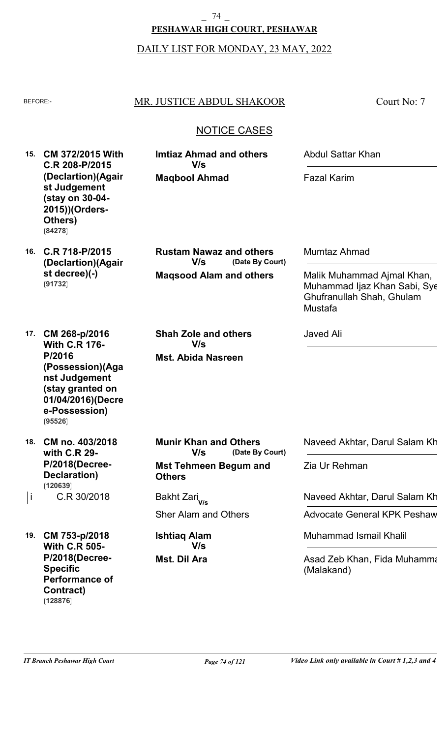**PESHAWAR HIGH COURT, PESHAWAR** \_ 74 \_

DAILY LIST FOR MONDAY, 23 MAY, 2022

## BEFORE: MR. JUSTICE ABDUL SHAKOOR

**Imtiaz Ahmad and others**

**Maqbool Ahmad**

**V/s**

Court No: 7

# NOTICE CASES

**15. CM 372/2015 With C.R 208-P/2015 (Declartion)(Again st Judgement (stay on 30-04- 2015))(Orders-Others) (84278)**

**16. C.R 718-P/2015 (Declartion)(Again st decree)(-) (91732)**

**Maqsood Alam and others (Date By Court) Rustam Nawaz and others V/s**

Mumtaz Ahmad

Javed Ali

Abdul Sattar Khan

Fazal Karim

Malik Muhammad Ajmal Khan, Muhammad Ijaz Khan Sabi, Sye Ghufranullah Shah, Ghulam Mustafa

**17. CM 268-p/2016 With C.R 176- P/2016 (Possession)(Agai nst Judgement (stay granted on 01/04/2016)(Decre e-Possession) (95526)**

**18. CM no. 403/2018 with C.R 29- P/2018(Decree-Declaration)** C.R 30/2018  $\vert$ i C.R 30/2018 Bakht Zari $_{\mathsf{V/s}}$ **(120639)**

**19. CM 753-p/2018 With C.R 505- P/2018(Decree-Specific Performance of Contract) (128876)**

**Mst. Abida Nasreen Shah Zole and others V/s**

**Mst Tehmeen Begum and Others (Date By Court) Munir Khan and Others V/s**

Sher Alam and Others

**Mst. Dil Ara Ishtiaq Alam V/s**

Naveed Akhtar, Darul Salam Kh

Zia Ur Rehman

**Naveed Akhtar, Darul Salam Khang** 

Advocate General KPK Peshaw

Muhammad Ismail Khalil

Asad Zeb Khan, Fida Muhamma (Malakand)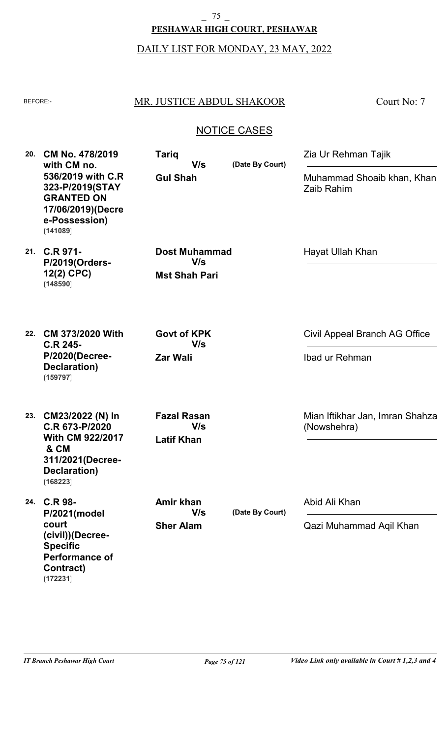# **PESHAWAR HIGH COURT, PESHAWAR**  $-75$

# DAILY LIST FOR MONDAY, 23 MAY, 2022

# BEFORE: MR. JUSTICE ABDUL SHAKOOR

Court No: 7

# NOTICE CASES

| 20. | CM No. 478/2019<br>with CM no.<br>536/2019 with C.R<br>323-P/2019(STAY<br><b>GRANTED ON</b><br>17/06/2019)(Decre<br>e-Possession)<br>(141089) | <b>Tariq</b><br>(Date By Court)<br>V/s<br><b>Gul Shah</b> | Zia Ur Rehman Tajik                      |                                                |
|-----|-----------------------------------------------------------------------------------------------------------------------------------------------|-----------------------------------------------------------|------------------------------------------|------------------------------------------------|
|     |                                                                                                                                               |                                                           | Muhammad Shoaib khan, Khan<br>Zaib Rahim |                                                |
| 21. | C.R 971-<br>P/2019(Orders-<br>12(2) CPC)<br>(148590)                                                                                          | <b>Dost Muhammad</b><br>V/s<br><b>Mst Shah Pari</b>       |                                          | Hayat Ullah Khan                               |
| 22. | CM 373/2020 With<br><b>C.R 245-</b>                                                                                                           | <b>Govt of KPK</b><br>V/s                                 |                                          | Civil Appeal Branch AG Office                  |
|     | <b>P/2020(Decree-</b><br>Declaration)<br>(159797)                                                                                             | <b>Zar Wali</b>                                           | Ibad ur Rehman                           |                                                |
| 23. | CM23/2022 (N) In<br>C.R 673-P/2020<br><b>With CM 922/2017</b><br>& CM<br>311/2021 (Decree-<br><b>Declaration)</b><br>(168223)                 | <b>Fazal Rasan</b><br>V/s<br><b>Latif Khan</b>            |                                          | Mian Iftikhar Jan, Imran Shahza<br>(Nowshehra) |
| 24. | <b>C.R 98-</b><br>P/2021(model                                                                                                                | Amir khan<br>V/s                                          | (Date By Court)                          | Abid Ali Khan                                  |
|     | court<br>(civil))(Decree-<br><b>Specific</b><br><b>Performance of</b><br><b>Contract)</b><br>(172231)                                         | <b>Sher Alam</b>                                          |                                          | Qazi Muhammad Aqil Khan                        |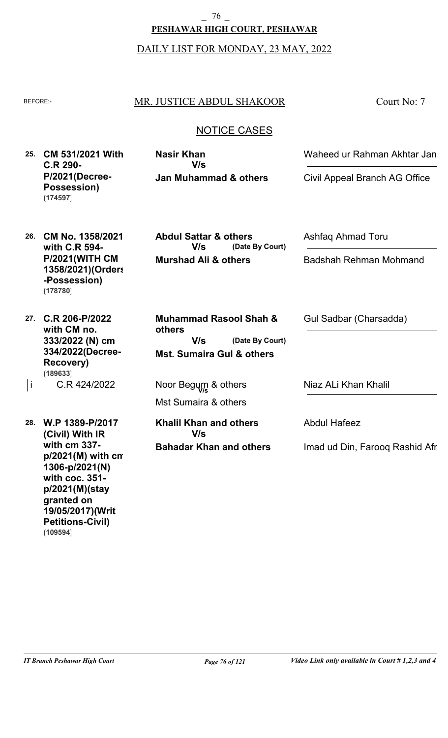**PESHAWAR HIGH COURT, PESHAWAR** \_ 76 \_

DAILY LIST FOR MONDAY, 23 MAY, 2022

### BEFORE: MR. JUSTICE ABDUL SHAKOOR

Court No: 7

# NOTICE CASES

**25. CM 531/2021 With C.R 290- P/2021(Decree-Possession) (174597)**

**Jan Muhammad & others Nasir Khan V/s**

Waheed ur Rahman Akhtar Jan

Civil Appeal Branch AG Office

- **26. CM No. 1358/2021 with C.R 594- P/2021(WITH CM 1358/2021)(Orders -Possession) (178780)**
- **27. C.R 206-P/2022 with CM no. 333/2022 (N) cm 334/2022(Decree-Recovery)** C.R 424/2022 **(189633)**

**28. W.P 1389-P/2017 (Civil) With IR with cm 337 p/2021(M) with cm 1306-p/2021(N) with coc. 351 p/2021(M)(stay granted on 19/05/2017)(Writ Petitions-Civil) (109594)**

**Murshad Ali & others (Date By Court) Abdul Sattar & others V/s**

**Mst. Sumaira Gul & others (Date By Court) Muhammad Rasool Shah & others V/s**

Mst Sumaira & others  $\vert$ i C.R 424/2022 **Noor Begum & others** 

> **Bahadar Khan and others Khalil Khan and others V/s**

Ashfaq Ahmad Toru

Badshah Rehman Mohmand

Gul Sadbar (Charsadda)

Niaz ALi Khan Khalil

Abdul Hafeez

Imad ud Din, Farooq Rashid Afr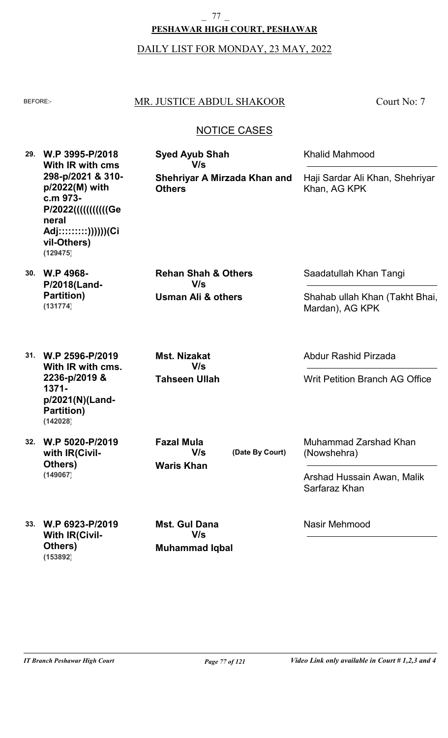# **PESHAWAR HIGH COURT, PESHAWAR** 77

#### DAILY LIST FOR MONDAY, 23 MAY, 2022

# BEFORE: MR. JUSTICE ABDUL SHAKOOR

**Syed Ayub Shah**

**V/s**

Court No: 7

# NOTICE CASES

**Shehriyar A Mirzada Khan and**

**29. W.P 3995-P/2018 With IR with cms 298-p/2021 & 310 p/2022(M) with c.m 973- P/2022(((((((((((Ge neral Adj:::::::::))))))(Ci vil-Others) (129475)**

**30. W.P 4968- P/2018(Land-Partition) (131774)**

**Usman Ali & others Rehan Shah & Others V/s**

**Others**

Saadatullah Khan Tangi

Abdur Rashid Pirzada

Khalid Mahmood

Khan, AG KPK

Shahab ullah Khan (Takht Bhai, Mardan), AG KPK

Writ Petition Branch AG Office

Haji Sardar Ali Khan, Shehriyar

**31. W.P 2596-P/2019 With IR with cms. 2236-p/2019 & 1371 p/2021(N)(Land-Partition) (142028)**

**32. W.P 5020-P/2019**

**with IR(Civil-**

**Others)**

**(149067)**

**Tahseen Ullah Mst. Nizakat V/s**

**Waris Khan**

**V/s**

**Fazal Mula**

**(Date By Court)**

Muhammad Zarshad Khan (Nowshehra)

Arshad Hussain Awan, Malik Sarfaraz Khan

**33. W.P 6923-P/2019 With IR(Civil-Others) (153892)**

**Muhammad Iqbal Mst. Gul Dana V/s**

Nasir Mehmood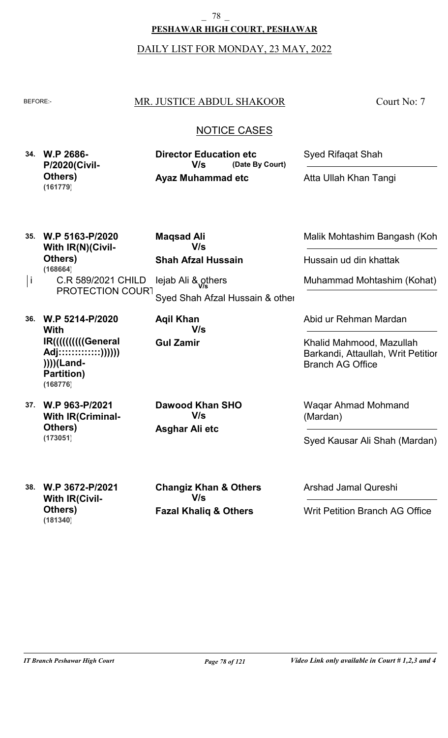DAILY LIST FOR MONDAY, 23 MAY, 2022

## BEFORE: MR. JUSTICE ABDUL SHAKOOR

Court No: 7

# NOTICE CASES

| 34. W.P 2686-        | <b>Director Education etc</b> | <b>Syed Rifagat Shah</b> |
|----------------------|-------------------------------|--------------------------|
| <b>P/2020(Civil-</b> | V/s.<br>(Date By Court)       |                          |
| Others)<br>(161779)  | <b>Ayaz Muhammad etc</b>      | Atta Ullah Khan Tangi    |
|                      |                               |                          |

| 35. | W.P 5163-P/2020<br><b>With IR(N)(Civil-</b><br>Others)<br>(168664)                                                       | <b>Magsad Ali</b><br>V/s<br><b>Shah Afzal Hussain</b> | Malik Mohtashim Bangash (Koh<br>Hussain ud din khattak                                                             |
|-----|--------------------------------------------------------------------------------------------------------------------------|-------------------------------------------------------|--------------------------------------------------------------------------------------------------------------------|
| j   | C.R 589/2021 CHILD<br>PROTECTION COURT                                                                                   | lejab Ali & others<br>Syed Shah Afzal Hussain & other | Muhammad Mohtashim (Kohat)                                                                                         |
| 36. | W.P 5214-P/2020<br><b>With</b><br>IR((((((((((General)<br>Adj:::::::::::::))))))<br>))))(Land-<br>Partition)<br>(168776) | <b>Agil Khan</b><br>V/s<br><b>Gul Zamir</b>           | Abid ur Rehman Mardan<br>Khalid Mahmood, Mazullah<br>Barkandi, Attaullah, Writ Petitior<br><b>Branch AG Office</b> |
| 37. | W.P 963-P/2021<br><b>With IR (Criminal-</b><br>Others)<br>(173051)                                                       | Dawood Khan SHO<br>V/s<br>Asghar Ali etc              | <b>Wagar Ahmad Mohmand</b><br>(Mardan)<br>Syed Kausar Ali Shah (Mardan)                                            |

**38. W.P 3672-P/2021 With IR(Civil-Others) (181340)**

**Fazal Khaliq & Others Changiz Khan & Others V/s**

Arshad Jamal Qureshi

Writ Petition Branch AG Office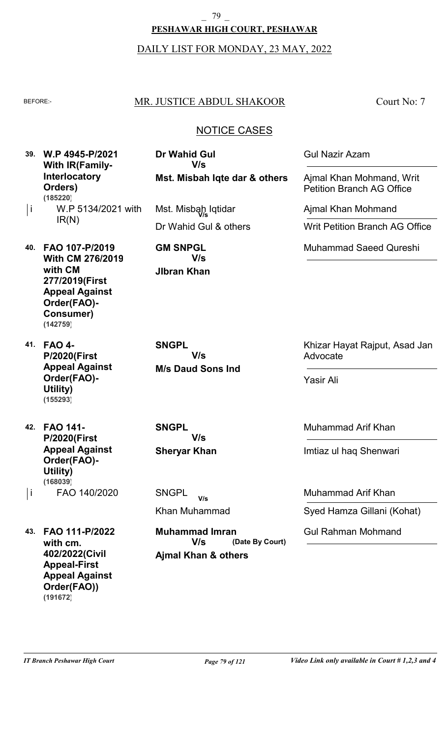79

**PESHAWAR HIGH COURT, PESHAWAR**

#### DAILY LIST FOR MONDAY, 23 MAY, 2022

### BEFORE: MR. JUSTICE ABDUL SHAKOOR

Court No: 7

## NOTICE CASES

**39. W.P 4945-P/2021 With IR(Family-Interlocatory Orders)** W.P 5134/2021 with IR(N) i **(185220)**

**40. FAO 107-P/2019 With CM 276/2019 with CM 277/2019(First Appeal Against Order(FAO)- Consumer) (142759)**

**41. FAO 4- P/2020(First Appeal Against Order(FAO)- Utility) (155293)**

**42. FAO 141- P/2020(First Appeal Against Order(FAO)- Utility)** FAO 140/2020 i **(168039)**

**43. FAO 111-P/2022 with cm. 402/2022(Civil Appeal-First Appeal Against Order(FAO)) (191672)**

**Mst. Misbah Iqte dar & others Dr Wahid Gul V/s**

Dr Wahid Gul & others Mst. Misbah Iqtidar **V/s**

**JIbran Khan GM SNPGL V/s**

**M/s Daud Sons Ind SNGPL V/s**

**Sheryar Khan SNGPL V/s**

Khan Muhammad **SNGPL V/s**

**Ajmal Khan & others (Date By Court) Muhammad Imran V/s**

Gul Nazir Azam

Ajmal Khan Mohmand, Writ Petition Branch AG Office

Ajmal Khan Mohmand

Writ Petition Branch AG Office

Muhammad Saeed Qureshi

Khizar Hayat Rajput, Asad Jan Advocate

Yasir Ali

Muhammad Arif Khan

Imtiaz ul haq Shenwari

Muhammad Arif Khan

Syed Hamza Gillani (Kohat)

Gul Rahman Mohmand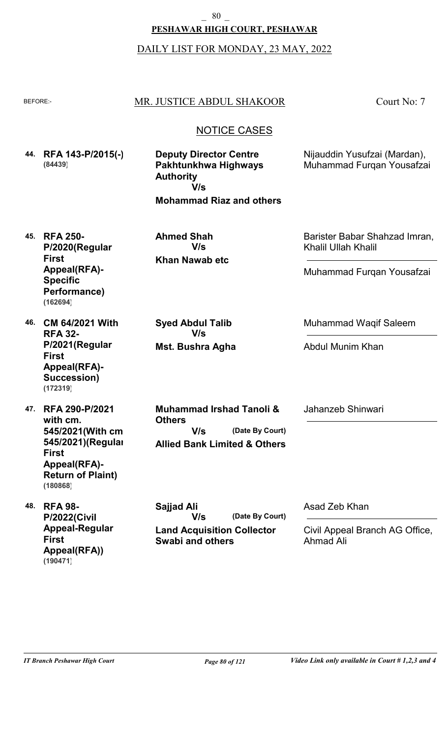## **PESHAWAR HIGH COURT, PESHAWAR**

#### DAILY LIST FOR MONDAY, 23 MAY, 2022

## BEFORE: MR. JUSTICE ABDUL SHAKOOR

Court No: 7

#### NOTICE CASES

- **44. RFA 143-P/2015(-) (84439)**
- **Deputy Director Centre Pakhtunkhwa Highways Authority V/s**

**Mohammad Riaz and others**

Nijauddin Yusufzai (Mardan), Muhammad Furqan Yousafzai

Barister Babar Shahzad Imran,

Muhammad Furqan Yousafzai

Muhammad Waqif Saleem

Khalil Ullah Khalil

**45. RFA 250- P/2020(Regular First Appeal(RFA)- Specific Performance) (162694)**

**Mst. Bushra Agha**

**V/s**

**Syed Abdul Talib**

**Khan Nawab etc**

**V/s**

**Ahmed Shah**

**46. CM 64/2021 With RFA 32- P/2021(Regular First Appeal(RFA)- Succession) (172319)**

**47. RFA 290-P/2021 with cm. 545/2021(With cm 545/2021)(Regular First Appeal(RFA)- Return of Plaint) (180868)**

**48. RFA 98- P/2022(Civil Appeal-Regular First Appeal(RFA)) (190471)**

**Allied Bank Limited & Others (Date By Court) Muhammad Irshad Tanoli & Others V/s**

Jahanzeb Shinwari

Abdul Munim Khan

**Land Acquisition Collector (Date By Court) Sajjad Ali V/s**

**Swabi and others**

Asad Zeb Khan

Civil Appeal Branch AG Office, Ahmad Ali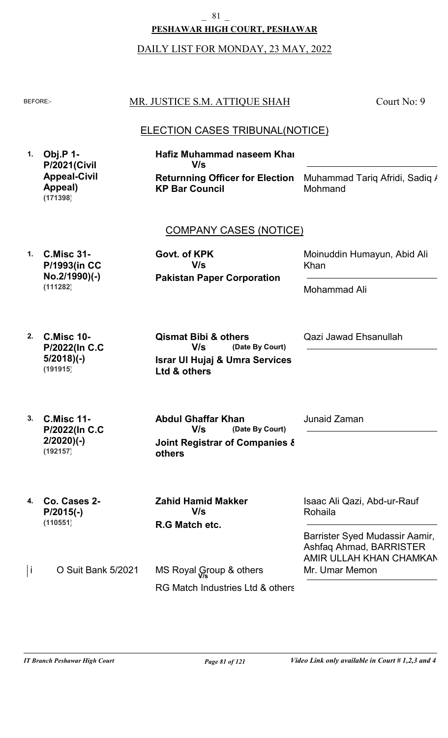\_ 81 \_

**PESHAWAR HIGH COURT, PESHAWAR**

DAILY LIST FOR MONDAY, 23 MAY, 2022

| <b>BEFORE:-</b> |                                                                   | MR. JUSTICE S.M. ATTIQUE SHAH                                                                                          | Court No: 9                                                                                         |
|-----------------|-------------------------------------------------------------------|------------------------------------------------------------------------------------------------------------------------|-----------------------------------------------------------------------------------------------------|
| 1.              | <b>Obj.P 1-</b>                                                   | ELECTION CASES TRIBUNAL(NOTICE)<br><b>Hafiz Muhammad naseem Khai</b>                                                   |                                                                                                     |
|                 | <b>P/2021(Civil</b><br><b>Appeal-Civil</b><br>Appeal)<br>(171398) | V/s<br><b>Returnning Officer for Election</b><br><b>KP Bar Council</b>                                                 | Muhammad Tariq Afridi, Sadiq /<br>Mohmand                                                           |
|                 |                                                                   | <b>COMPANY CASES (NOTICE)</b>                                                                                          |                                                                                                     |
| $\mathbf{1}$ .  | <b>C.Misc 31-</b><br><b>P/1993(in CC</b>                          | Govt. of KPK<br>V/s                                                                                                    | Moinuddin Humayun, Abid Ali<br>Khan                                                                 |
|                 | No.2/1990)(-)<br>(111282)                                         | <b>Pakistan Paper Corporation</b>                                                                                      | Mohammad Ali                                                                                        |
| 2.              | <b>C.Misc 10-</b><br>P/2022(In C.C.<br>$5/2018$ )(-)<br>(191915)  | <b>Qismat Bibi &amp; others</b><br>V/s<br>(Date By Court)<br><b>Israr UI Hujaj &amp; Umra Services</b><br>Ltd & others | Qazi Jawad Ehsanullah                                                                               |
| 3.              | <b>C.Misc 11-</b><br>P/2022(In C.C.<br>$2/2020(-)$<br>(192157)    | <b>Abdul Ghaffar Khan</b><br>V/s<br>(Date By Court)<br>Joint Registrar of Companies &<br>others                        | Junaid Zaman                                                                                        |
| 4.              | Co. Cases 2-<br>$P/2015(-)$<br>(110551)                           | <b>Zahid Hamid Makker</b><br>V/s<br>R.G Match etc.                                                                     | Isaac Ali Qazi, Abd-ur-Rauf<br>Rohaila<br>Barrister Syed Mudassir Aamir,<br>Ashfaq Ahmad, BARRISTER |
| j               | O Suit Bank 5/2021                                                | MS Royal Group & others<br>RG Match Industries Ltd & others                                                            | AMIR ULLAH KHAN CHAMKAN<br>Mr. Umar Memon                                                           |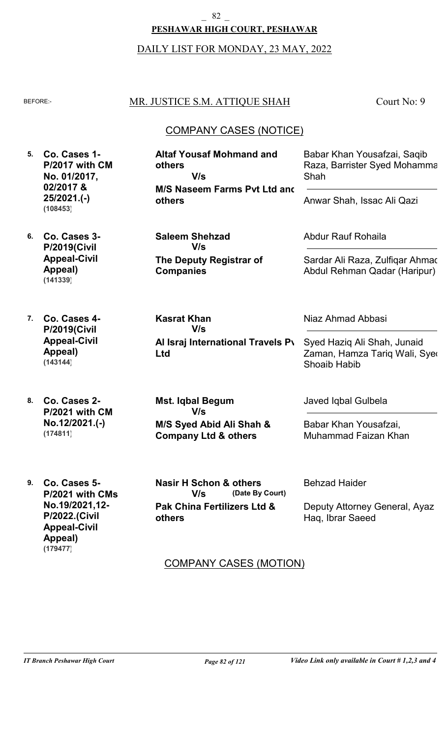#### 82

#### **PESHAWAR HIGH COURT, PESHAWAR**

#### DAILY LIST FOR MONDAY, 23 MAY, 2022

#### BEFORE: MR. JUSTICE S.M. ATTIQUE SHAH

**The Deputy Registrar of**

**Companies**

**Kasrat Khan**

**V/s**

**Ltd**

**others**

Court No: 9

# COMPANY CASES (NOTICE)

- **5. Co. Cases 1- 6. Co. Cases 3- P/2017 with CM No. 01/2017, 02/2017 & 25/2021.(-) P/2019(Civil M/S Naseem Farms Pvt Ltd and others Altaf Yousaf Mohmand and others Saleem Shehzad** Babar Khan Yousafzai, Saqib Raza, Barrister Syed Mohamma Shah Abdur Rauf Rohaila Anwar Shah, Issac Ali Qazi **V/s V/s (108453)**
	- Sardar Ali Raza, Zulfiqar Ahmad Abdul Rehman Qadar (Haripur)

Syed Haziq Ali Shah, Junaid Zaman, Hamza Tariq Wali, Syed

**7. Co. Cases 4- P/2019(Civil Appeal-Civil Appeal) (143144)**

**Appeal-Civil Appeal)**

**(141339)**

**8. Co. Cases 2- P/2021 with CM No.12/2021.(-) (174811)**

**M/S Syed Abid Ali Shah & Company Ltd & others Mst. Iqbal Begum V/s**

**Al Israj International Travels Pv** 

**9. Co. Cases 5- P/2021 with CMs No.19/2021,12- P/2022.(Civil Appeal-Civil Appeal) (179477)**

**Pak China Fertilizers Ltd & (Date By Court) Nasir H Schon & others V/s**

Javed Iqbal Gulbela

Shoaib Habib

Niaz Ahmad Abbasi

Babar Khan Yousafzai, Muhammad Faizan Khan

Behzad Haider

Deputy Attorney General, Ayaz Haq, Ibrar Saeed

# COMPANY CASES (MOTION)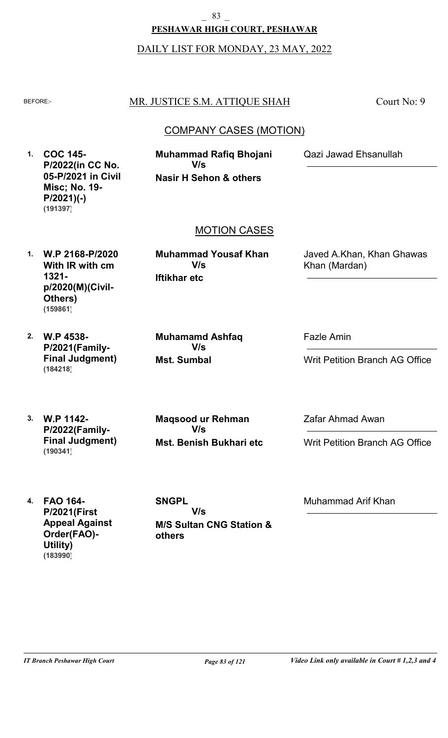**PESHAWAR HIGH COURT, PESHAWAR** \_ 83 \_

DAILY LIST FOR MONDAY, 23 MAY, 2022

# BEFORE: MR. JUSTICE S.M. ATTIQUE SHAH

Court No: 9

# COMPANY CASES (MOTION)

**1. COC 145- P/2022(in CC No. 05-P/2021 in Civil Misc; No. 19- P/2021)(-) (191397)**

**Nasir H Sehon & others Muhammad Rafiq Bhojani V/s**

Qazi Jawad Ehsanullah

# MOTION CASES

**1. W.P 2168-P/2020 With IR with cm 1321 p/2020(M)(Civil-Others) (159861)**

**Iftikhar etc Muhammad Yousaf Khan V/s**

Javed A.Khan, Khan Ghawas Khan (Mardan)

**2. W.P 4538- P/2021(Family-Final Judgment) (184218)**

**Mst. Sumbal Muhamamd Ashfaq V/s**

Fazle Amin

Writ Petition Branch AG Office

**3. W.P 1142- P/2022(Family-Final Judgment) (190341)**

**Mst. Benish Bukhari etc Maqsood ur Rehman V/s**

Zafar Ahmad Awan

Writ Petition Branch AG Office

**4. FAO 164- P/2021(First Appeal Against Order(FAO)- Utility) (183990)**

**M/S Sultan CNG Station & others SNGPL V/s**

Muhammad Arif Khan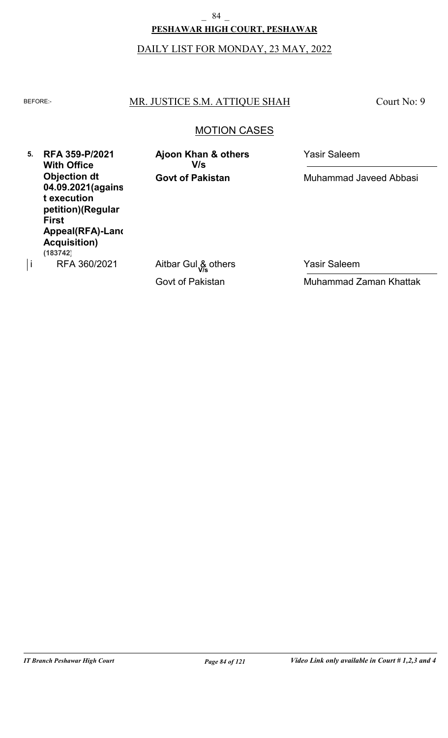# **PESHAWAR HIGH COURT, PESHAWAR** 84

# DAILY LIST FOR MONDAY, 23 MAY, 2022

## BEFORE: MR. JUSTICE S.M. ATTIQUE SHAH

Court No: 9

# MOTION CASES

**5. RFA 359-P/2021 With Office Objection dt 04.09.2021(agains t execution petition)(Regular First Appeal(RFA)-Land Acquisition)** RFA 360/2021 **(183742)**

**Govt of Pakistan Ajoon Khan & others** Yasir Saleem **V/s**

Muhammad Javeed Abbasi

Govt of Pakistan  $\vert$ i RFA 360/2021 Aitbar Gul  $\frac{8}{\sqrt{5}}$  others Yasir Saleem Muhammad Zaman Khattak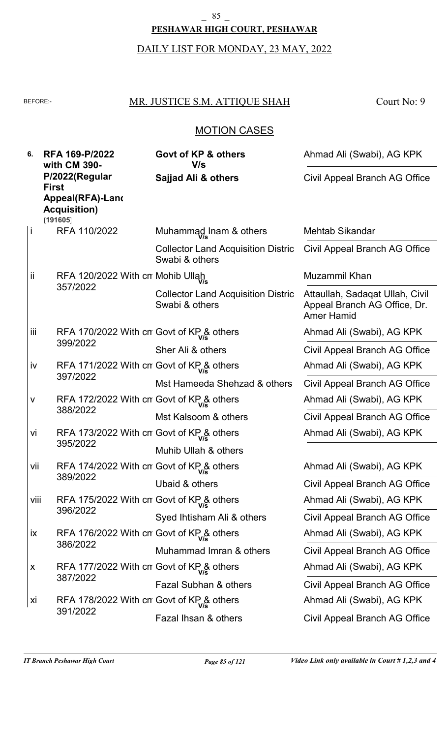# **PESHAWAR HIGH COURT, PESHAWAR** \_ 85 \_

# DAILY LIST FOR MONDAY, 23 MAY, 2022

# BEFORE: MR. JUSTICE S.M. ATTIQUE SHAH

Court No: 9

# MOTION CASES

| 6.        | RFA 169-P/2022<br>with CM 390-                                   | Govt of KP & others<br>V/s                                  | Ahmad Ali (Swabi), AG KPK                                                            |
|-----------|------------------------------------------------------------------|-------------------------------------------------------------|--------------------------------------------------------------------------------------|
|           | P/2022(Regular<br><b>First</b>                                   | Sajjad Ali & others                                         | Civil Appeal Branch AG Office                                                        |
|           | Appeal(RFA)-Land<br><b>Acquisition)</b><br>(191605)              |                                                             |                                                                                      |
| İ         | RFA 110/2022                                                     | Muhammad Inam & others                                      | Mehtab Sikandar                                                                      |
|           |                                                                  | <b>Collector Land Acquisition Distric</b><br>Swabi & others | Civil Appeal Branch AG Office                                                        |
| <b>ii</b> | RFA 120/2022 With cn Mohib Ullah                                 |                                                             | Muzammil Khan                                                                        |
|           | 357/2022                                                         | <b>Collector Land Acquisition Distric</b><br>Swabi & others | Attaullah, Sadagat Ullah, Civil<br>Appeal Branch AG Office, Dr.<br><b>Amer Hamid</b> |
| iii       | RFA 170/2022 With cn Govt of $KP_{\text{V/s}}^{\text{R}}$ others |                                                             | Ahmad Ali (Swabi), AG KPK                                                            |
|           | 399/2022                                                         | Sher Ali & others                                           | Civil Appeal Branch AG Office                                                        |
| iv        | RFA 171/2022 With cn Govt of KP & others                         |                                                             | Ahmad Ali (Swabi), AG KPK                                                            |
|           | 397/2022                                                         | Mst Hameeda Shehzad & others                                | Civil Appeal Branch AG Office                                                        |
| $\sf V$   | RFA 172/2022 With cn Govt of KP & others                         |                                                             | Ahmad Ali (Swabi), AG KPK                                                            |
|           | 388/2022                                                         | Mst Kalsoom & others                                        | Civil Appeal Branch AG Office                                                        |
| Vİ        | RFA 173/2022 With cn Govt of $KP_{V_s}^{\&}$ others              |                                                             | Ahmad Ali (Swabi), AG KPK                                                            |
|           | 395/2022                                                         | Muhib Ullah & others                                        |                                                                                      |
| vii       | RFA 174/2022 With cn Govt of KP& others                          |                                                             | Ahmad Ali (Swabi), AG KPK                                                            |
|           | 389/2022                                                         | Ubaid & others                                              | Civil Appeal Branch AG Office                                                        |
| Viii      | RFA 175/2022 With cn Govt of KP & others                         |                                                             | Ahmad Ali (Swabi), AG KPK                                                            |
|           | 396/2022                                                         | Syed Ihtisham Ali & others                                  | Civil Appeal Branch AG Office                                                        |
| <b>ix</b> | RFA 176/2022 With cn Govt of KP & others                         |                                                             | Ahmad Ali (Swabi), AG KPK                                                            |
|           | 386/2022                                                         | Muhammad Imran & others                                     | Civil Appeal Branch AG Office                                                        |
| X         | RFA 177/2022 With cn Govt of KP& others                          |                                                             | Ahmad Ali (Swabi), AG KPK                                                            |
|           | 387/2022                                                         | Fazal Subhan & others                                       | Civil Appeal Branch AG Office                                                        |
| XÌ        | RFA 178/2022 With cn Govt of KP & others                         |                                                             | Ahmad Ali (Swabi), AG KPK                                                            |
|           | 391/2022                                                         | Fazal Ihsan & others                                        | Civil Appeal Branch AG Office                                                        |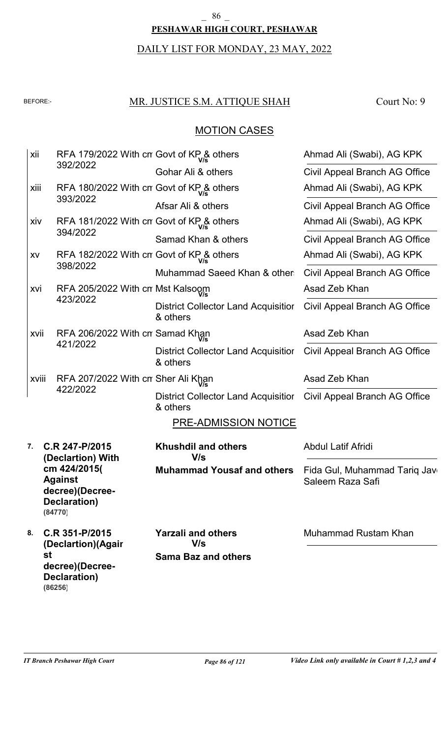#### **PESHAWAR HIGH COURT, PESHAWAR**  $\begin{smallmatrix} 86 \end{smallmatrix}$

# DAILY LIST FOR MONDAY, 23 MAY, 2022

# BEFORE: MR. JUSTICE S.M. ATTIQUE SHAH

Court No: 9

# MOTION CASES

| xii   | RFA 179/2022 With cn Govt of KP& others                                      |                                                        | Ahmad Ali (Swabi), AG KPK                        |
|-------|------------------------------------------------------------------------------|--------------------------------------------------------|--------------------------------------------------|
|       | 392/2022                                                                     | Gohar Ali & others                                     | Civil Appeal Branch AG Office                    |
| xiii  | RFA 180/2022 With cn Govt of KP& others                                      |                                                        | Ahmad Ali (Swabi), AG KPK                        |
|       | 393/2022                                                                     | Afsar Ali & others                                     | Civil Appeal Branch AG Office                    |
| xiv   | RFA 181/2022 With cn Govt of KP& others                                      |                                                        | Ahmad Ali (Swabi), AG KPK                        |
|       | 394/2022                                                                     | Samad Khan & others                                    | Civil Appeal Branch AG Office                    |
| XV    | RFA 182/2022 With cn Govt of KP& others                                      |                                                        | Ahmad Ali (Swabi), AG KPK                        |
|       | 398/2022                                                                     | Muhammad Saeed Khan & other                            | Civil Appeal Branch AG Office                    |
| xvi   | RFA 205/2022 With cn Mst Kalsoom                                             |                                                        | Asad Zeb Khan                                    |
|       | 423/2022                                                                     | <b>District Collector Land Acquisitior</b><br>& others | Civil Appeal Branch AG Office                    |
| xvii  | RFA 206/2022 With cn Samad Khan                                              |                                                        | Asad Zeb Khan                                    |
|       | 421/2022                                                                     | District Collector Land Acquisitior<br>& others        | Civil Appeal Branch AG Office                    |
| xviii | RFA 207/2022 With cn Sher Ali Khan                                           |                                                        | Asad Zeb Khan                                    |
|       | 422/2022                                                                     | <b>District Collector Land Acquisitior</b><br>& others | Civil Appeal Branch AG Office                    |
|       |                                                                              | <b>PRE-ADMISSION NOTICE</b>                            |                                                  |
| 7.    | C.R 247-P/2015<br>(Declartion) With                                          | <b>Khushdil and others</b><br>V/s                      | <b>Abdul Latif Afridi</b>                        |
|       | cm 424/2015(<br><b>Against</b><br>decree)(Decree-<br>Declaration)<br>(84770) | <b>Muhammad Yousaf and others</b>                      | Fida Gul, Muhammad Tariq Jav<br>Saleem Raza Safi |
| 8.    | C.R 351-P/2015<br>(Declartion)(Agair                                         | <b>Yarzali and others</b><br>V/s                       | Muhammad Rustam Khan                             |
|       | st<br>decree)(Decree-<br><b>Declaration)</b><br>(86256)                      | <b>Sama Baz and others</b>                             |                                                  |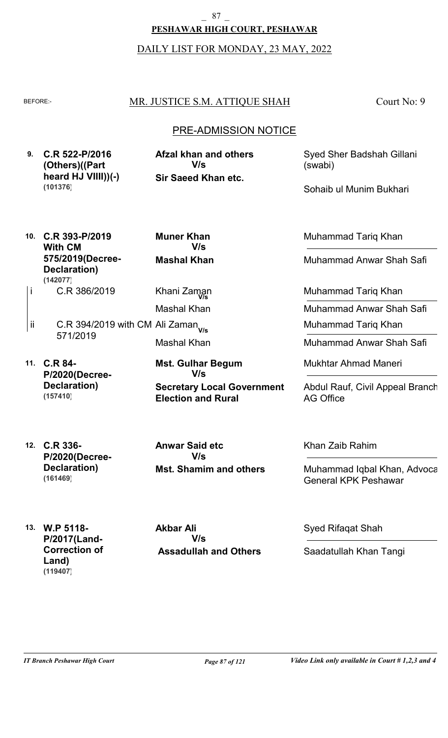# **PESHAWAR HIGH COURT, PESHAWAR** 87

DAILY LIST FOR MONDAY, 23 MAY, 2022

# BEFORE: MR. JUSTICE S.M. ATTIQUE SHAH

Court No: 9

# PRE-ADMISSION NOTICE

**9. C.R 522-P/2016 (Others)((Part heard HJ VIIII))(-) Sir Saeed Khan etc. Afzal khan and others V/s (101376)**

Syed Sher Badshah Gillani (swabi)

Sohaib ul Munim Bukhari

**10. C.R 393-P/2019 With CM 575/2019(Decree-Declaration) (142077)**

**Mashal Khan Muner Khan V/s**

Mashal Khan

Khani Zaman **V/s**

- C.R 386/2019 i
- C.R 394/2019 with CM Ali Zaman **V/s** 571/2019 Mashal Khan ii
- **11. C.R 84- P/2020(Decree-Declaration) (157410)**

**Secretary Local Government Election and Rural Mst. Gulhar Begum V/s**

Muhammad Tariq Khan

Muhammad Anwar Shah Safi

Muhammad Tariq Khan

Muhammad Anwar Shah Safi

Muhammad Tariq Khan

Muhammad Anwar Shah Safi

Mukhtar Ahmad Maneri

Abdul Rauf, Civil Appeal Branch AG Office

**12. C.R 336- P/2020(Decree-Declaration) (161469)**

**Mst. Shamim and others Anwar Said etc V/s**

Khan Zaib Rahim

Muhammad Iqbal Khan, Advoca General KPK Peshawar

**13. W.P 5118- P/2017(Land-Correction of Land) (119407)**

 **Assadullah and Others Akbar Ali V/s**

Syed Rifaqat Shah

Saadatullah Khan Tangi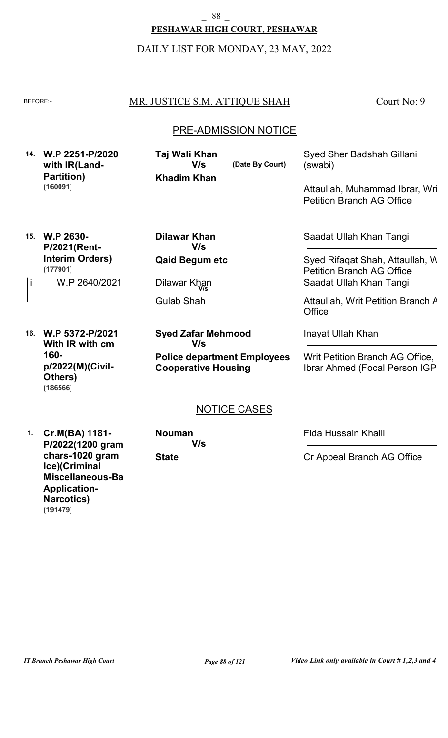\_ 88 \_

# **PESHAWAR HIGH COURT, PESHAWAR**

#### DAILY LIST FOR MONDAY, 23 MAY, 2022

# BEFORE: MR. JUSTICE S.M. ATTIQUE SHAH

Court No: 9

# PRE-ADMISSION NOTICE

**14. W.P 2251-P/2020 with IR(Land-Partition) (160091)**

**Khadim Khan Taj Wali Khan V/s**

**(Date By Court)**

Syed Sher Badshah Gillani (swabi)

Attaullah, Muhammad Ibrar, Wri Petition Branch AG Office

**15. W.P 2630- P/2021(Rent-Interim Orders)** W.P 2640/2021 **(177901)**

**Qaid Begum etc Dilawar Khan V/s**

Gulab Shah  $\vert$ i W.P 2640/2021 Dilawar Khan

**16. W.P 5372-P/2021 With IR with cm 160 p/2022(M)(Civil-Others) (186566)**

**Police department Employees Cooperative Housing Syed Zafar Mehmood V/s**

Saadat Ullah Khan Tangi

Syed Rifaqat Shah, Attaullah, W Petition Branch AG Office **V/s** Saadat Ullah Khan Tangi

Attaullah, Writ Petition Branch A **Office** 

Inayat Ullah Khan

Writ Petition Branch AG Office, Ibrar Ahmed (Focal Person IGP)

# NOTICE CASES

**1. Cr.M(BA) 1181- P/2022(1200 gram chars-1020 gram Ice)(Criminal Miscellaneous-Bail Application-Narcotics) (191479)**

**State Nouman V/s** Fida Hussain Khalil

Cr Appeal Branch AG Office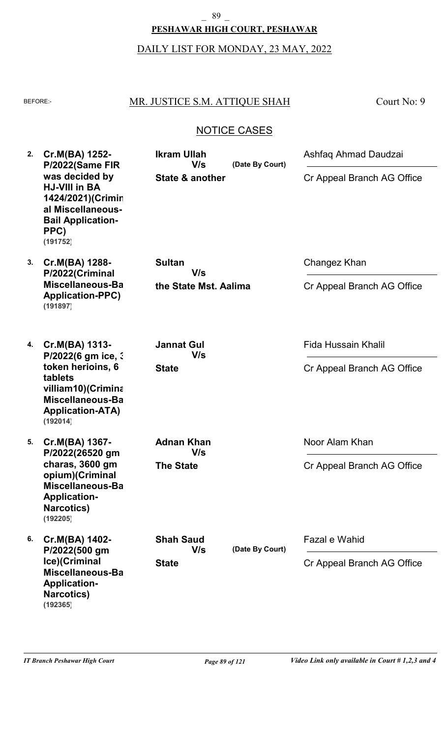# **PESHAWAR HIGH COURT, PESHAWAR** \_ 89 \_

# DAILY LIST FOR MONDAY, 23 MAY, 2022

# BEFORE: MR. JUSTICE S.M. ATTIQUE SHAH

Court No: 9

# NOTICE CASES

| 2. | Cr.M(BA) 1252-<br>P/2022(Same FIR<br>was decided by<br><b>HJ-VIII in BA</b><br>1424/2021)(Crimin<br>al Miscellaneous-               | <b>Ikram Ullah</b><br>V/s<br>State & another | (Date By Court) | Ashfaq Ahmad Daudzai<br>Cr Appeal Branch AG Office |
|----|-------------------------------------------------------------------------------------------------------------------------------------|----------------------------------------------|-----------------|----------------------------------------------------|
|    | <b>Bail Application-</b><br>PPC)<br>(191752)                                                                                        |                                              |                 |                                                    |
| 3. | Cr.M(BA) 1288-<br>P/2022(Criminal                                                                                                   | <b>Sultan</b><br>V/s                         |                 | Changez Khan                                       |
|    | Miscellaneous-Ba<br><b>Application-PPC)</b><br>(191897)                                                                             | the State Mst. Aalima                        |                 | Cr Appeal Branch AG Office                         |
| 4. | Cr.M(BA) 1313-                                                                                                                      | <b>Jannat Gul</b><br>V/s                     |                 | <b>Fida Hussain Khalil</b>                         |
|    | P/2022(6 gm ice, 3<br>token herioins, 6<br>tablets<br>villiam10)(Crimina<br>Miscellaneous-Ba<br><b>Application-ATA)</b><br>(192014) | <b>State</b>                                 |                 | Cr Appeal Branch AG Office                         |
| 5. | Cr.M(BA) 1367-<br>P/2022(26520 gm                                                                                                   | <b>Adnan Khan</b><br>V/s                     |                 | Noor Alam Khan                                     |
|    | charas, 3600 gm<br>opium)(Criminal<br>Miscellaneous-Ba<br><b>Application-</b><br><b>Narcotics)</b><br>(192205)                      | <b>The State</b>                             |                 | Cr Appeal Branch AG Office                         |
| 6. | Cr.M(BA) 1402-<br>P/2022(500 gm                                                                                                     | <b>Shah Saud</b><br>V/s                      | (Date By Court) | Fazal e Wahid                                      |
|    | Ice)(Criminal<br>Miscellaneous-Ba<br><b>Application-</b><br><b>Narcotics)</b><br>(192365)                                           | <b>State</b>                                 |                 | Cr Appeal Branch AG Office                         |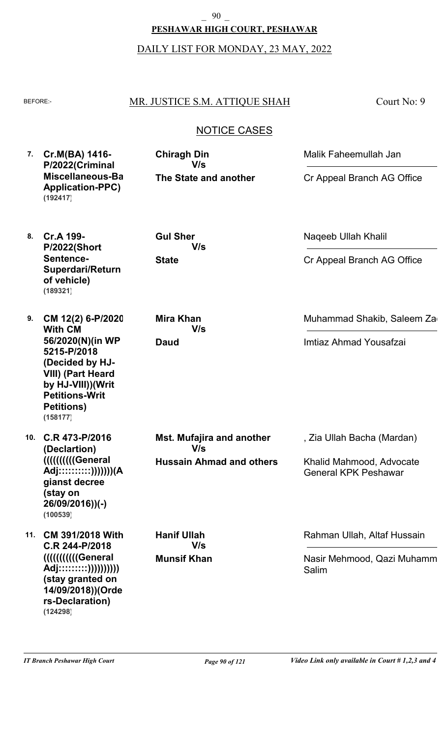**PESHAWAR HIGH COURT, PESHAWAR** \_ 90 \_

DAILY LIST FOR MONDAY, 23 MAY, 2022

## BEFORE: MR. JUSTICE S.M. ATTIQUE SHAH

Court No: 9

# NOTICE CASES

**7. Cr.M(BA) 1416- P/2022(Criminal Miscellaneous-Bail Application-PPC) (192417)**

**The State and another Chiragh Din V/s**

Malik Faheemullah Jan

Naqeeb Ullah Khalil

Cr Appeal Branch AG Office

Cr Appeal Branch AG Office

Muhammad Shakib, Saleem Za

Imtiaz Ahmad Yousafzai

- **8. Cr.A 199- P/2022(Short Sentence-Superdari/Return of vehicle) (189321)**
- **9. CM 12(2) 6-P/2020 With CM 56/2020(N)(in WP 5215-P/2018 (Decided by HJ-VIII) (Part Heard by HJ-VIII))(Writ Petitions-Writ Petitions) (158177)**
- **10. C.R 473-P/2016 (Declartion) ((((((((((General Adj::::::::::)))))))(A gianst decree (stay on 26/09/2016))(-) (100539)**
- **11. CM 391/2018 With C.R 244-P/2018 (((((((((((General Adj:::::::::)))))))))) (stay granted on 14/09/2018))(Orde rs-Declaration) (124298)**

**State V/s**

**Gul Sher**

**Daud Mira Khan V/s**

**Munsif Khan**

**V/s**

**Hanif Ullah** 

**Hussain Ahmad and others Mst. Mufajira and another V/s**

Rahman Ullah, Altaf Hussain

, Zia Ullah Bacha (Mardan)

Khalid Mahmood, Advocate General KPK Peshawar

Nasir Mehmood, Qazi Muhamm Salim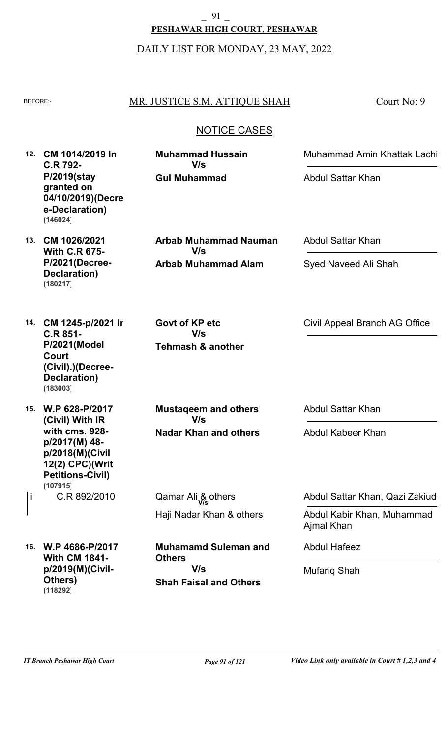# **PESHAWAR HIGH COURT, PESHAWAR** \_ 91 \_

DAILY LIST FOR MONDAY, 23 MAY, 2022

# BEFORE: MR. JUSTICE S.M. ATTIQUE SHAH

Court No: 9

# NOTICE CASES

**12. CM 1014/2019 In C.R 792- P/2019(stay granted on 04/10/2019)(Decre e-Declaration) (146024)**

**13. CM 1026/2021**

**(180217)**

**With C.R 675- P/2021(Decree-Declaration)**

**Arbab Muhammad Alam Arbab Muhammad Nauman V/s**

**Gul Muhammad**

**Muhammad Hussain**

**V/s**

**14. CM 1245-p/2021 In C.R 851- P/2021(Model Court (Civil).)(Decree-Declaration) (183003)**

**15. W.P 628-P/2017 (Civil) With IR with cms. 928 p/2017(M) 48 p/2018(M)(Civil 12(2) CPC)(Writ Petitions-Civil)** C.R 892/2010 **(107915)**

**16. W.P 4686-P/2017**

**Others)**

**(118292)**

**With CM 1841 p/2019(M)(Civil-** **Mustaqeem and others V/s**

**Tehmash & another**

**V/s**

**Govt of KP etc**

**Nadar Khan and others**

Haji Nadar Khan & others i C.R 892/2010 **Qamar Ali & others Vice Abdul Sattar Khan, Qazi Zakiudding** 

> **Shah Faisal and Others Muhamamd Suleman and Others V/s**

Abdul Sattar Khan

Abdul Sattar Khan

Syed Naveed Ali Shah

Civil Appeal Branch AG Office

Muhammad Amin Khattak Lachi

Abdul Sattar Khan

Abdul Kabeer Khan

Abdul Kabir Khan, Muhammad Ajmal Khan

Abdul Hafeez

Mufariq Shah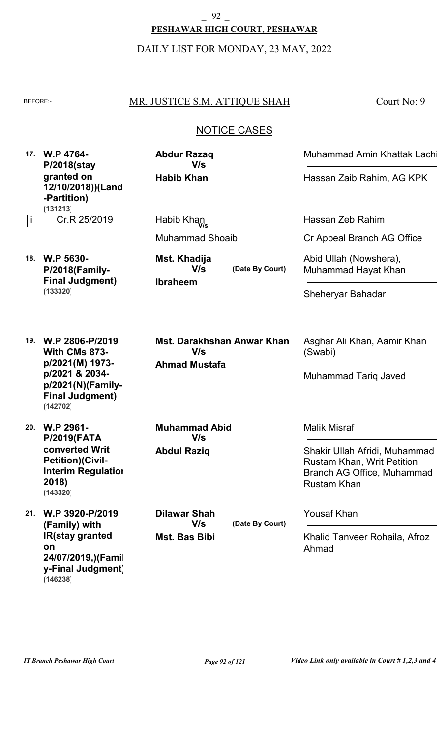# **PESHAWAR HIGH COURT, PESHAWAR** \_ 92 \_

DAILY LIST FOR MONDAY, 23 MAY, 2022

# BEFORE: MR. JUSTICE S.M. ATTIQUE SHAH

Court No: 9

# NOTICE CASES

**17. W.P 4764- P/2018(stay granted on 12/10/2018))(Land -Partition)** Cr.R 25/2019 **(131213)**

**Habib Khan Abdur Razaq V/s**

Muhammad Shoaib i Cr.R 25/2019 Habib Khan<br>V/s

**18. W.P 5630- P/2018(Family-Final Judgment) (133320)**

**Ibraheem (Date By Court) Mst. Khadija V/s**

**Ahmad Mustafa Mst. Darakhshan Anwar Khan V/s**

**With CMs 873 p/2021(M) 1973 p/2021 & 2034 p/2021(N)(Family-Final Judgment) (142702)**

**19. W.P 2806-P/2019**

**20. W.P 2961- P/2019(FATA converted Writ Petition)(Civil-Interim Regulation 2018) (143320)**

**21. W.P 3920-P/2019 (Family) with IR(stay granted on 24/07/2019,)(Famil y-Final Judgment) (146238)**

**Abdul Raziq Muhammad Abid V/s**

**Mst. Bas Bibi Dilawar Shah V/s**

**(Date By Court)**

Muhammad Amin Khattak Lachi

Hassan Zaib Rahim, AG KPK

Hassan Zeb Rahim

Cr Appeal Branch AG Office

Abid Ullah (Nowshera), Muhammad Hayat Khan

Sheheryar Bahadar

Asghar Ali Khan, Aamir Khan (Swabi)

Muhammad Tariq Javed

Malik Misraf

Shakir Ullah Afridi, Muhammad Rustam Khan, Writ Petition Branch AG Office, Muhammad Rustam Khan

Yousaf Khan

Khalid Tanveer Rohaila, Afroz Ahmad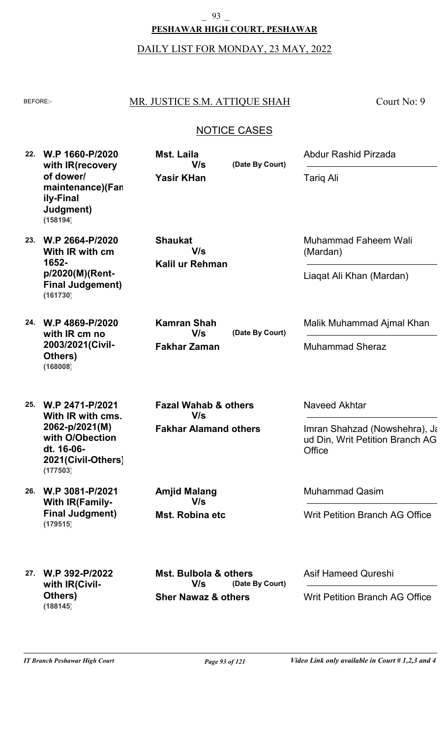# **PESHAWAR HIGH COURT, PESHAWAR** \_ 93 \_

# DAILY LIST FOR MONDAY, 23 MAY, 2022

# BEFORE: MR. JUSTICE S.M. ATTIQUE SHAH

Court No: 9

# NOTICE CASES

| 22. | W.P 1660-P/2020<br>with IR(recovery<br>of dower/<br>maintenance)(Fan<br>ily-Final<br>Judgment)<br>(158194)                | <b>Mst. Laila</b><br>V/s<br><b>Yasir KHan</b>                             | (Date By Court) | Abdur Rashid Pirzada<br><b>Tarig Ali</b>                                                    |
|-----|---------------------------------------------------------------------------------------------------------------------------|---------------------------------------------------------------------------|-----------------|---------------------------------------------------------------------------------------------|
| 23. | W.P 2664-P/2020<br>With IR with cm<br>1652-<br>p/2020(M)(Rent-<br><b>Final Judgement)</b><br>(161730)                     | <b>Shaukat</b><br>V/s<br>Kalil ur Rehman                                  |                 | Muhammad Faheem Wali<br>(Mardan)<br>Liagat Ali Khan (Mardan)                                |
| 24. | W.P 4869-P/2020<br>with IR cm no<br>2003/2021(Civil-<br>Others)<br>(168008)                                               | <b>Kamran Shah</b><br>V/s<br><b>Fakhar Zaman</b>                          | (Date By Court) | Malik Muhammad Ajmal Khan<br><b>Muhammad Sheraz</b>                                         |
| 25. | W.P 2471-P/2021<br>With IR with cms.<br>2062-p/2021(M)<br>with O/Obection<br>dt. 16-06-<br>2021(Civil-Others)<br>(177503) | <b>Fazal Wahab &amp; others</b><br>V/s<br><b>Fakhar Alamand others</b>    |                 | Naveed Akhtar<br>Imran Shahzad (Nowshehra), Ja<br>ud Din, Writ Petition Branch AG<br>Office |
| 26. | W.P 3081-P/2021<br><b>With IR(Family-</b><br><b>Final Judgment)</b><br>(179515)                                           | <b>Amjid Malang</b><br>V/s<br>Mst. Robina etc                             |                 | <b>Muhammad Qasim</b><br><b>Writ Petition Branch AG Office</b>                              |
| 27. | W.P 392-P/2022<br>with IR(Civil-<br>Others)<br>(188145)                                                                   | <b>Mst. Bulbola &amp; others</b><br>V/s<br><b>Sher Nawaz &amp; others</b> | (Date By Court) | <b>Asif Hameed Qureshi</b><br><b>Writ Petition Branch AG Office</b>                         |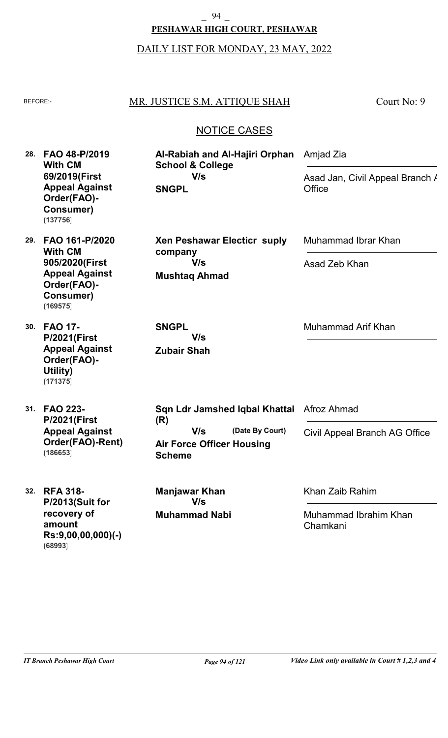#### \_ 94 \_

#### **PESHAWAR HIGH COURT, PESHAWAR**

#### DAILY LIST FOR MONDAY, 23 MAY, 2022

#### BEFORE: MR. JUSTICE S.M. ATTIQUE SHAH

Court No: 9

# NOTICE CASES

**Al-Rabiah and Al-Hajiri Orphan** 

**Xen Peshawar Electicr suply**

**28. FAO 48-P/2019 With CM 69/2019(First Appeal Against Order(FAO)- Consumer) (137756)**

**29. FAO 161-P/2020 With CM 905/2020(First Appeal Against Order(FAO)- Consumer) (169575)**

**30. FAO 17- P/2021(First Appeal Against Order(FAO)- Utility) (171375)**

**31. FAO 223- P/2021(First Appeal Against Order(FAO)-Rent) (186653)**

**SNGPL**

**Mushtaq Ahmad**

**V/s**

**School & College**

**V/s**

**Zubair Shah V/s**

**SNGPL**

**company**

Muhammad Ibrar Khan

Asad Zeb Khan

Asad Jan, Civil Appeal Branch /

Amjad Zia

**Office** 

Muhammad Arif Khan

**Air Force Officer Housing Scheme (Date By Court) Sqn Ldr Jamshed Iqbal Khattal (R)** Afroz Ahmad Civil Appeal Branch AG Office **V/s**

**32. RFA 318- P/2013(Suit for recovery of amount Rs:9,00,00,000)(-) (68993)**

**Muhammad Nabi Manjawar Khan V/s**

Khan Zaib Rahim

Muhammad Ibrahim Khan Chamkani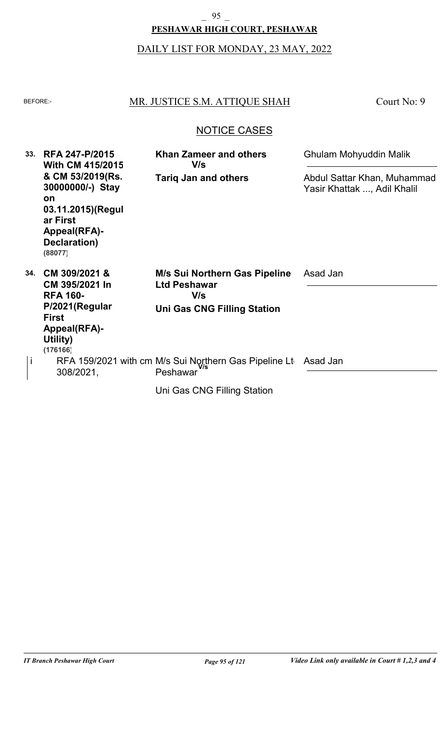# **PESHAWAR HIGH COURT, PESHAWAR** \_ 95 \_

# DAILY LIST FOR MONDAY, 23 MAY, 2022

# BEFORE: MR. JUSTICE S.M. ATTIQUE SHAH

Court No: 9

# NOTICE CASES

| 33. | <b>RFA 247-P/2015</b><br><b>With CM 415/2015</b>                                                                              | <b>Khan Zameer and others</b><br>V/s                                                              | <b>Ghulam Mohyuddin Malik</b>                              |
|-----|-------------------------------------------------------------------------------------------------------------------------------|---------------------------------------------------------------------------------------------------|------------------------------------------------------------|
|     | & CM 53/2019(Rs.<br>30000000/-) Stay<br><b>on</b><br>03.11.2015)(Regul<br>ar First<br>Appeal(RFA)-<br>Declaration)<br>(88077) | <b>Tariq Jan and others</b>                                                                       | Abdul Sattar Khan, Muhammad<br>Yasir Khattak , Adil Khalil |
| 34. | CM 309/2021 &<br>CM 395/2021 In<br><b>RFA 160-</b><br>P/2021(Regular<br><b>First</b><br>Appeal(RFA)-<br>Utility)<br>(176166)  | M/s Sui Northern Gas Pipeline<br><b>Ltd Peshawar</b><br>V/s<br><b>Uni Gas CNG Filling Station</b> | Asad Jan                                                   |
| İ   | 308/2021,                                                                                                                     | RFA 159/2021 with cm M/s Sui Northern Gas Pipeline Lt<br>Peshawar                                 | Asad Jan                                                   |
|     |                                                                                                                               | Uni Gas CNG Filling Station                                                                       |                                                            |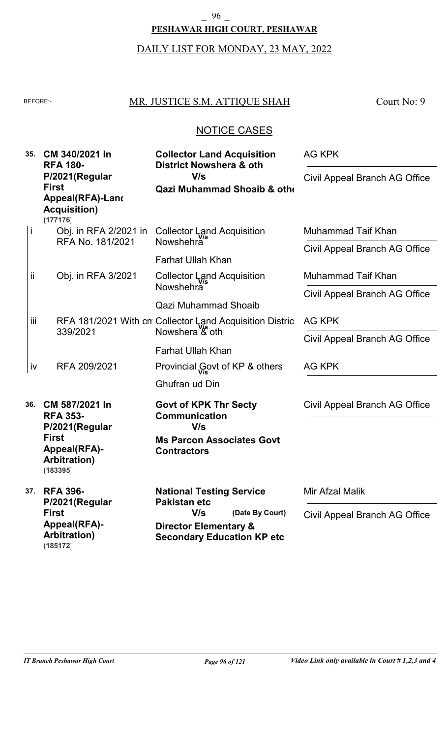#### \_ 96 \_

#### **PESHAWAR HIGH COURT, PESHAWAR**

# DAILY LIST FOR MONDAY, 23 MAY, 2022

# BEFORE: MR. JUSTICE S.M. ATTIQUE SHAH

Court No: 9

### NOTICE CASES

| 35. |     | CM 340/2021 In<br><b>RFA 180-</b><br>P/2021(Regular<br><b>First</b><br>Appeal(RFA)-Land | <b>Collector Land Acquisition</b><br>District Nowshera & oth          | AG KPK                        |
|-----|-----|-----------------------------------------------------------------------------------------|-----------------------------------------------------------------------|-------------------------------|
|     |     |                                                                                         | V/s<br><b>Qazi Muhammad Shoaib &amp; other</b>                        | Civil Appeal Branch AG Office |
|     |     | <b>Acquisition</b> )<br>(177176)                                                        |                                                                       |                               |
|     | j   | Obj. in RFA 2/2021 in<br>RFA No. 181/2021                                               | Collector Land Acquisition<br>Nowshehra                               | <b>Muhammad Taif Khan</b>     |
|     |     |                                                                                         | <b>Farhat Ullah Khan</b>                                              | Civil Appeal Branch AG Office |
|     | ij  | Obj. in RFA 3/2021                                                                      | Collector Land Acquisition                                            | Muhammad Taif Khan            |
|     |     | RFA 181/2021 With cn Collector Land Acquisition Distric<br>339/2021                     | Nowshehra <sup>®</sup>                                                | Civil Appeal Branch AG Office |
|     | iii |                                                                                         | <b>Qazi Muhammad Shoaib</b>                                           | AG KPK                        |
|     |     |                                                                                         | Nowshera & oth                                                        | Civil Appeal Branch AG Office |
|     |     |                                                                                         | <b>Farhat Ullah Khan</b>                                              |                               |
|     | iv  | RFA 209/2021                                                                            | Provincial Govt of KP & others                                        | <b>AG KPK</b>                 |
|     |     |                                                                                         | Ghufran ud Din                                                        |                               |
| 36. |     | CM 587/2021 In<br><b>RFA 353-</b>                                                       | <b>Govt of KPK Thr Secty</b><br><b>Communication</b>                  | Civil Appeal Branch AG Office |
|     |     | P/2021(Regular                                                                          | V/s                                                                   |                               |
|     |     | <b>First</b><br>Appeal(RFA)-<br><b>Arbitration)</b><br>(183395)                         | <b>Ms Parcon Associates Govt</b><br><b>Contractors</b>                |                               |
| 37. |     | <b>RFA 396-</b>                                                                         | <b>National Testing Service</b><br><b>Pakistan etc</b>                | Mir Afzal Malik               |
|     |     | P/2021(Regular<br><b>First</b>                                                          | V/s<br>(Date By Court)                                                | Civil Appeal Branch AG Office |
|     |     | Appeal(RFA)-<br><b>Arbitration</b> )<br>(185172)                                        | <b>Director Elementary &amp;</b><br><b>Secondary Education KP etc</b> |                               |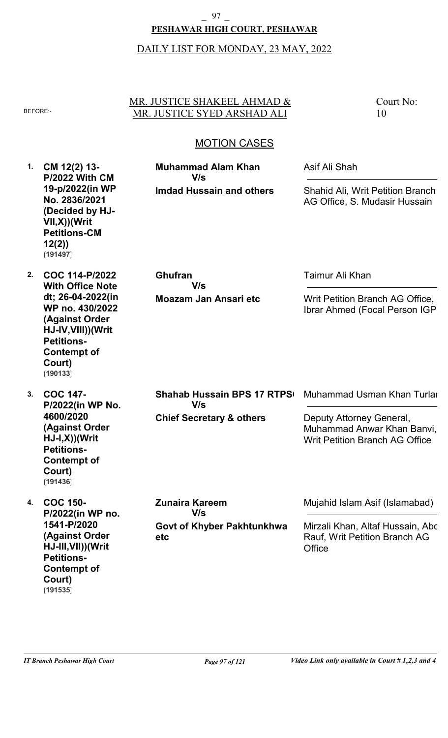# **PESHAWAR HIGH COURT, PESHAWAR** \_ 97 \_

### DAILY LIST FOR MONDAY, 23 MAY, 2022

#### MR. JUSTICE SHAKEEL AHMAD & BEFORE: MR. JUSTICE SYED ARSHAD ALI

Court No: 10

# MOTION CASES

**1. 2. COC 114-P/2022 3. COC 147- 4. COC 150- CM 12(2) 13- P/2022 With CM 19-p/2022(in WP No. 2836/2021 (Decided by HJ-VII,X))(Writ Petitions-CM 12(2)) With Office Note dt; 26-04-2022(in WP no. 430/2022 (Against Order HJ-IV,VIII))(Writ Petitions-Contempt of Court) P/2022(in WP No. 4600/2020 (Against Order HJ-I,X))(Writ Petitions-Contempt of Court) P/2022(in WP no. 1541-P/2020 (Against Order HJ-III,VII))(Writ Petitions-Contempt of Court) Imdad Hussain and others Moazam Jan Ansari etc Chief Secretary & others Govt of Khyber Pakhtunkhwa etc Muhammad Alam Khan Ghufran Shahab Hussain BPS 17 RTPS Zunaira Kareem** Asif Ali Shah Taimur Ali Khan Muhammad Usman Khan Turlar Mujahid Islam Asif (Islamabad) Shahid Ali, Writ Petition Branch AG Office, S. Mudasir Hussain Writ Petition Branch AG Office, Ibrar Ahmed (Focal Person IGP) Deputy Attorney General, Muhammad Anwar Khan Banvi, Writ Petition Branch AG Office Mirzali Khan, Altaf Hussain, Abc Rauf, Writ Petition Branch AG **Office V/s V/s V/s V/s (191497) (190133) (191436)**

**(191535)**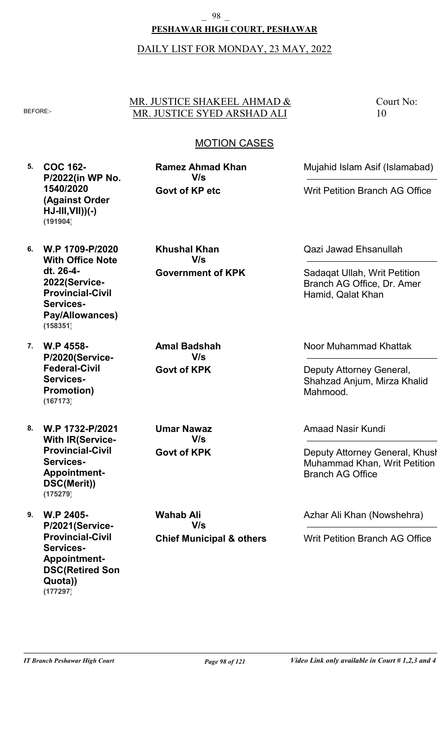### **PESHAWAR HIGH COURT, PESHAWAR** \_ 98 \_

### DAILY LIST FOR MONDAY, 23 MAY, 2022

#### MR. JUSTICE SHAKEEL AHMAD & BEFORE: MR. JUSTICE SYED ARSHAD ALI

Court No: 10

# MOTION CASES

**5. COC 162- P/2022(in WP No. 1540/2020 (Against Order HJ-III,VII))(-) (191904)**

**6. W.P 1709-P/2020 With Office Note dt. 26-4- 2022(Service-Provincial-Civil Services-Pay/Allowances) (158351)**

**7. W.P 4558- P/2020(Service-Federal-Civil Services-Promotion) (167173)**

**8. W.P 1732-P/2021 With IR(Service-Provincial-Civil Services-Appointment-DSC(Merit)) (175279)**

**9. W.P 2405- P/2021(Service-Provincial-Civil Services-Appointment-DSC(Retired Son Quota)) (177297)**

**Government of KPK Khushal Khan V/s**

**Govt of KP etc**

**Ramez Ahmad Khan**

**V/s**

**Govt of KPK Amal Badshah V/s**

**Govt of KPK Umar Nawaz V/s**

**Chief Municipal & others Wahab Ali V/s**

Qazi Jawad Ehsanullah

Sadaqat Ullah, Writ Petition Branch AG Office, Dr. Amer Hamid, Qalat Khan

Mujahid Islam Asif (Islamabad)

Writ Petition Branch AG Office

Noor Muhammad Khattak

Deputy Attorney General, Shahzad Anjum, Mirza Khalid Mahmood.

Amaad Nasir Kundi

Deputy Attorney General, Khush Muhammad Khan, Writ Petition Branch AG Office

Azhar Ali Khan (Nowshehra)

Writ Petition Branch AG Office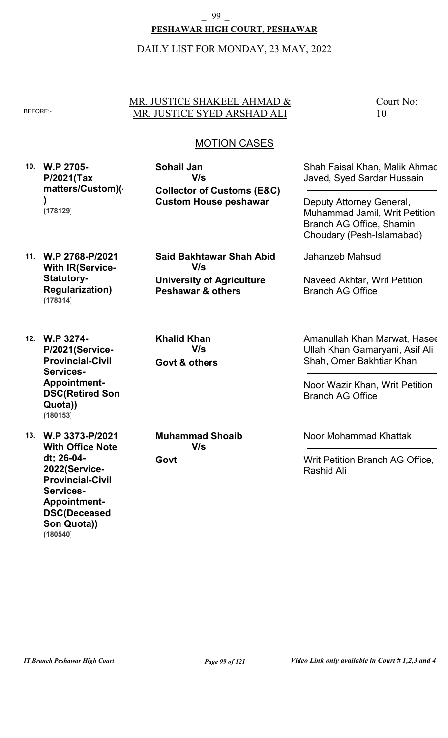#### **PESHAWAR HIGH COURT, PESHAWAR** \_ 99 \_

## DAILY LIST FOR MONDAY, 23 MAY, 2022

#### MR. JUSTICE SHAKEEL AHMAD & BEFORE: MR. JUSTICE SYED ARSHAD ALI

Court No: 10

# MOTION CASES

**10. W.P 2705- P/2021(Tax matters/Custom)(- ) (178129)**

**Collector of Customs (E&C) Custom House peshawar Sohail Jan V/s**

Shah Faisal Khan, Malik Ahmad Javed, Syed Sardar Hussain

Deputy Attorney General, Muhammad Jamil, Writ Petition Branch AG Office, Shamin Choudary (Pesh-Islamabad)

**11. W.P 2768-P/2021 With IR(Service-Statutory-Regularization) (178314)**

**University of Agriculture Peshawar & others Said Bakhtawar Shah Abid V/s**

**Govt & others Khalid Khan V/s**

**P/2021(Service-Provincial-Civil Services-Appointment-DSC(Retired Son Quota)) (180153)**

**12. W.P 3274-**

**13. W.P 3373-P/2021 With Office Note dt; 26-04- 2022(Service-Provincial-Civil Services-Appointment-DSC(Deceased Son Quota)) (180540)**

**Muhammad Shoaib V/s**

**Govt**

Jahanzeb Mahsud

Naveed Akhtar, Writ Petition Branch AG Office

Amanullah Khan Marwat, Hasee Ullah Khan Gamaryani, Asif Ali Shah, Omer Bakhtiar Khan

Noor Wazir Khan, Writ Petition Branch AG Office

Noor Mohammad Khattak

Writ Petition Branch AG Office, Rashid Ali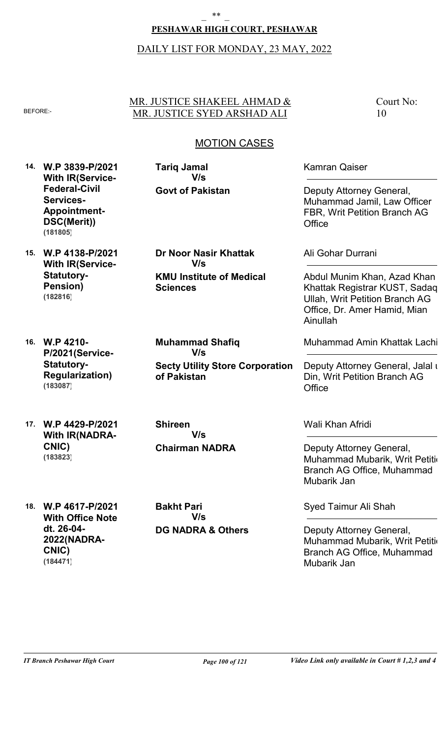#### \_ \*\* \_

#### **PESHAWAR HIGH COURT, PESHAWAR**

#### DAILY LIST FOR MONDAY, 23 MAY, 2022

#### MR. JUSTICE SHAKEEL AHMAD & BEFORE: MR. JUSTICE SYED ARSHAD ALI

**KMU Institute of Medical**

**Dr Noor Nasir Khattak**

**V/s**

**Secty Utility Store Corporation**

**Govt of Pakistan**

**V/s**

**Tariq Jamal**

**Sciences**

**of Pakistan**

Court No: 10

### MOTION CASES

- **14. W.P 3839-P/2021 With IR(Service-Federal-Civil Services-Appointment-DSC(Merit)) (181805)**
- **15. W.P 4138-P/2021 With IR(Service-Statutory-Pension) (182816)**
- **16. W.P 4210- P/2021(Service-Statutory-Regularization) (183087)**

**17. W.P 4429-P/2021 With IR(NADRA-CNIC) (183823)**

**Shireen V/s**

**Muhammad Shafiq**

**V/s**

**Chairman NADRA**

**18. W.P 4617-P/2021 With Office Note dt. 26-04- 2022(NADRA-CNIC) (184471)**

**DG NADRA & Others Bakht Pari V/s**

Kamran Qaiser

Deputy Attorney General, Muhammad Jamil, Law Officer FBR, Writ Petition Branch AG **Office** 

Ali Gohar Durrani

Abdul Munim Khan, Azad Khan Khattak Registrar KUST, Sadaq Ullah, Writ Petition Branch AG Office, Dr. Amer Hamid, Mian Ainullah

Muhammad Amin Khattak Lachi

Deputy Attorney General, Jalal u Din, Writ Petition Branch AG **Office** 

Wali Khan Afridi

Deputy Attorney General, Muhammad Mubarik, Writ Petition Branch AG Office, Muhammad Mubarik Jan

Syed Taimur Ali Shah

Deputy Attorney General, Muhammad Mubarik, Writ Petition Branch AG Office, Muhammad Mubarik Jan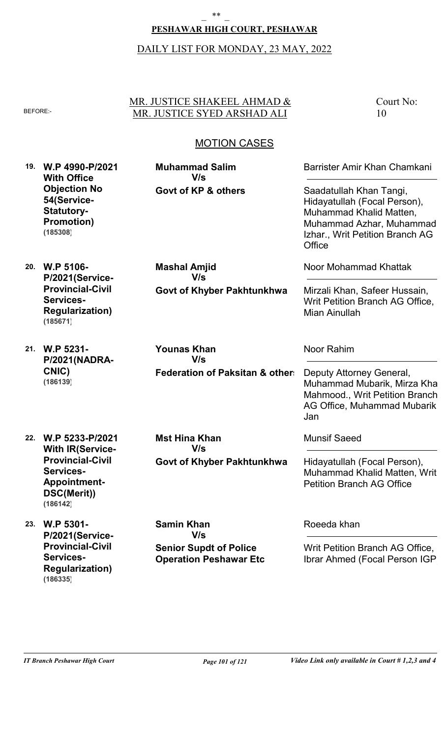#### \_ \*\* \_

#### **PESHAWAR HIGH COURT, PESHAWAR**

#### DAILY LIST FOR MONDAY, 23 MAY, 2022

#### MR. JUSTICE SHAKEEL AHMAD & BEFORE: MR. JUSTICE SYED ARSHAD ALI

Court No: 10

## MOTION CASES

**19. W.P 4990-P/2021 With Office Objection No 54(Service-Statutory-Promotion) (185308)**

**20. W.P 5106-**

**Services-**

**(185671)**

**P/2021(Service-Provincial-Civil**

**Regularization)**

**Govt of KP & others V/s**

**Muhammad Salim**

**Mashal Amjid**

**V/s**

Barrister Amir Khan Chamkani

Saadatullah Khan Tangi, Hidayatullah (Focal Person), Muhammad Khalid Matten, Muhammad Azhar, Muhammad Izhar., Writ Petition Branch AG **Office** 

Noor Mohammad Khattak

Mirzali Khan, Safeer Hussain, Writ Petition Branch AG Office, Mian Ainullah

**21. W.P 5231- P/2021(NADRA-CNIC) (186139)**

**Federation of Paksitan & others Younas Khan V/s**

**Govt of Khyber Pakhtunkhwa**

Noor Rahim

Deputy Attorney General, Muhammad Mubarik, Mirza Khal Mahmood., Writ Petition Branch AG Office, Muhammad Mubarik Jan

- **22. W.P 5233-P/2021 With IR(Service-Provincial-Civil Services-Appointment-DSC(Merit)) (186142)**
- **23. W.P 5301- P/2021(Service-Provincial-Civil Services-Regularization) (186335)**

**Govt of Khyber Pakhtunkhwa Mst Hina Khan V/s**

Munsif Saeed

Hidayatullah (Focal Person), Muhammad Khalid Matten, Writ Petition Branch AG Office

**Senior Supdt of Police Samin Khan V/s**

**Operation Peshawar Etc**

Roeeda khan

Writ Petition Branch AG Office, Ibrar Ahmed (Focal Person IGP)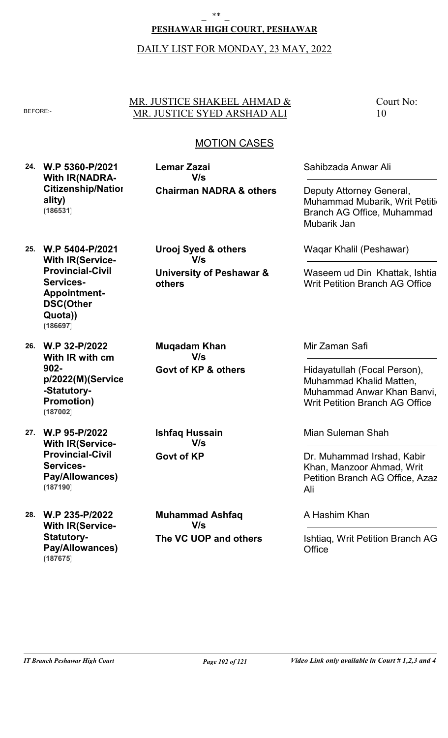## **PESHAWAR HIGH COURT, PESHAWAR**

## DAILY LIST FOR MONDAY, 23 MAY, 2022

## MR. JUSTICE SHAKEEL AHMAD & BEFORE: MR. JUSTICE SYED ARSHAD ALI

## MOTION CASES

**24. W.P 5360-P/2021 With IR(NADRA-Citizenship/Nation ality) (186531)**

**25. W.P 5404-P/2021**

**Appointment-DSC(Other Quota))**

**Services-**

**With IR(Service-Provincial-Civil**

**26. W.P 32-P/2022**

**(186697)**

**-Statutory-Promotion)**

**902-**

**(187002)**

**With IR with cm**

**p/2022(M)(Service**

**Chairman NADRA & others Lemar Zazai V/s**

**University of Peshawar & others Urooj Syed & others V/s**

**Govt of KP & others Muqadam Khan V/s**

**27. W.P 95-P/2022 With IR(Service-Provincial-Civil Services-Pay/Allowances) (187190)**

**28. W.P 235-P/2022 With IR(Service-Statutory-Pay/Allowances) (187675)**

**Govt of KP Ishfaq Hussain V/s**

**The VC UOP and others Muhammad Ashfaq V/s**

Sahibzada Anwar Ali

Deputy Attorney General, Muhammad Mubarik, Writ Petition Branch AG Office, Muhammad Mubarik Jan

Court No:

10

Waqar Khalil (Peshawar)

Waseem ud Din Khattak, Ishtia Writ Petition Branch AG Office

Mir Zaman Safi

Hidayatullah (Focal Person), Muhammad Khalid Matten, Muhammad Anwar Khan Banvi, Writ Petition Branch AG Office

Mian Suleman Shah

Dr. Muhammad Irshad, Kabir Khan, Manzoor Ahmad, Writ Petition Branch AG Office, Azaz Ali

#### A Hashim Khan

Ishtiaq, Writ Petition Branch AG **Office**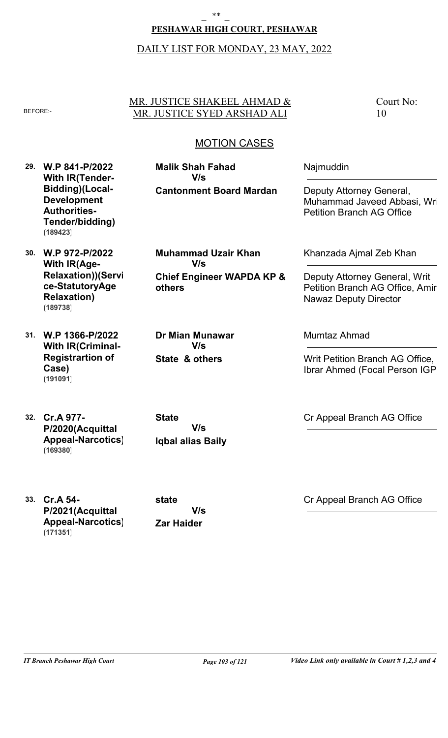## **PESHAWAR HIGH COURT, PESHAWAR**

### DAILY LIST FOR MONDAY, 23 MAY, 2022

## MR. JUSTICE SHAKEEL AHMAD & BEFORE: MR. JUSTICE SYED ARSHAD ALI

**Cantonment Board Mardan**

**Malik Shah Fahad**

**V/s**

Court No: 10

## MOTION CASES

**29. W.P 841-P/2022 With IR(Tender-Bidding)(Local-Development Authorities-Tender/bidding) (189423)**

**30. W.P 972-P/2022 With IR(Age-Relaxation))(Servi ce-StatutoryAge Relaxation) (189738)**

**31. W.P 1366-P/2022 With IR(Criminal-Registrartion of Case) (191091)**

**32. Cr.A 977- P/2020(Acquittal Appeal-Narcotics) (169380)**

**others**

**Muhammad Uzair Khan**

**V/s**

**Chief Engineer WAPDA KP &**

**State & others Dr Mian Munawar V/s**

Khanzada Ajmal Zeb Khan

Deputy Attorney General,

Petition Branch AG Office

Muhammad Javeed Abbasi, Wri

Najmuddin

Deputy Attorney General, Writ Petition Branch AG Office, Amir Nawaz Deputy Director

Mumtaz Ahmad

Writ Petition Branch AG Office, Ibrar Ahmed (Focal Person IGP)

**Iqbal alias Baily State V/s**

**33. Cr.A 54- P/2021(Acquittal Appeal-Narcotics) (171351)**

**Zar Haider state V/s** Cr Appeal Branch AG Office

Cr Appeal Branch AG Office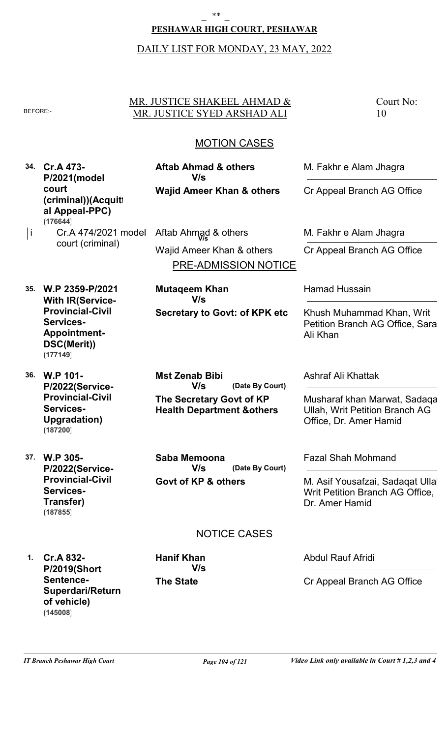#### **PESHAWAR HIGH COURT, PESHAWAR**

#### DAILY LIST FOR MONDAY, 23 MAY, 2022

#### MR. JUSTICE SHAKEEL AHMAD & BEFORE: MR. JUSTICE SYED ARSHAD ALI

Court No: 10

### MOTION CASES

**34. Cr.A 473- P/2021(model court (criminal))(Acquitt al Appeal-PPC) (176644)**

**Wajid Ameer Khan & others**

**Mutaqeem Khan**

**V/s**

**Aftab Ahmad & others**

**V/s**

Cr.A 474/2021 model |i Cr.A 474/2021 model Aftab Ahmad & others **M. Fakhr e Alam Jhagra** 

PRE-ADMISSION NOTICE court (criminal) Wajid Ameer Khan & others

**Secretary to Govt: of KPK etc**

**35. W.P 2359-P/2021 With IR(Service-Provincial-Civil Services-Appointment-DSC(Merit)) (177149)**

**36. W.P 101- P/2022(Service-Provincial-Civil Services-Upgradation) (187200)**

**37. W.P 305- P/2022(Service-Provincial-Civil Services-Transfer) (187855)**

**The Secretary Govt of KP Health Department &others (Date By Court) Mst Zenab Bibi V/s**

**Govt of KP & others (Date By Court) Saba Memoona V/s**

M. Fakhr e Alam Jhagra

Cr Appeal Branch AG Office

Cr Appeal Branch AG Office

Hamad Hussain

Khush Muhammad Khan, Writ Petition Branch AG Office, Sara Ali Khan

Ashraf Ali Khattak

Musharaf khan Marwat, Sadaqa Ullah, Writ Petition Branch AG Office, Dr. Amer Hamid

Fazal Shah Mohmand

M. Asif Yousafzai, Sadaqat Ullal Writ Petition Branch AG Office, Dr. Amer Hamid

### NOTICE CASES

**1. Cr.A 832- P/2019(Short Sentence-Superdari/Return of vehicle) (145008)**

**The State Hanif Khan V/s** Abdul Rauf Afridi

Cr Appeal Branch AG Office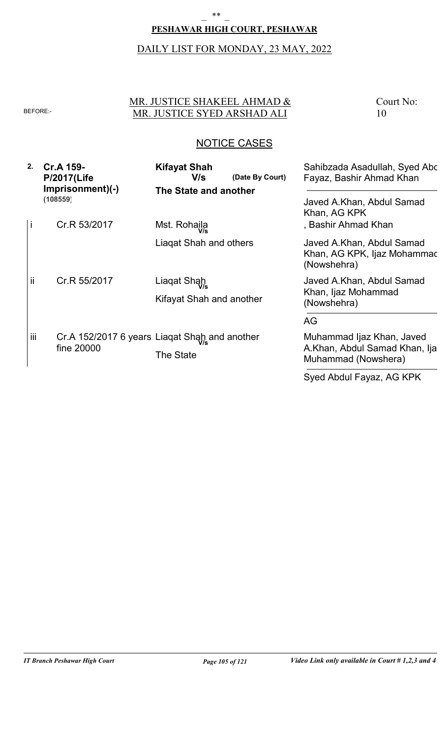## **PESHAWAR HIGH COURT, PESHAWAR**

### DAILY LIST FOR MONDAY, 23 MAY, 2022

## MR. JUSTICE SHAKEEL AHMAD & BEFORE: MR. JUSTICE SYED ARSHAD ALI

Court No: 10

## NOTICE CASES

| 2.  | <b>Cr.A 159-</b><br><b>P/2017(Life</b><br>Imprisonment)(-)<br>(108559) | <b>Kifayat Shah</b><br>V/s<br>The State and another        | Sahibzada Asadullah, Syed Abc<br>(Date By Court)<br>Fayaz, Bashir Ahmad Khan<br>Javed A.Khan, Abdul Samad<br>Khan, AG KPK |
|-----|------------------------------------------------------------------------|------------------------------------------------------------|---------------------------------------------------------------------------------------------------------------------------|
| i   | Cr.R 53/2017                                                           | Mst. Rohaila                                               | , Bashir Ahmad Khan                                                                                                       |
|     |                                                                        | Liagat Shah and others                                     | Javed A.Khan, Abdul Samad<br>Khan, AG KPK, Ijaz Mohammac<br>(Nowshehra)                                                   |
| ii  | Cr.R 55/2017                                                           | Liaqat Shah                                                | Javed A.Khan, Abdul Samad                                                                                                 |
|     |                                                                        | Kifayat Shah and another                                   | Khan, Ijaz Mohammad<br>(Nowshehra)                                                                                        |
|     |                                                                        |                                                            | AG                                                                                                                        |
| iii | fine 20000                                                             | Cr.A 152/2017 6 years Liaqat Shah and another<br>The State | Muhammad Ijaz Khan, Javed<br>A.Khan, Abdul Samad Khan, Ija<br>Muhammad (Nowshera)                                         |

Syed Abdul Fayaz, AG KPK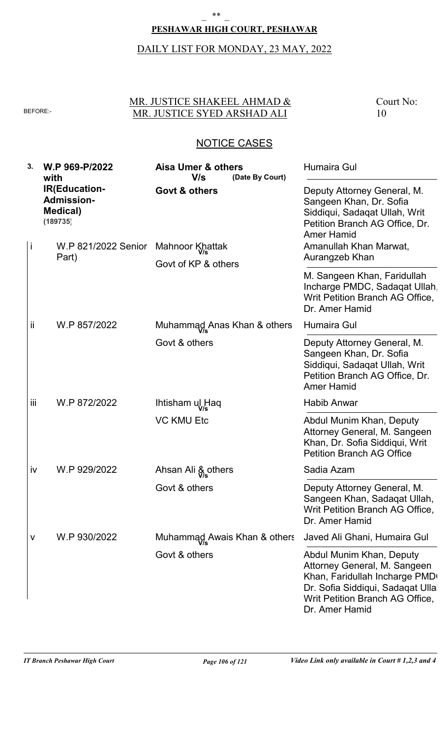### **PESHAWAR HIGH COURT, PESHAWAR**

# DAILY LIST FOR MONDAY, 23 MAY, 2022

## MR. JUSTICE SHAKEEL AHMAD & BEFORE: MR. JUSTICE SYED ARSHAD ALI

Court No: 10

| 3.  | W.P 969-P/2022<br>with                                                    | Aisa Umer & others<br>V/s<br>(Date By Court) | <b>Humaira Gul</b>                                                                                                                                                                  |
|-----|---------------------------------------------------------------------------|----------------------------------------------|-------------------------------------------------------------------------------------------------------------------------------------------------------------------------------------|
|     | <b>IR(Education-</b><br><b>Admission-</b><br><b>Medical</b> )<br>(189735) | <b>Govt &amp; others</b>                     | Deputy Attorney General, M.<br>Sangeen Khan, Dr. Sofia<br>Siddiqui, Sadaqat Ullah, Writ<br>Petition Branch AG Office, Dr.<br><b>Amer Hamid</b>                                      |
| Ť   | W.P 821/2022 Senior<br>Part)                                              | Mahnoor Khattak<br>Govt of KP & others       | Amanullah Khan Marwat,<br>Aurangzeb Khan                                                                                                                                            |
|     |                                                                           |                                              | M. Sangeen Khan, Faridullah<br>Incharge PMDC, Sadaqat Ullah,<br>Writ Petition Branch AG Office,<br>Dr. Amer Hamid                                                                   |
| ij  | W.P 857/2022                                                              | Muhammag Anas Khan & others                  | Humaira Gul                                                                                                                                                                         |
|     |                                                                           | Govt & others                                | Deputy Attorney General, M.<br>Sangeen Khan, Dr. Sofia<br>Siddiqui, Sadaqat Ullah, Writ<br>Petition Branch AG Office, Dr.<br><b>Amer Hamid</b>                                      |
| iii | W.P 872/2022                                                              | Ihtisham ul Haq                              | <b>Habib Anwar</b>                                                                                                                                                                  |
|     |                                                                           | <b>VC KMU Etc</b>                            | Abdul Munim Khan, Deputy<br>Attorney General, M. Sangeen<br>Khan, Dr. Sofia Siddiqui, Writ<br><b>Petition Branch AG Office</b>                                                      |
| iv  | W.P 929/2022                                                              | Ahsan Ali & others                           | Sadia Azam                                                                                                                                                                          |
|     |                                                                           | Govt & others                                | Deputy Attorney General, M.<br>Sangeen Khan, Sadaqat Ullah,<br>Writ Petition Branch AG Office,<br>Dr. Amer Hamid                                                                    |
| v   | W.P 930/2022                                                              | Muhammad Awais Khan & others                 | Javed Ali Ghani, Humaira Gul                                                                                                                                                        |
|     |                                                                           | Govt & others                                | Abdul Munim Khan, Deputy<br>Attorney General, M. Sangeen<br>Khan, Faridullah Incharge PMD<br>Dr. Sofia Siddiqui, Sadaqat Ullal<br>Writ Petition Branch AG Office,<br>Dr. Amer Hamid |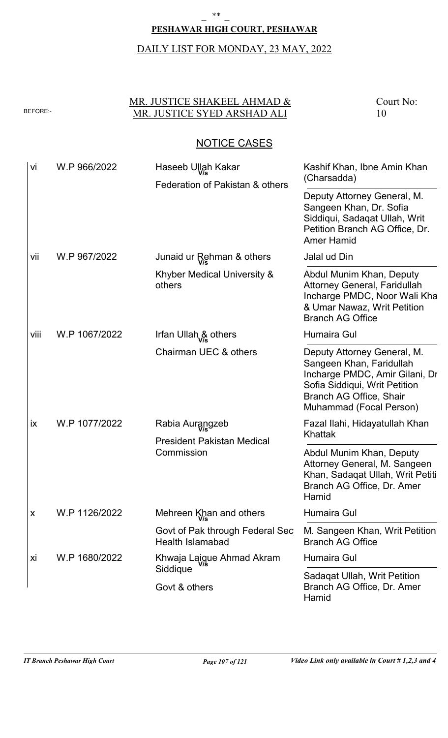## **PESHAWAR HIGH COURT, PESHAWAR**  $***$

## DAILY LIST FOR MONDAY, 23 MAY, 2022

## MR. JUSTICE SHAKEEL AHMAD & BEFORE: MR. JUSTICE SYED ARSHAD ALI

Court No: 10

| vi   | W.P 966/2022  | Haseeb Ullah Kakar<br>Federation of Pakistan & others              | Kashif Khan, Ibne Amin Khan<br>(Charsadda)                                                                                                                                       |
|------|---------------|--------------------------------------------------------------------|----------------------------------------------------------------------------------------------------------------------------------------------------------------------------------|
|      |               |                                                                    | Deputy Attorney General, M.<br>Sangeen Khan, Dr. Sofia<br>Siddiqui, Sadaqat Ullah, Writ<br>Petition Branch AG Office, Dr.<br><b>Amer Hamid</b>                                   |
| vii  | W.P 967/2022  | Junaid ur Rehman & others                                          | Jalal ud Din                                                                                                                                                                     |
|      |               | Khyber Medical University &<br>others                              | Abdul Munim Khan, Deputy<br><b>Attorney General, Faridullah</b><br>Incharge PMDC, Noor Wali Kha<br>& Umar Nawaz, Writ Petition<br><b>Branch AG Office</b>                        |
| viii | W.P 1067/2022 | Irfan Ullah & others                                               | Humaira Gul                                                                                                                                                                      |
|      |               | Chairman UEC & others                                              | Deputy Attorney General, M.<br>Sangeen Khan, Faridullah<br>Incharge PMDC, Amir Gilani, Dr<br>Sofia Siddiqui, Writ Petition<br>Branch AG Office, Shair<br>Muhammad (Focal Person) |
| ix   | W.P 1077/2022 | Rabia Aurangzeb<br><b>President Pakistan Medical</b><br>Commission | Fazal Ilahi, Hidayatullah Khan<br>Khattak                                                                                                                                        |
|      |               |                                                                    | Abdul Munim Khan, Deputy<br>Attorney General, M. Sangeen<br>Khan, Sadaqat Ullah, Writ Petiti<br>Branch AG Office, Dr. Amer<br>Hamid                                              |
| X    | W.P 1126/2022 | Mehreen Khan and others                                            | Humaira Gul                                                                                                                                                                      |
|      |               | Govt of Pak through Federal Sec<br><b>Health Islamabad</b>         | M. Sangeen Khan, Writ Petition<br><b>Branch AG Office</b>                                                                                                                        |
| Xİ   | W.P 1680/2022 | Khwaja Laigue Ahmad Akram                                          | Humaira Gul                                                                                                                                                                      |
|      |               | Siddique<br>Govt & others                                          | Sadaqat Ullah, Writ Petition<br>Branch AG Office, Dr. Amer<br>Hamid                                                                                                              |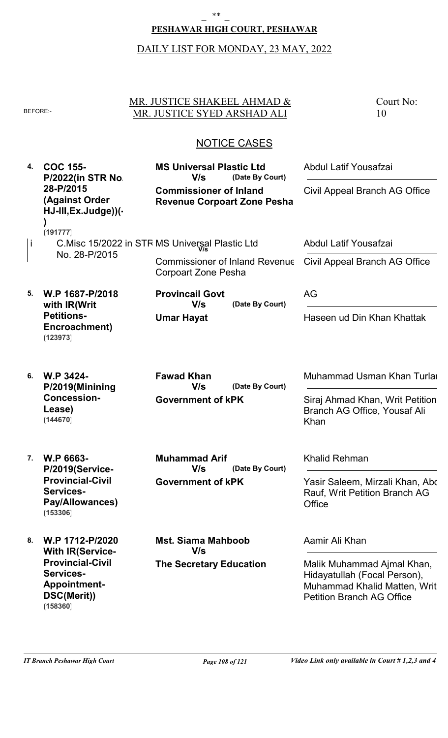#### **PESHAWAR HIGH COURT, PESHAWAR**

#### DAILY LIST FOR MONDAY, 23 MAY, 2022

NOTICE CASES MR. JUSTICE SHAKEEL AHMAD & BEFORE: MR. JUSTICE SYED ARSHAD ALI **4. COC 155- 5. 6. W.P 3424- 7. W.P 6663- 8. W.P 1712-P/2020 P/2022(in STR No. 28-P/2015 (Against Order HJ-III,Ex.Judge))(- ) W.P 1687-P/2018 with IR(Writ Petitions-Encroachment) P/2019(Minining Concession-Lease) P/2019(Service-Provincial-Civil Services-Pay/Allowances) With IR(Service-Provincial-Civil Services-Appointment-DSC(Merit)) Commissioner of Inland Revenue Corpoart Zone Pesha Umar Hayat Government of kPK Government of kPK The Secretary Education** Court No: 10 i C.Misc 15/2022 in STR MS Universal Plastic Ltd No. 28-P/2015 Commissioner of Inland Revenue Corpoart Zone Pesha **(Date By Court) (Date By Court) (Date By Court) (Date By Court) MS Universal Plastic Ltd Provincail Govt Fawad Khan Muhammad Arif Mst. Siama Mahboob** Abdul Latif Yousafzai AG Muhammad Usman Khan Turlar Khalid Rehman Aamir Ali Khan Civil Appeal Branch AG Office Haseen ud Din Khan Khattak Siraj Ahmad Khan, Writ Petition Branch AG Office, Yousaf Ali Khan Yasir Saleem, Mirzali Khan, Abd Rauf, Writ Petition Branch AG **Office** Malik Muhammad Ajmal Khan, Hidayatullah (Focal Person), Muhammad Khalid Matten, Writ Petition Branch AG Office **V/s V/s V/s V/s V/s** Abdul Latif Yousafzai Civil Appeal Branch AG Office **(191777) (123973) (144670) (153306) (158360)**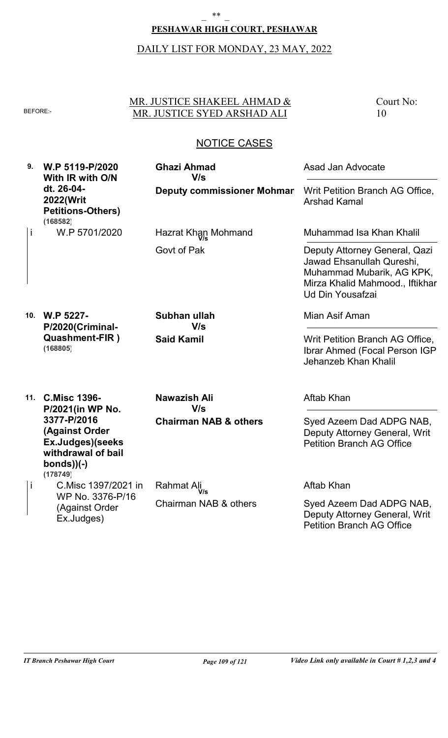## **PESHAWAR HIGH COURT, PESHAWAR**

### DAILY LIST FOR MONDAY, 23 MAY, 2022

### MR. JUSTICE SHAKEEL AHMAD & BEFORE: MR. JUSTICE SYED ARSHAD ALI

Court No: 10

## NOTICE CASES

**9. W.P 5119-P/2020 10. W.P 5227- 11. C.Misc 1396- With IR with O/N dt. 26-04- 2022(Writ Petitions-Others) P/2020(Criminal-Quashment-FIR ) P/2021(in WP No. 3377-P/2016 (Against Order Ex.Judges)(seeks withdrawal of bail bonds))(-) Deputy commissioner Mohmar Said Kamil Chairman NAB & others** W.P 5701/2020 C.Misc 1397/2021 in WP No. 3376-P/16 (Against Order Ex.Judges) Govt of Pak Chairman NAB & others **Ghazi Ahmad Subhan ullah Nawazish Ali** Asad Jan Advocate Mian Asif Aman Aftab Khan Writ Petition Branch AG Office, Arshad Kamal Writ Petition Branch AG Office, Ibrar Ahmed (Focal Person IGP), Jehanzeb Khan Khalil Syed Azeem Dad ADPG NAB, Deputy Attorney General, Writ Petition Branch AG Office **V/s V/s V/s** i i Hazrat Khan Mohmand **V/s** Rahmat Ali **V/s** Muhammad Isa Khan Khalil Aftab Khan Deputy Attorney General, Qazi Jawad Ehsanullah Qureshi, Muhammad Mubarik, AG KPK, Mirza Khalid Mahmood., Iftikhar Ud Din Yousafzai Syed Azeem Dad ADPG NAB, Deputy Attorney General, Writ Petition Branch AG Office **(168582) (168805) (178749)**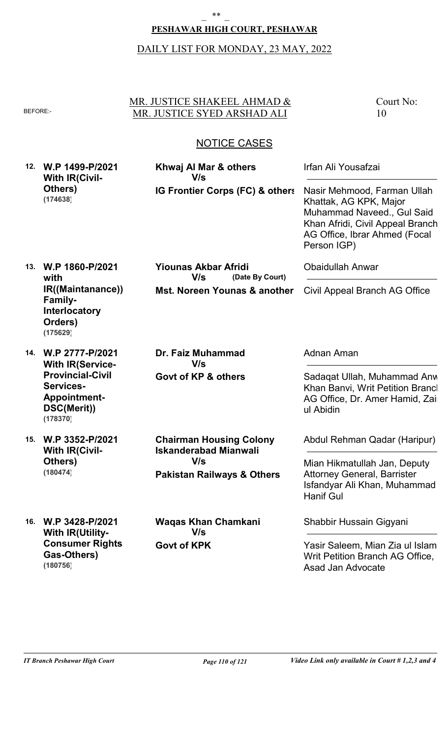## **PESHAWAR HIGH COURT, PESHAWAR**

### DAILY LIST FOR MONDAY, 23 MAY, 2022

### MR. JUSTICE SHAKEEL AHMAD & BEFORE: MR. JUSTICE SYED ARSHAD ALI

Court No: 10

## NOTICE CASES

**12. W.P 1499-P/2021 With IR(Civil-Others) (174638)**

**IG Frontier Corps (FC) & others Khwaj Al Mar & others V/s**

**Mst. Noreen Younas & another**

**(Date By Court)**

Irfan Ali Yousafzai

Nasir Mehmood, Farman Ullah Khattak, AG KPK, Major Muhammad Naveed., Gul Said Khan Afridi, Civil Appeal Branch AG Office, Ibrar Ahmed (Focal Person IGP)

**13. W.P 1860-P/2021 with IR((Maintanance)) Family-Interlocatory Orders) (175629)**

**14. W.P 2777-P/2021 With IR(Service-Provincial-Civil Services-Appointment-DSC(Merit)) (178370)**

**15. W.P 3352-P/2021 With IR(Civil-Others) (180474)**

**Govt of KP & others Dr. Faiz Muhammad V/s**

**Yiounas Akbar Afridi**

**V/s**

**Pakistan Railways & Others Chairman Housing Colony Iskanderabad Mianwali V/s**

**16. W.P 3428-P/2021 With IR(Utility-Consumer Rights-Gas-Others) (180756)**

**Govt of KPK Waqas Khan Chamkani V/s**

Civil Appeal Branch AG Office

Obaidullah Anwar

Adnan Aman

Sadaqat Ullah, Muhammad Anward Khan Banvi, Writ Petition Brancl AG Office, Dr. Amer Hamid, Zai ul Abidin

Abdul Rehman Qadar (Haripur)

Mian Hikmatullah Jan, Deputy Attorney General, Barrister Isfandyar Ali Khan, Muhammad Hanif Gul

Shabbir Hussain Gigyani

Yasir Saleem, Mian Zia ul Islam, Writ Petition Branch AG Office, Asad Jan Advocate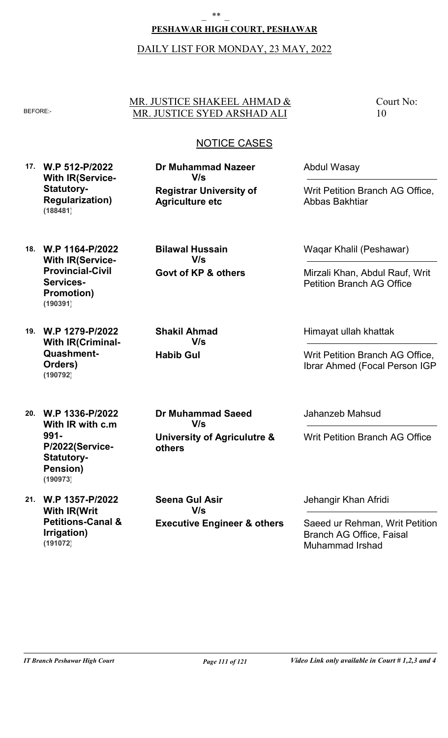## **PESHAWAR HIGH COURT, PESHAWAR**

## DAILY LIST FOR MONDAY, 23 MAY, 2022

## MR. JUSTICE SHAKEEL AHMAD & BEFORE: MR. JUSTICE SYED ARSHAD ALI

Court No: 10

## NOTICE CASES

**17. W.P 512-P/2022 With IR(Service-Statutory-Regularization) (188481)**

**Registrar University of Agriculture etc Dr Muhammad Nazeer V/s**

**Govt of KP & others**

**V/s**

**Bilawal Hussain**

**Habib Gul**

**Shakil Ahmad**

**V/s**

Abdul Wasay

Writ Petition Branch AG Office, Abbas Bakhtiar

**18. W.P 1164-P/2022 With IR(Service-Provincial-Civil Services-Promotion) (190391)**

**19. W.P 1279-P/2022 With IR(Criminal-Quashment-Orders) (190792)**

**20. W.P 1336-P/2022 With IR with c.m 991- P/2022(Service-Statutory-Pension) (190973)**

**21. W.P 1357-P/2022 With IR(Writ Petitions-Canal & Irrigation) (191072)**

**University of Agriculutre & others Dr Muhammad Saeed V/s**

**Executive Engineer & others Seena Gul Asir V/s**

Waqar Khalil (Peshawar)

Mirzali Khan, Abdul Rauf, Writ Petition Branch AG Office

Himayat ullah khattak

Writ Petition Branch AG Office, Ibrar Ahmed (Focal Person IGP)

Jahanzeb Mahsud

Writ Petition Branch AG Office

Jehangir Khan Afridi

Saeed ur Rehman, Writ Petition Branch AG Office, Faisal Muhammad Irshad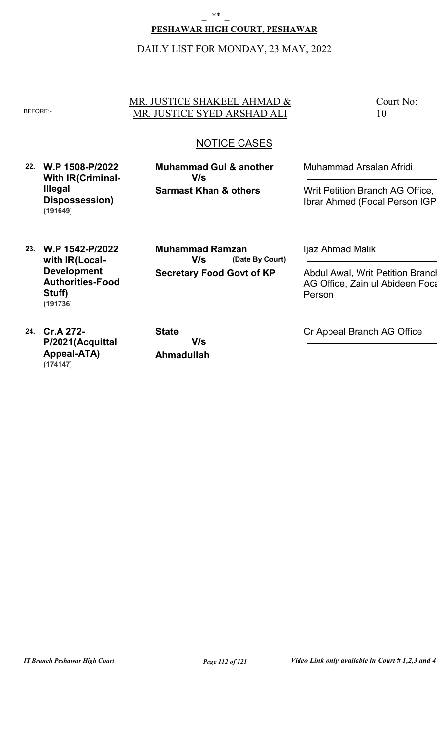## **PESHAWAR HIGH COURT, PESHAWAR**

## DAILY LIST FOR MONDAY, 23 MAY, 2022

## MR. JUSTICE SHAKEEL AHMAD & BEFORE: MR. JUSTICE SYED ARSHAD ALI

Court No: 10

## NOTICE CASES

**22. W.P 1508-P/2022 With IR(Criminal-Illegal Dispossession) (191649)**

**Sarmast Khan & others Muhammad Gul & another V/s**

Muhammad Arsalan Afridi

Writ Petition Branch AG Office, Ibrar Ahmed (Focal Person IGP)

**23. W.P 1542-P/2022 with IR(Local-Development Authorities-Food Stuff) (191736)**

**Secretary Food Govt of KP (Date By Court) Muhammad Ramzan V/s**

Ijaz Ahmad Malik

Abdul Awal, Writ Petition Branch AG Office, Zain ul Abideen Foca Person

**24. Cr.A 272- P/2021(Acquittal Appeal-ATA) (174147)**

**Ahmadullah State V/s**

Cr Appeal Branch AG Office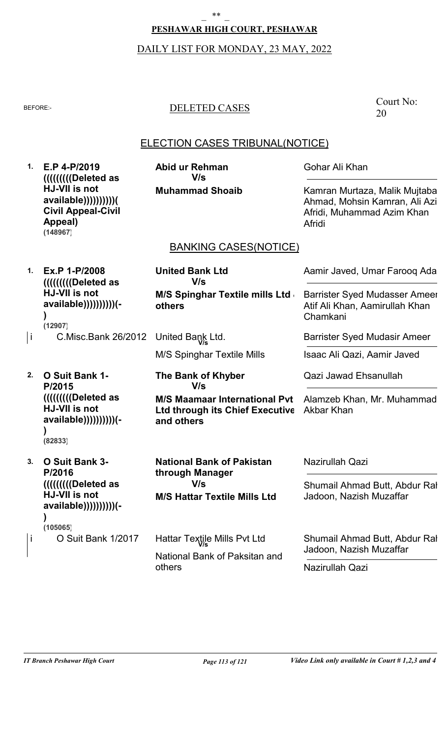### **PESHAWAR HIGH COURT, PESHAWAR**

### DAILY LIST FOR MONDAY, 23 MAY, 2022

## BEFORE:- DELETED CASES

Court No: 20

## ELECTION CASES TRIBUNAL(NOTICE)

**1. E.P 4-P/2019 (((((((((Deleted as HJ-VII is not available))))))))))( Civil Appeal-Civil Appeal) (148967)**

**Muhammad Shoaib Abid ur Rehman V/s**

**United Bank Ltd**

**V/s**

Gohar Ali Khan

Kamran Murtaza, Malik Mujtaba Ahmad, Mohsin Kamran, Ali Azim Afridi, Muhammad Azim Khan Afridi

Aamir Javed, Umar Farooq Adam

Barrister Syed Mudasser Ameer, Atif Ali Khan, Aamirullah Khan

Barrister Syed Mudasir Ameer

Isaac Ali Qazi, Aamir Javed

Alamzeb Khan, Mr. Muhammad

Qazi Jawad Ehsanullah

Chamkani

## BANKING CASES(NOTICE)

**M/S Spinghar Textile mills Ltd &**

**1. Ex.P 1-P/2008 (((((((((Deleted as HJ-VII is not available))))))))))(- ) (12907)**

C.Misc.Bank 26/2012 i United Bank Ltd. **V/s**

M/S Spinghar Textile Mills

**others**

**2. O Suit Bank 1- P/2015 (((((((((Deleted as HJ-VII is not available))))))))))(- )**

**M/S Maamaar International Pvt Ltd through its Chief Executive** Akbar Khan **and others The Bank of Khyber V/s**

**(82833)**

**3. O Suit Bank 3- P/2016 (((((((((Deleted as HJ-VII is not available))))))))))(- ) M/S Hattar Textile Mills Ltd** O Suit Bank 1/2017 National Bank of Paksitan and others **National Bank of Pakistan through Manager** Nazirullah Qazi Shumail Ahmad Butt, Abdur Ral Jadoon, Nazish Muzaffar **V/s** i Hattar Textile Mills Pvt Ltd **V/s** Shumail Ahmad Butt, Abdur Ral Jadoon, Nazish Muzaffar Nazirullah Qazi **(105065)**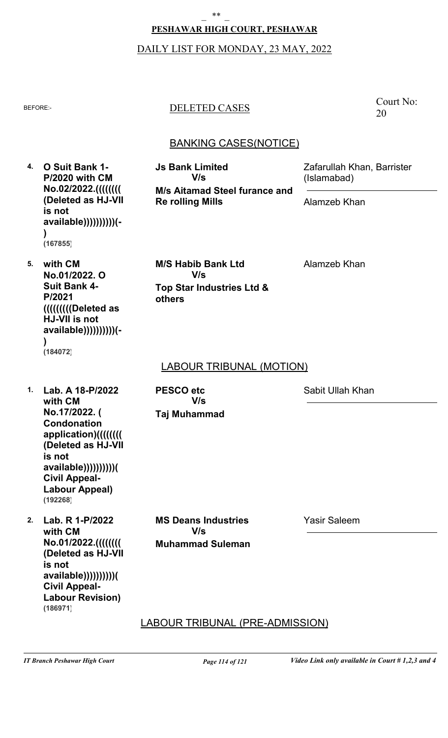#### $**$

#### **PESHAWAR HIGH COURT, PESHAWAR**

#### DAILY LIST FOR MONDAY, 23 MAY, 2022

## BEFORE:- DELETED CASES

**Js Bank Limited**

Court No: 20

## BANKING CASES(NOTICE)

**4. O Suit Bank 1- P/2020 with CM No.02/2022.(((((((( (Deleted as HJ-VII is not available))))))))))(- ) (167855)**

**M/s Aitamad Steel furance and Re rolling Mills V/s**

**Top Star Industries Ltd &**

**M/S Habib Bank Ltd**

**V/s**

Alamzeb Khan

(Islamabad)

Alamzeb Khan

Zafarullah Khan, Barrister

**5. with CM No.01/2022. O Suit Bank 4- P/2021 (((((((((Deleted as HJ-VII is not available))))))))))(- ) (184072)**

## LABOUR TRIBUNAL (MOTION)

**1. Lab. A 18-P/2022 with CM No.17/2022. ( Condonation application)(((((((( (Deleted as HJ-VII is not available))))))))))( Civil Appeal-Labour Appeal) (192268)**

**2. Lab. R 1-P/2022 with CM No.01/2022.(((((((( (Deleted as HJ-VII is not available))))))))))( Civil Appeal-Labour Revision) (186971)**

**Taj Muhammad PESCO etc V/s**

**others**

Sabit Ullah Khan

**Muhammad Suleman MS Deans Industries V/s**

Yasir Saleem

LABOUR TRIBUNAL (PRE-ADMISSION)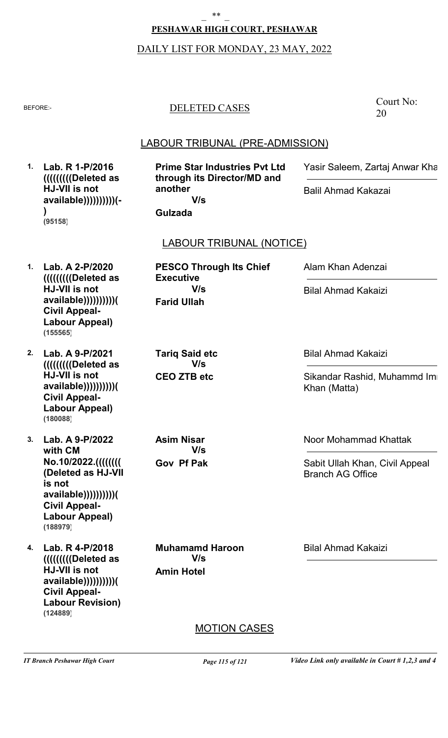#### **PESHAWAR HIGH COURT, PESHAWAR**

#### DAILY LIST FOR MONDAY, 23 MAY, 2022

#### BEFORE:- DELETED CASES

### LABOUR TRIBUNAL (PRE-ADMISSION)

LABOUR TRIBUNAL (NOTICE) MOTION CASES **1. Lab. R 1-P/2016 1. Lab. A 2-P/2020 2. Lab. A 9-P/2021 3. Lab. A 9-P/2022 4. Lab. R 4-P/2018 (((((((((Deleted as HJ-VII is not available))))))))))(- ) (((((((((Deleted as HJ-VII is not available))))))))))( Civil Appeal-Labour Appeal) (((((((((Deleted as HJ-VII is not available))))))))))( Civil Appeal-Labour Appeal) with CM No.10/2022.(((((((( (Deleted as HJ-VII is not available))))))))))( Civil Appeal-Labour Appeal) (((((((((Deleted as HJ-VII is not available))))))))))( Civil Appeal-Labour Revision) Gulzada Farid Ullah CEO ZTB etc Gov Pf Pak Amin Hotel Prime Star Industries Pvt Ltd through its Director/MD and another PESCO Through Its Chief Executive Tariq Said etc Asim Nisar Muhamamd Haroon** Yasir Saleem, Zartaj Anwar Khan Alam Khan Adenzai Bilal Ahmad Kakaizi Noor Mohammad Khattak Bilal Ahmad Kakaizi Balil Ahmad Kakazai Bilal Ahmad Kakaizi Sikandar Rashid, Muhammd Imr Khan (Matta) Sabit Ullah Khan, Civil Appeal Branch AG Office **V/s V/s V/s V/s V/s (95158) (155565) (180088) (188979) (124889)**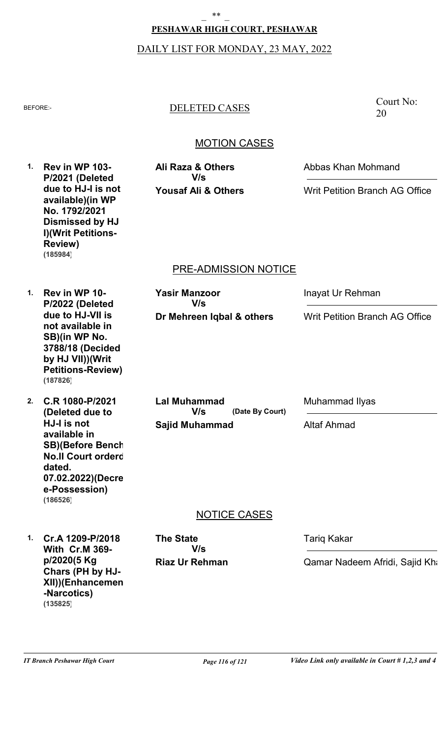# **PESHAWAR HIGH COURT, PESHAWAR** \_ \*\* \_

DAILY LIST FOR MONDAY, 23 MAY, 2022

## BEFORE:- DELETED CASES

## MOTION CASES

PRE-ADMISSION NOTICE NOTICE CASES **1. Rev in WP 103- 1. Rev in WP 10- 2. C.R 1080-P/2021 1. Cr.A 1209-P/2018 P/2021 (Deleted due to HJ-I is not available)(in WP No. 1792/2021 Dismissed by HJ I)(Writ Petitions-Review) P/2022 (Deleted due to HJ-VII is not available in SB)(in WP No. 3788/18 (Decided by HJ VII))(Writ Petitions-Review) (Deleted due to HJ-I is not available in SB)(Before Bench No.II Court orderd dated. 07.02.2022)(Decre e-Possession) With Cr.M 369 p/2020(5 Kg Chars (PH by HJ-XII))(Enhancemen -Narcotics) Yousaf Ali & Others Dr Mehreen Iqbal & others Sajid Muhammad Riaz Ur Rehman (Date By Court) Ali Raza & Others Yasir Manzoor Lal Muhammad The State** Abbas Khan Mohmand Inayat Ur Rehman Muhammad Ilyas Tariq Kakar Writ Petition Branch AG Office Writ Petition Branch AG Office Altaf Ahmad Qamar Nadeem Afridi, Sajid Kha **V/s V/s V/s V/s (185984) (187826) (186526) (135825)**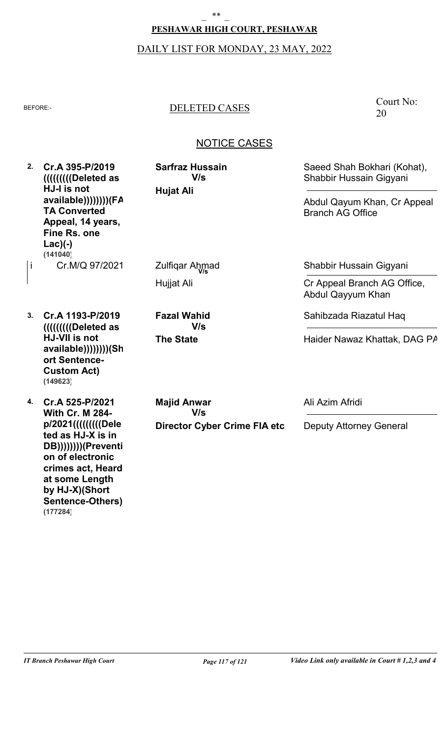## **PESHAWAR HIGH COURT, PESHAWAR**  $***$

# DAILY LIST FOR MONDAY, 23 MAY, 2022

# BEFORE:- DELETED CASES

## Court No: 20

| 2. | Cr.A 395-P/2019<br>((((((((((Deleted as<br>HJ-I is not<br>available)))))))))(FA<br><b>TA Converted</b><br>Appeal, 14 years,<br>Fine Rs. one<br>$Lac$ ) $(-)$<br>(141040)      | <b>Sarfraz Hussain</b><br>V/s<br><b>Hujat Ali</b> | Saeed Shah Bokhari (Kohat),<br>Shabbir Hussain Gigyani<br>Abdul Qayum Khan, Cr Appeal<br><b>Branch AG Office</b> |
|----|-------------------------------------------------------------------------------------------------------------------------------------------------------------------------------|---------------------------------------------------|------------------------------------------------------------------------------------------------------------------|
| i  | Cr.M/Q 97/2021                                                                                                                                                                | Zulfiqar Ahmad                                    | Shabbir Hussain Gigyani                                                                                          |
|    |                                                                                                                                                                               | Hujjat Ali                                        | Cr Appeal Branch AG Office,<br>Abdul Qayyum Khan                                                                 |
| 3. | Cr.A 1193-P/2019<br>IIIIIIIIIIIDeleted as<br>HJ-VII is not<br>available))))))))(Sh<br>ort Sentence-<br><b>Custom Act)</b><br>(149623)                                         | <b>Fazal Wahid</b><br>V/s                         | Sahibzada Riazatul Haq                                                                                           |
|    |                                                                                                                                                                               | <b>The State</b>                                  | Haider Nawaz Khattak, DAG PA                                                                                     |
| 4. | Cr.A 525-P/2021<br><b>With Cr. M 284-</b>                                                                                                                                     | <b>Majid Anwar</b><br>V/s                         | Ali Azim Afridi                                                                                                  |
|    | p/2021((((((((((Dele<br>ted as HJ-X is in<br>DB))))))))(Preventi<br>on of electronic<br>crimes act, Heard<br>at some Length<br>by HJ-X)(Short<br>Sentence-Others)<br>(177284) | <b>Director Cyber Crime FIA etc</b>               | <b>Deputy Attorney General</b>                                                                                   |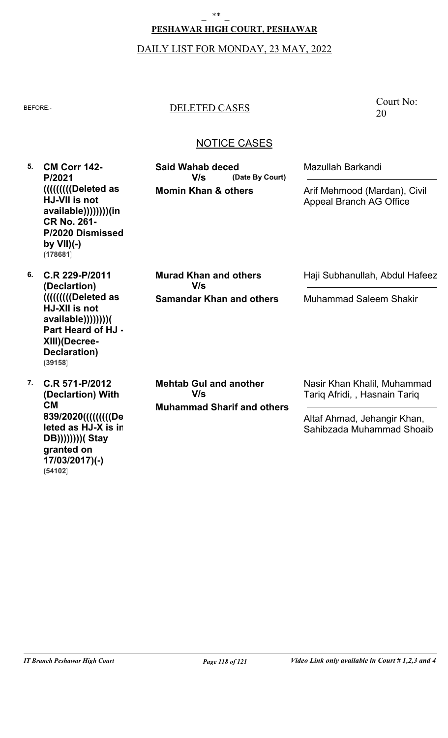#### **PESHAWAR HIGH COURT, PESHAWAR**

## DAILY LIST FOR MONDAY, 23 MAY, 2022

### BEFORE:- DELETED CASES

### NOTICE CASES

**5. CM Corr 142- 6. C.R 229-P/2011 7. C.R 571-P/2012 P/2021 (((((((((Deleted as HJ-VII is not available))))))))(in CR No. 261- P/2020 Dismissed by VII)(-) (Declartion) (((((((((Deleted as HJ-XII is not available))))))))( Part Heard of HJ - XIII)(Decree-Declaration) (Declartion) With CM 839/2020(((((((((De leted as HJ-X is in DB))))))))( Stay granted on 17/03/2017)(-) Momin Khan & others Samandar Khan and others Muhammad Sharif and others (Date By Court) Said Wahab deced Murad Khan and others Mehtab Gul and another** Mazullah Barkandi Haji Subhanullah, Abdul Hafeez Nasir Khan Khalil, Muhammad Tariq Afridi, , Hasnain Tariq Arif Mehmood (Mardan), Civil Appeal Branch AG Office Muhammad Saleem Shakir Altaf Ahmad, Jehangir Khan, Sahibzada Muhammad Shoaib **V/s V/s V/s (178681) (39158)**

**(54102)**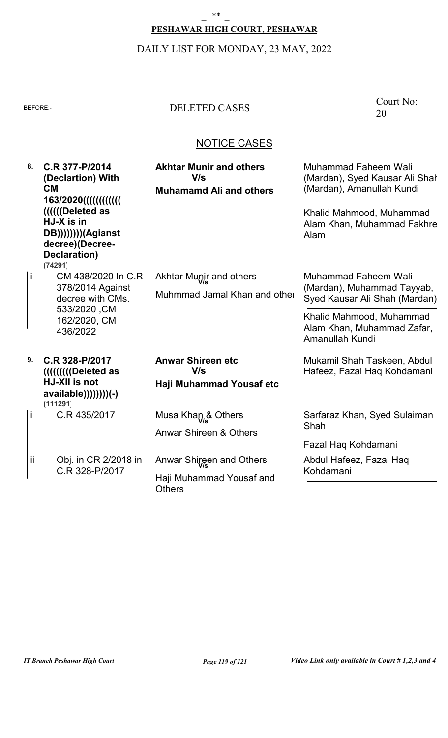#### **PESHAWAR HIGH COURT, PESHAWAR**

# DAILY LIST FOR MONDAY, 23 MAY, 2022

## BEFORE:- DELETED CASES

| 8.  | C.R 377-P/2014<br>(Declartion) With<br><b>CM</b><br>163/2020(((((((((())))<br>IIIII(Deleted as<br>HJ-X is in<br>DB))))))))(Agianst<br>decree)(Decree-<br>Declaration)<br>(74291) | <b>Akhtar Munir and others</b><br>V/s<br><b>Muhamamd Ali and others</b> | <b>Muhammad Faheem Wali</b><br>(Mardan), Syed Kausar Ali Shal<br>(Mardan), Amanullah Kundi<br>Khalid Mahmood, Muhammad<br>Alam Khan, Muhammad Fakhre<br>Alam            |
|-----|----------------------------------------------------------------------------------------------------------------------------------------------------------------------------------|-------------------------------------------------------------------------|-------------------------------------------------------------------------------------------------------------------------------------------------------------------------|
| İ   | CM 438/2020 In C.R<br>378/2014 Against<br>decree with CMs.<br>533/2020, CM<br>162/2020, CM<br>436/2022                                                                           | Akhtar Munic and others<br>Muhmmad Jamal Khan and other                 | <b>Muhammad Faheem Wali</b><br>(Mardan), Muhammad Tayyab,<br>Syed Kausar Ali Shah (Mardan)<br>Khalid Mahmood, Muhammad<br>Alam Khan, Muhammad Zafar,<br>Amanullah Kundi |
| 9.  | C.R 328-P/2017<br>((((((((((Deleted as<br>HJ-XII is not<br>available))))))))(-)<br>(111291)                                                                                      | <b>Anwar Shireen etc</b><br>V/s<br>Haji Muhammad Yousaf etc             | Mukamil Shah Taskeen, Abdul<br>Hafeez, Fazal Haq Kohdamani                                                                                                              |
| İ   | C.R 435/2017                                                                                                                                                                     | Musa Khan & Others<br><b>Anwar Shireen &amp; Others</b>                 | Sarfaraz Khan, Syed Sulaiman<br>Shah                                                                                                                                    |
|     |                                                                                                                                                                                  |                                                                         | Fazal Haq Kohdamani                                                                                                                                                     |
| ii. | Obj. in CR 2/2018 in<br>C.R 328-P/2017                                                                                                                                           | Anwar Shireen and Others                                                | Abdul Hafeez, Fazal Haq<br>Kohdamani                                                                                                                                    |
|     |                                                                                                                                                                                  | Haji Muhammad Yousaf and<br><b>Others</b>                               |                                                                                                                                                                         |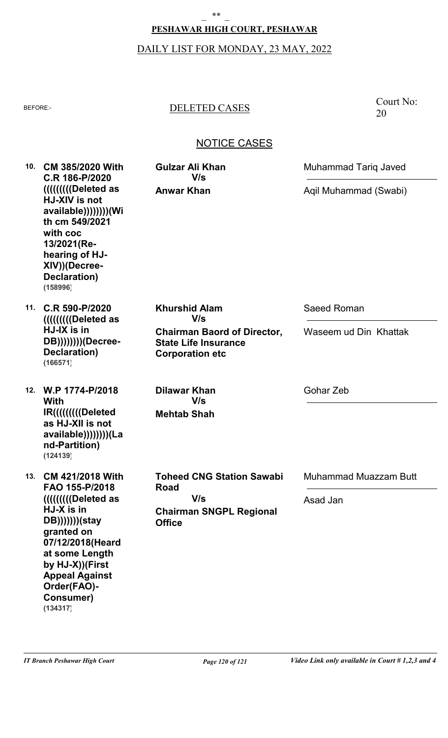### **PESHAWAR HIGH COURT, PESHAWAR**

# DAILY LIST FOR MONDAY, 23 MAY, 2022

## BEFORE:- DELETED CASES

Court No: 20

| 10. | <b>CM 385/2020 With</b><br>C.R 186-P/2020<br><b>HJ-XIV</b> is not<br>available)))))))))(Wi<br>th cm 549/2021<br>with coc<br>13/2021(Re-<br>hearing of HJ-<br>XIV))(Decree-<br>Declaration)<br>(158996)                                                       | <b>Gulzar Ali Khan</b><br>V/s                                                               | <b>Muhammad Tariq Javed</b>  |
|-----|--------------------------------------------------------------------------------------------------------------------------------------------------------------------------------------------------------------------------------------------------------------|---------------------------------------------------------------------------------------------|------------------------------|
|     |                                                                                                                                                                                                                                                              | <b>Anwar Khan</b>                                                                           | Aqil Muhammad (Swabi)        |
| 11. | C.R 590-P/2020<br>(((((((((Deleted as<br>HJ-IX is in<br>DB)))))))))(Decree-<br>Declaration)<br>(166571)                                                                                                                                                      | <b>Khurshid Alam</b><br>V/s                                                                 | Saeed Roman                  |
|     |                                                                                                                                                                                                                                                              | <b>Chairman Baord of Director,</b><br><b>State Life Insurance</b><br><b>Corporation etc</b> | Waseem ud Din Khattak        |
|     | 12. W.P 1774-P/2018<br>With                                                                                                                                                                                                                                  | <b>Dilawar Khan</b><br>V/s                                                                  | Gohar Zeb                    |
|     | IR((((((((((Deleted)<br>as HJ-XII is not<br>available))))))))(La<br>nd-Partition)<br>(124139)                                                                                                                                                                | <b>Mehtab Shah</b>                                                                          |                              |
| 13. | <b>CM 421/2018 With</b><br>FAO 155-P/2018<br><b>IIIIIIIIIIIIII</b> Deleted as<br>HJ-X is in<br>DB)))))))(stay<br>granted on<br>07/12/2018(Heard<br>at some Length<br>by HJ-X))(First<br><b>Appeal Against</b><br>Order(FAO)-<br><b>Consumer)</b><br>(134317) | <b>Toheed CNG Station Sawabi</b><br>Road<br>V/s                                             | <b>Muhammad Muazzam Butt</b> |
|     |                                                                                                                                                                                                                                                              |                                                                                             | Asad Jan                     |
|     |                                                                                                                                                                                                                                                              | <b>Chairman SNGPL Regional</b><br><b>Office</b>                                             |                              |